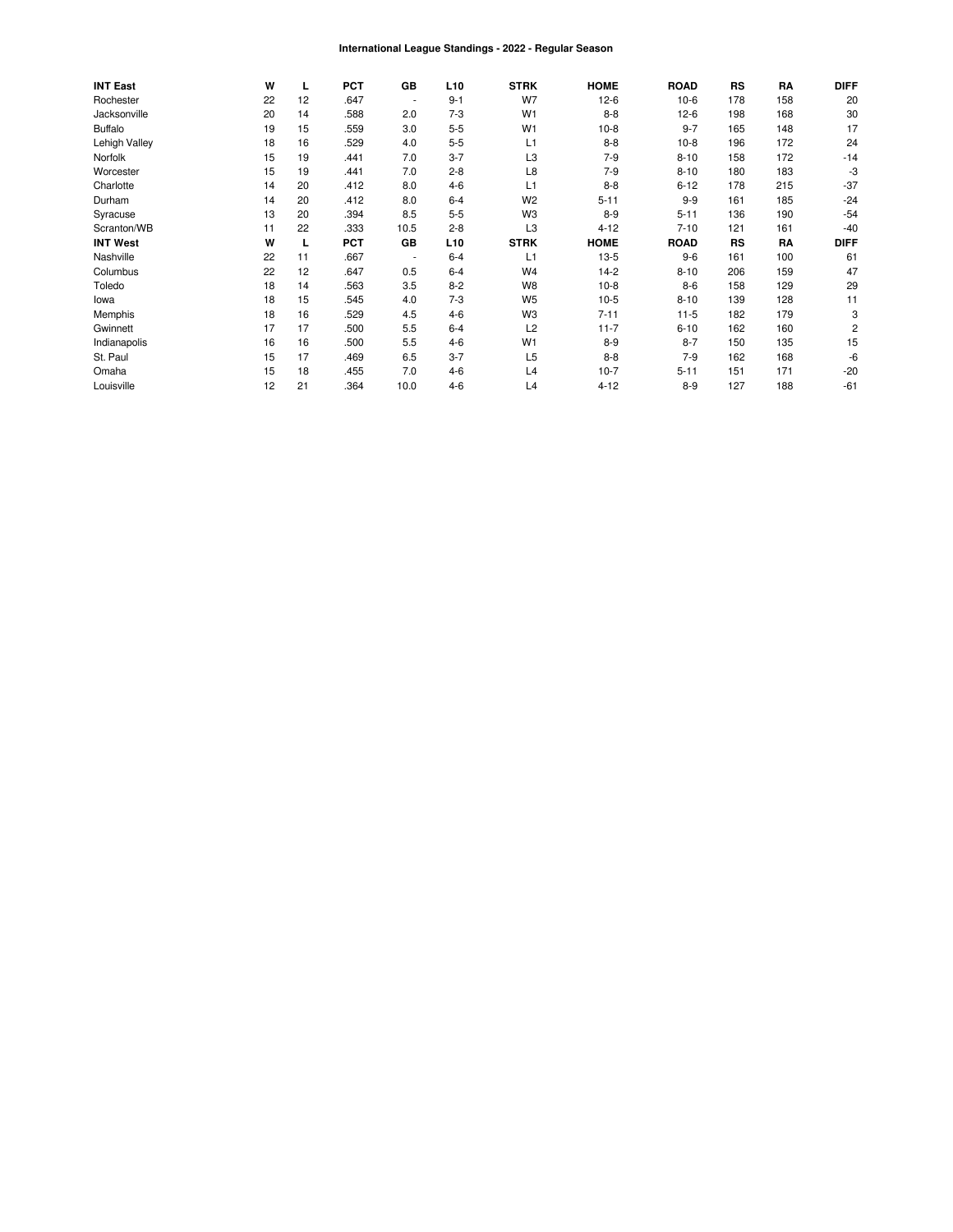#### International League Standings - 2022 - Regular Season

| <b>INT East</b> | W  | L  | <b>PCT</b> | GB             | L <sub>10</sub> | <b>STRK</b>    | <b>HOME</b> | <b>ROAD</b> | RS        | RA  | <b>DIFF</b>    |
|-----------------|----|----|------------|----------------|-----------------|----------------|-------------|-------------|-----------|-----|----------------|
| Rochester       | 22 | 12 | .647       | $\blacksquare$ | $9 - 1$         | W7             | $12-6$      | $10-6$      | 178       | 158 | 20             |
| Jacksonville    | 20 | 14 | .588       | 2.0            | $7-3$           | W <sub>1</sub> | $8 - 8$     | $12-6$      | 198       | 168 | 30             |
| <b>Buffalo</b>  | 19 | 15 | .559       | 3.0            | $5 - 5$         | W <sub>1</sub> | $10-8$      | $9 - 7$     | 165       | 148 | 17             |
| Lehigh Valley   | 18 | 16 | .529       | 4.0            | $5-5$           | L1             | $8 - 8$     | $10-8$      | 196       | 172 | 24             |
| Norfolk         | 15 | 19 | .441       | 7.0            | $3 - 7$         | L <sub>3</sub> | $7-9$       | $8 - 10$    | 158       | 172 | $-14$          |
| Worcester       | 15 | 19 | .441       | 7.0            | $2 - 8$         | L8             | $7-9$       | $8 - 10$    | 180       | 183 | -3             |
| Charlotte       | 14 | 20 | .412       | 8.0            | $4 - 6$         | L1             | $8 - 8$     | $6 - 12$    | 178       | 215 | $-37$          |
| Durham          | 14 | 20 | .412       | 8.0            | $6 - 4$         | W <sub>2</sub> | $5 - 11$    | $9 - 9$     | 161       | 185 | $-24$          |
| Syracuse        | 13 | 20 | .394       | 8.5            | $5-5$           | W <sub>3</sub> | $8-9$       | $5 - 11$    | 136       | 190 | $-54$          |
| Scranton/WB     | 11 | 22 | .333       | 10.5           | $2 - 8$         | L <sub>3</sub> | $4 - 12$    | $7 - 10$    | 121       | 161 | $-40$          |
| <b>INT West</b> | W  | L  | <b>PCT</b> | GB             | L <sub>10</sub> | <b>STRK</b>    | <b>HOME</b> | <b>ROAD</b> | <b>RS</b> | RA  | <b>DIFF</b>    |
| Nashville       | 22 | 11 | .667       | $\blacksquare$ | $6 - 4$         | L1             | $13-5$      | $9-6$       | 161       | 100 | 61             |
| Columbus        | 22 | 12 | .647       | 0.5            | $6 - 4$         | W <sub>4</sub> | $14-2$      | $8 - 10$    | 206       | 159 | 47             |
| Toledo          | 18 | 14 | .563       | 3.5            | $8 - 2$         | W <sub>8</sub> | $10-8$      | $8-6$       | 158       | 129 | 29             |
| lowa            | 18 | 15 | .545       | 4.0            | $7-3$           | W <sub>5</sub> | $10-5$      | $8 - 10$    | 139       | 128 | 11             |
| Memphis         | 18 | 16 | .529       | 4.5            | $4 - 6$         | W <sub>3</sub> | $7 - 11$    | $11 - 5$    | 182       | 179 | 3              |
| Gwinnett        | 17 | 17 | .500       | 5.5            | $6 - 4$         | L2             | $11 - 7$    | $6 - 10$    | 162       | 160 | $\overline{c}$ |
| Indianapolis    | 16 | 16 | .500       | 5.5            | $4 - 6$         | W <sub>1</sub> | $8 - 9$     | $8 - 7$     | 150       | 135 | 15             |
| St. Paul        | 15 | 17 | .469       | 6.5            | $3 - 7$         | L <sub>5</sub> | $8 - 8$     | $7-9$       | 162       | 168 | -6             |
| Omaha           | 15 | 18 | .455       | 7.0            | $4 - 6$         | L4             | $10-7$      | $5 - 11$    | 151       | 171 | $-20$          |
| Louisville      | 12 | 21 | .364       | 10.0           | $4 - 6$         | L4             | $4 - 12$    | $8 - 9$     | 127       | 188 | $-61$          |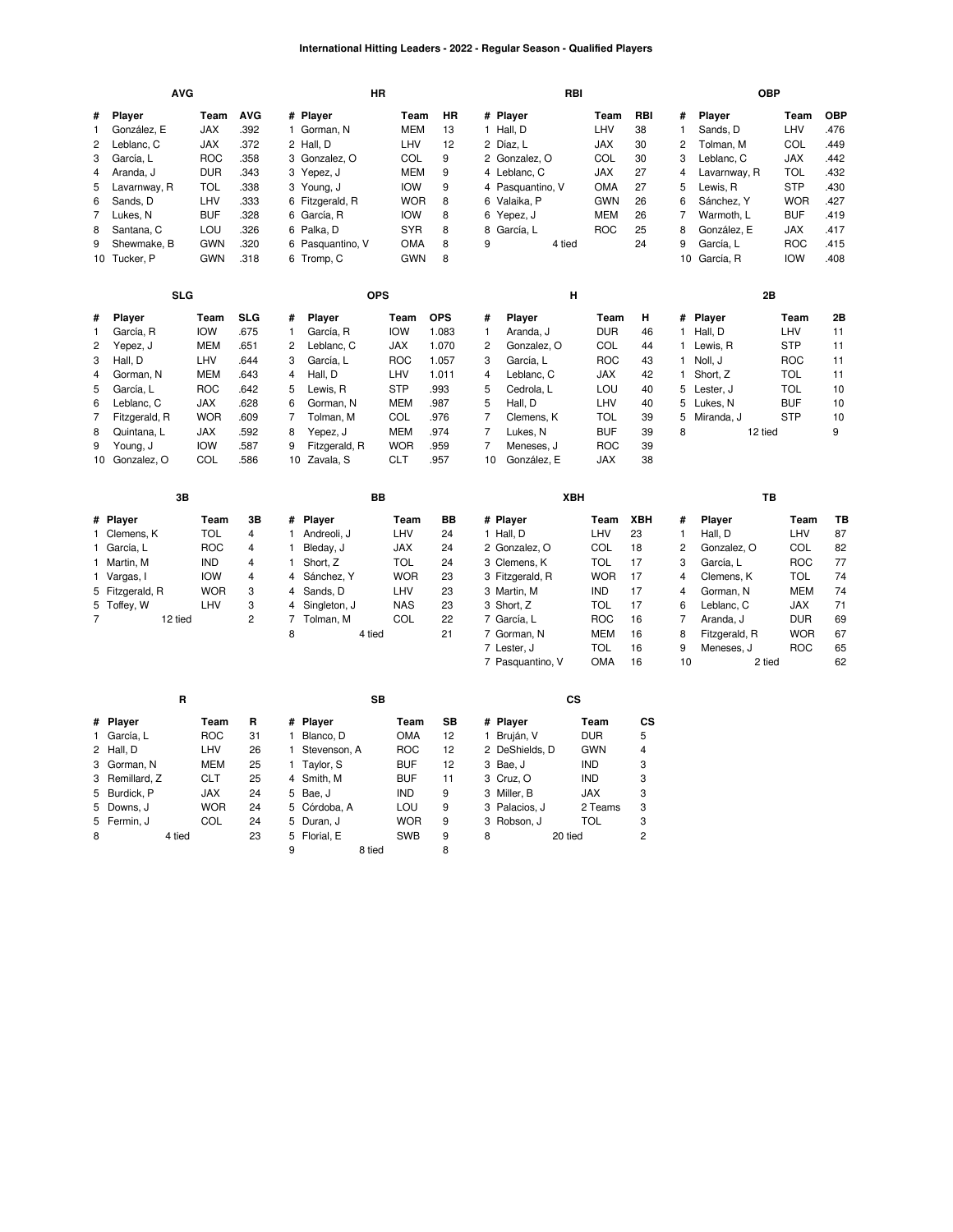#### **International Hitting Leaders - 2022 - Regular Season - Qualified Players**

|                | <b>AVG</b>                   |                   |                |                |                            | HR                       |              |                |                           | RBI                      |      |          |                         |               | <b>OBP</b> |            |
|----------------|------------------------------|-------------------|----------------|----------------|----------------------------|--------------------------|--------------|----------------|---------------------------|--------------------------|------|----------|-------------------------|---------------|------------|------------|
| #              | <b>AVG</b><br>Player<br>Team |                   |                |                | # Player                   | Team                     | HR           |                | # Player                  |                          | Team | RBI      | #                       | Player        | Team       | <b>OBP</b> |
| 1              | González, E                  | <b>JAX</b>        | .392           |                | 1 Gorman, N                | <b>MEM</b>               | 13           |                | 1 Hall, D                 | LHV                      |      | 38       | $\mathbf{1}$            | Sands, D      | LHV        | 476        |
| 2              | Leblanc, C                   | JAX               | .372           |                | 2 Hall, D                  | LHV                      | 12           |                | 2 Díaz, L                 | JAX                      |      | 30       | $\overline{\mathbf{c}}$ | Tolman, M     | COL        | .449       |
| 3              | García, L                    | <b>ROC</b>        | .358           |                | 3 Gonzalez, O              | COL                      | 9            |                | 2 Gonzalez, O             | COL                      |      | 30       | 3                       | Leblanc, C    | <b>JAX</b> | .442       |
| 4              | Aranda, J                    | <b>DUR</b>        | .343           |                | 3 Yepez, J                 | <b>MEM</b>               | 9            |                | 4 Leblanc, C              | <b>JAX</b>               |      | 27       | 4                       | Lavarnway, R  | <b>TOL</b> | .432       |
| 5              | Lavarnway, R                 | <b>TOL</b>        | .338           |                | 3 Young, J                 | <b>IOW</b>               | 9            |                | 4 Pasquantino, V          | OMA                      |      | 27       | 5                       | Lewis, R      | <b>STP</b> | .430       |
| 6              | Sands, D                     | LHV               | .333           |                | 6 Fitzgerald, R            | <b>WOR</b>               | 8            |                | 6 Valaika, P              | <b>GWN</b>               |      | 26       | 6                       | Sánchez, Y    | <b>WOR</b> | .427       |
| 7              | Lukes, N                     | <b>BUF</b>        | .328           | 6              | García, R                  | <b>IOW</b>               | 8            |                | 6 Yepez, J                | <b>MEM</b>               |      | 26       | 7                       | Warmoth, L    | <b>BUF</b> | .419       |
| 8              | Santana, C                   | LOU               | .326           |                | 6 Palka, D                 | <b>SYR</b>               | 8            |                | 8 García, L               | <b>ROC</b>               |      | 25       | 8                       | González, E   | JAX        | .417       |
| 9              | Shewmake, B                  | <b>GWN</b>        | .320           | 6              | Pasquantino, V             | OMA                      | 8            | 9              |                           | 4 tied                   |      | 24       | 9                       | García, L     | <b>ROC</b> | .415       |
|                | 10 Tucker, P                 | <b>GWN</b>        | .318           |                | 6 Tromp, C                 | <b>GWN</b>               | 8            |                |                           |                          |      |          |                         | 10 García, R  | <b>IOW</b> | .408       |
|                | <b>SLG</b>                   |                   |                |                |                            | <b>OPS</b>               |              |                |                           | Н                        |      |          |                         |               | 2B         |            |
|                |                              |                   |                |                |                            |                          |              |                |                           |                          |      |          |                         |               |            |            |
| #              | Player                       | Team              | SLG            | #              | Player                     | Team                     | <b>OPS</b>   | #              | Player                    |                          | Team | н        |                         | # Player      | Team       | 2Β         |
| 1              | García, R                    | <b>IOW</b>        | .675           | 1              | García, R                  | <b>IOW</b>               | 1.083        | $\mathbf{1}$   | Aranda, J                 | <b>DUR</b>               |      | 46       | 1                       | Hall, D       | LHV        | 11         |
| $\overline{c}$ | Yepez, J                     | <b>MEM</b>        | .651           | 2              | Leblanc, C                 | <b>JAX</b>               | 1.070        | 2              | Gonzalez, O               | COL                      |      | 44       | $\mathbf{1}$            | Lewis, R      | <b>STP</b> | 11         |
| 3              | Hall, D                      | LHV               | .644           | 3              | García, L                  | <b>ROC</b>               | 1.057        | 3              | García, L                 | <b>ROC</b>               |      | 43       | 1                       | Noll, J       | <b>ROC</b> | 11         |
| 4              | Gorman, N                    | <b>MEM</b>        | .643           | 4              | Hall, D                    | LHV                      | 1.011        | 4              | Leblanc, C                | <b>JAX</b>               |      | 42       | 1                       | Short, Z      | <b>TOL</b> | 11         |
| 5              | García, L                    | <b>ROC</b>        | .642           | 5              | Lewis, R                   | <b>STP</b>               | .993         | 5              | Cedrola, L                | LOU                      |      | 40       | 5                       | Lester, J     | <b>TOL</b> | 10         |
| 6              | Leblanc, C                   | <b>JAX</b>        | .628           | 6              | Gorman, N                  | <b>MEM</b>               | .987         | 5              | Hall, D                   | LHV                      |      | 40       | 5                       | Lukes, N      | <b>BUF</b> | 10         |
| $\overline{7}$ | Fitzgerald, R                | <b>WOR</b>        | .609           | $\overline{7}$ | Tolman, M                  | COL                      | .976         | $\overline{7}$ | Clemens, K                | TOL                      |      | 39       | 5                       | Miranda, J    | <b>STP</b> | 10         |
| 8              | Quintana, L                  | <b>JAX</b>        | .592           | 8              | Yepez, J                   | <b>MEM</b>               | .974         | $\overline{7}$ | Lukes, N                  | <b>BUF</b>               |      | 39       | 8                       |               | 12 tied    | 9          |
| 9<br>10        | Young, J<br>Gonzalez, O      | <b>IOW</b><br>COL | .587<br>.586   | 9<br>10        | Fitzgerald, R<br>Zavala, S | <b>WOR</b><br><b>CLT</b> | .959<br>.957 | 7<br>10        | Meneses, J<br>González, E | <b>ROC</b><br><b>JAX</b> |      | 39<br>38 |                         |               |            |            |
|                |                              |                   |                |                |                            |                          |              |                |                           |                          |      |          |                         |               |            |            |
|                | 3B                           |                   |                |                |                            | BB                       |              |                |                           | XBH                      |      |          |                         |               | TB         |            |
|                | # Player                     | Team              | 3B             | #              | Player                     | Team                     | BB           |                | # Player                  | Team                     |      | XBH      | #                       | Player        | Team       | TВ         |
|                | 1 Clemens, K                 | <b>TOL</b>        | 4              | 1              | Andreoli, J                | LHV                      | 24           |                | 1 Hall, D                 | LHV                      |      | 23       | $\mathbf{1}$            | Hall, D       | LHV        | 87         |
|                | 1 García, L                  | <b>ROC</b>        | 4              | 1              | Bleday, J                  | <b>JAX</b>               | 24           |                | 2 Gonzalez, O             | COL                      |      | 18       | $\overline{c}$          | Gonzalez, O   | COL        | 82         |
| 1              | Martin, M                    | <b>IND</b>        | 4              | 1              | Short, Z                   | <b>TOL</b>               | 24           |                | 3 Clemens, K              | <b>TOL</b>               |      | 17       | 3                       | García, L     | <b>ROC</b> | 77         |
|                | 1 Vargas, I                  | <b>IOW</b>        | 4              | 4              | Sánchez, Y                 | <b>WOR</b>               | 23           |                | 3 Fitzgerald, R           | <b>WOR</b>               |      | 17       | 4                       | Clemens, K    | <b>TOL</b> | 74         |
|                | 5 Fitzgerald, R              | <b>WOR</b>        | 3              | 4              | Sands, D                   | LHV                      | 23           |                | 3 Martin, M               | <b>IND</b>               |      | 17       | 4                       | Gorman, N     | <b>MEM</b> | 74         |
|                | 5 Toffey, W                  | LHV               | 3              | 4              | Singleton, J               | <b>NAS</b>               | 23           |                | 3 Short, Z                | <b>TOL</b>               |      | 17       | 6                       | Leblanc, C    | JAX        | 71         |
| $\overline{7}$ | 12 tied                      |                   | $\overline{c}$ | 7              | Tolman, M                  | COL                      | 22           |                | 7 García, L               | <b>ROC</b>               |      | 16       | $\overline{7}$          | Aranda, J     | <b>DUR</b> | 69         |
|                |                              |                   |                | 8              | 4 tied                     |                          | 21           |                | 7 Gorman, N               | <b>MEM</b>               |      | 16       | 8                       | Fitzgerald, R | <b>WOR</b> | 67         |
|                |                              |                   |                |                |                            |                          |              |                | 7 Lester, J               | TOL                      |      | 16       | 9                       | Meneses, J    | <b>ROC</b> | 65         |
|                |                              |                   |                |                |                            |                          |              |                | 7 Pasquantino, V          | OMA                      |      | 16       | 10                      |               | 2 tied     | 62         |
|                | R                            |                   |                |                |                            | <b>SB</b>                |              |                |                           | $\mathsf{cs}$            |      |          |                         |               |            |            |
| #              | Player                       | Team              | R              | #              | Player                     | Team                     | SB           |                | # Player                  | Team                     |      | CS       |                         |               |            |            |
|                | 1 García, L                  | <b>ROC</b>        | 31             | $\mathbf{1}$   | Blanco, D                  | OMA                      | 12           |                | 1 Bruján, V               | <b>DUR</b>               |      | 5        |                         |               |            |            |
| 2              | Hall, D                      | LHV               | 26             | 1.             | Stevenson, A               | <b>ROC</b>               | 12           |                | 2 DeShields, D            | <b>GWN</b>               |      | 4        |                         |               |            |            |
|                | 3 Gorman, N                  | <b>MEM</b>        | 25             |                | 1 Taylor, S                | <b>BUF</b>               | 12           |                | 3 Bae, J                  | IND                      |      | 3        |                         |               |            |            |
| 3              | Remillard, Z                 | <b>CLT</b>        | 25             | 4              | Smith, M                   | <b>BUF</b>               | 11           |                | 3 Cruz, O                 | <b>IND</b>               |      | 3        |                         |               |            |            |
| 5              | Burdick, P                   | <b>JAX</b>        | 24             | 5              | Bae, J                     | <b>IND</b>               | 9            |                | 3 Miller, B               | <b>JAX</b>               |      | 3        |                         |               |            |            |
| 5              | Downs, J                     | <b>WOR</b>        | 24             | 5              | Córdoba, A                 | LOU                      | 9            |                | 3 Palacios, J             | 2 Teams                  |      | 3        |                         |               |            |            |
|                | 5 Fermin, J                  | COL               | 24             | 5              | Duran, J                   | <b>WOR</b>               | 9            |                | 3 Robson, J               | TOL                      |      | 3        |                         |               |            |            |

8 20 tied 2

[Duran,](https://research.mlb.com/players/680776/stats#orgId=117) J<br>
15 Florial, E<br>
19 18 tied 18 18 [Florial,](https://research.mlb.com/players/664314/stats#orgId=117) E [SWB](https://research.mlb.com/teams/531/stats#timeframe=2022)<br>9 8 tied 8 tied

4 tied 23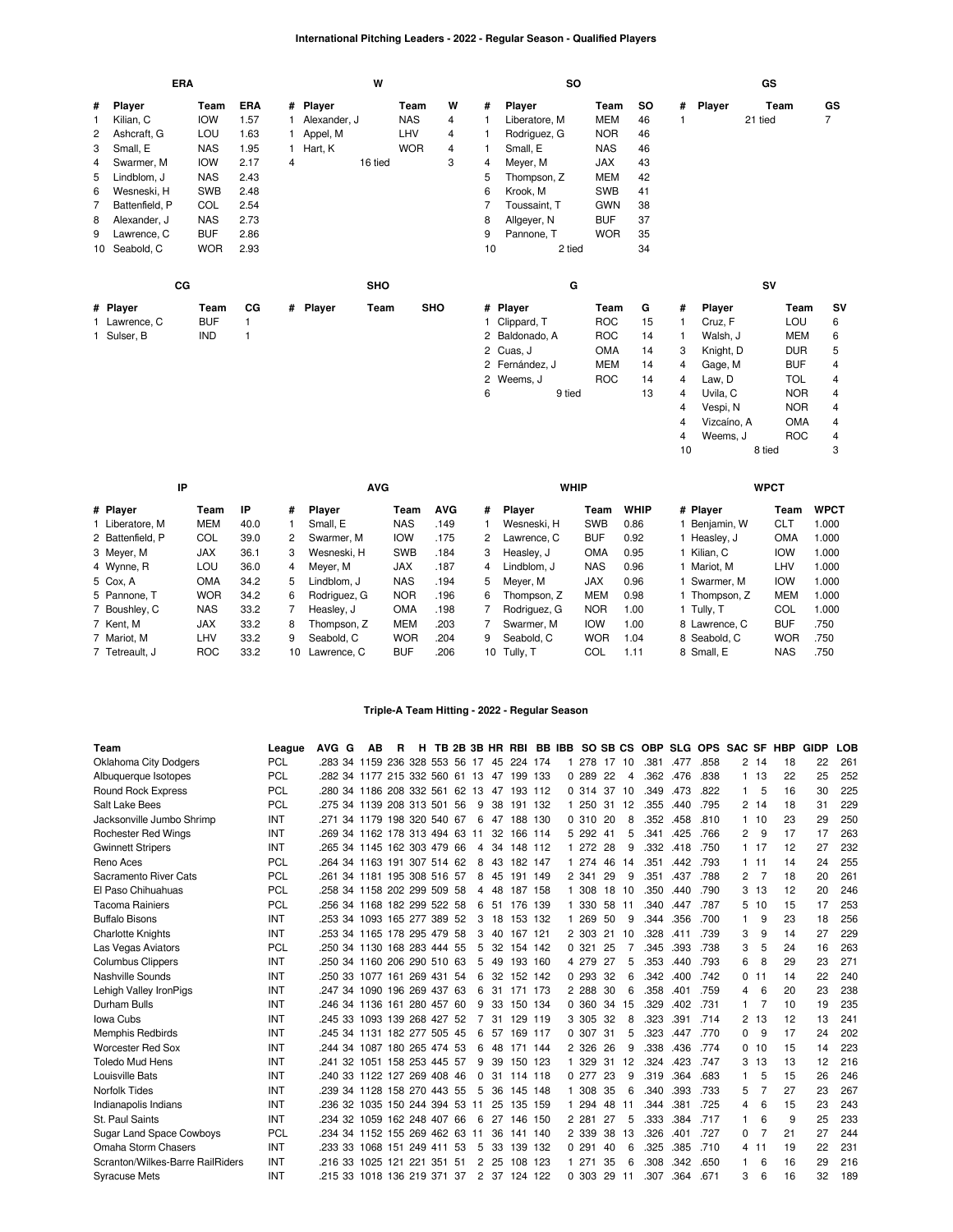# **International Pitching Leaders - 2022 - Regular Season - Qualified Players**

| <b>ERA</b> |                |            |            |   |              | W          |            |   |    | <b>SO</b>      |            |           |   |             | GS      |            |                |
|------------|----------------|------------|------------|---|--------------|------------|------------|---|----|----------------|------------|-----------|---|-------------|---------|------------|----------------|
| #          | Player         | Team       | <b>ERA</b> |   | # Player     |            | Team       | W | #  | Player         | Team       | <b>SO</b> | # | Player      | Team    |            | GS             |
| 1          | Kilian, C      | <b>IOW</b> | 1.57       |   | Alexander, J |            | <b>NAS</b> | 4 |    | Liberatore, M  | <b>MEM</b> | 46        |   |             | 21 tied |            | 7              |
| 2          | Ashcraft, G    | LOU        | 1.63       |   | Appel, M     |            | LHV        | 4 |    | Rodriguez, G   | <b>NOR</b> | 46        |   |             |         |            |                |
| 3          | Small, E       | <b>NAS</b> | 1.95       |   | 1 Hart, K    |            | <b>WOR</b> | 4 |    | Small, E       | <b>NAS</b> | 46        |   |             |         |            |                |
| 4          | Swarmer, M     | <b>IOW</b> | 2.17       | 4 |              | 16 tied    |            | 3 | 4  | Meyer, M       | JAX        | 43        |   |             |         |            |                |
| 5          | Lindblom, J    | <b>NAS</b> | 2.43       |   |              |            |            |   | 5  | Thompson, Z    | <b>MEM</b> | 42        |   |             |         |            |                |
| 6          | Wesneski, H    | <b>SWB</b> | 2.48       |   |              |            |            |   | 6  | Krook, M       | <b>SWB</b> | 41        |   |             |         |            |                |
| 7          | Battenfield, P | COL        | 2.54       |   |              |            |            |   |    | Toussaint, T   | <b>GWN</b> | 38        |   |             |         |            |                |
| 8          | Alexander, J   | <b>NAS</b> | 2.73       |   |              |            |            |   | 8  | Allgeyer, N    | <b>BUF</b> | 37        |   |             |         |            |                |
| 9          | Lawrence, C    | <b>BUF</b> | 2.86       |   |              |            |            |   | 9  | Pannone, T     | <b>WOR</b> | 35        |   |             |         |            |                |
|            | 10 Seabold, C  | <b>WOR</b> | 2.93       |   |              |            |            |   | 10 | 2 tied         |            | 34        |   |             |         |            |                |
|            | cc             |            |            |   |              | <b>SHO</b> |            |   |    | G              |            |           |   |             | SV      |            |                |
|            | # Player       | Team       | CG         |   | # Player     | Team       | <b>SHO</b> |   |    | # Player       | Team       | G         | # | Player      |         | Team       | SV             |
|            | 1 Lawrence, C  | <b>BUF</b> |            |   |              |            |            |   |    | 1 Clippard, T  | <b>ROC</b> | 15        |   | Cruz, F     |         | LOU        | 6              |
|            | 1 Sulser, B    | IND        | 1          |   |              |            |            |   |    | 2 Baldonado, A | <b>ROC</b> | 14        | 1 | Walsh, J    |         | <b>MEM</b> | 6              |
|            |                |            |            |   |              |            |            |   |    | 2 Cuas, J      | <b>OMA</b> | 14        | 3 | Knight, D   |         | <b>DUR</b> | 5              |
|            |                |            |            |   |              |            |            |   |    | 2 Fernández, J | <b>MEM</b> | 14        | 4 | Gage, M     |         | <b>BUF</b> | 4              |
|            |                |            |            |   |              |            |            |   |    | 2 Weems, J     | <b>ROC</b> | 14        | 4 | Law, D      |         | <b>TOL</b> | 4              |
|            |                |            |            |   |              |            |            |   | 6  | 9 tied         |            | 13        | 4 | Uvila, C    |         | <b>NOR</b> | 4              |
|            |                |            |            |   |              |            |            |   |    |                |            |           | 4 | Vespi, N    |         | <b>NOR</b> | 4              |
|            |                |            |            |   |              |            |            |   |    |                |            |           | 4 | Vizcaíno, A |         | <b>OMA</b> | 4              |
|            |                |            |            |   |              |            |            |   |    |                |            |           | 4 | Weems, J    |         | <b>ROC</b> | $\overline{4}$ |

| IP               |  |            |      |    | <b>AVG</b>    |            |            |    | <b>WHIP</b>   |            |             |               | <b>WPCT</b> |             |
|------------------|--|------------|------|----|---------------|------------|------------|----|---------------|------------|-------------|---------------|-------------|-------------|
| # Player         |  | Team       | ΙP   | #  | <b>Plaver</b> | Team       | <b>AVG</b> | #  | <b>Plaver</b> | Team       | <b>WHIP</b> | # Plaver      | Team        | <b>WPCT</b> |
| 1 Liberatore, M  |  | <b>MEM</b> | 40.0 |    | Small, E      | <b>NAS</b> | .149       |    | Wesneski, H   | <b>SWB</b> | 0.86        | Benjamin, W   | <b>CLT</b>  | 1.000       |
| 2 Battenfield, P |  | COL        | 39.0 | 2  | Swarmer, M    | <b>IOW</b> | .175       | 2  | Lawrence, C   | <b>BUF</b> | 0.92        | Heasley, J    | <b>OMA</b>  | 000.1       |
| 3 Meyer, M       |  | <b>JAX</b> | 36.1 | 3  | Wesneski, H   | <b>SWB</b> | .184       | 3  | Heasley, J    | OMA        | 0.95        | Kilian. C     | <b>IOW</b>  | 1.000       |
| 4 Wynne, R       |  | LOU        | 36.0 | 4  | Mever, M      | <b>JAX</b> | .187       | 4  | Lindblom. J   | <b>NAS</b> | 0.96        | Mariot. M     | LHV         | 1.000       |
| 5 Cox, A         |  | OMA        | 34.2 | 5  | Lindblom. J   | <b>NAS</b> | .194       | 5. | Mever, M      | <b>JAX</b> | 0.96        | Swarmer, M    | <b>IOW</b>  | 000.1       |
| 5 Pannone, T     |  | <b>WOR</b> | 34.2 | 6  | Rodriguez, G  | <b>NOR</b> | .196       | 6. | Thompson, Z   | <b>MEM</b> | 0.98        | Thompson, Z   | <b>MEM</b>  | 000.        |
| 7 Boushley, C    |  | <b>NAS</b> | 33.2 |    | Heasley, J    | <b>OMA</b> | .198       |    | Rodriguez. G  | <b>NOR</b> | 1.00        | 1 Tullv. T    | COL         | 1.000       |
| 7 Kent. M        |  | <b>JAX</b> | 33.2 | 8  | Thompson, Z   | <b>MEM</b> | .203       |    | Swarmer, M    | <b>IOW</b> | 1.00        | 8 Lawrence, C | <b>BUF</b>  | .750        |
| 7 Mariot, M      |  | LHV        | 33.2 | 9  | Seabold, C    | <b>WOR</b> | .204       | 9  | Seabold, C    | <b>WOR</b> | 1.04        | 8 Seabold, C  | <b>WOR</b>  | .750        |
| 7 Tetreault, J   |  | <b>ROC</b> | 33.2 | 10 | Lawrence, C   | <b>BUF</b> | .206       | 10 | Tully, T      | COL        | 1.11        | 8 Small, E    | <b>NAS</b>  | .750        |

10 8 tied 3

## **Triple-A Team Hitting - 2022 - Regular Season**

| Team                             | League     | AVG G                          | AВ                  | R | н |  |              |    | TB 2B 3B HR RBI BB IBB SO SB CS |     |         |    |       | <b>OBP</b> |      | SLG OPS SAC SF |          |       | HBP | <b>GIDP</b> | LOB |
|----------------------------------|------------|--------------------------------|---------------------|---|---|--|--------------|----|---------------------------------|-----|---------|----|-------|------------|------|----------------|----------|-------|-----|-------------|-----|
| Oklahoma City Dodgers            | <b>PCL</b> | .283 34 1159 236 328 553 56 17 |                     |   |   |  |              | 45 | 224 174                         |     | 278     |    | 17 10 | .381       | .477 | .858           |          | 2, 14 | 18  | 22          | 261 |
| Albuquerque Isotopes             | <b>PCL</b> | 282 34 1177 215 332 560 61 13  |                     |   |   |  |              |    | 47 199 133                      |     | 0.289   | 22 | 4     | .362       | .476 | .838           | 1        | 13    | 22  | 25          | 252 |
| <b>Round Rock Express</b>        | <b>PCL</b> | .280 34 1186 208 332 561 62 13 |                     |   |   |  |              |    | 47 193 112                      |     | 0.314   | 37 | 10    | .349       | .473 | .822           | 1        | 5     | 16  | 30          | 225 |
| Salt Lake Bees                   | <b>PCL</b> | .275 34 1139 208 313 501 56    |                     |   |   |  | 9            | 38 | 191 132                         |     | 1 250   | 31 | 12    | .355       | .440 | .795           | 2        | -14   | 18  | 31          | 229 |
| Jacksonville Jumbo Shrimp        | INT        | .271 34 1179 198 320 540 67    |                     |   |   |  | -6           | 47 | 188                             | 130 | 0.310   | 20 | 8     | .352       | .458 | .810           |          | 10    | 23  | 29          | 250 |
| <b>Rochester Red Wings</b>       | INT        | .269 34 1162 178 313 494 63 11 |                     |   |   |  |              | 32 | 166 114                         |     | 5 292   | 41 | 5     | .341       | .425 | .766           | 2        | 9     | 17  | 17          | 263 |
| <b>Gwinnett Stripers</b>         | INT        | .265 34 1145 162 303 479 66    |                     |   |   |  | 4            |    | 34 148 112                      |     | 1 272   | 28 | 9     | .332       | .418 | .750           | 1.       | -17   | 12  | 27          | 232 |
| Reno Aces                        | <b>PCL</b> | 264 34 1163 191 307 514 62     |                     |   |   |  | 8            | 43 | 182 147                         |     | 1 274   | 46 | 14    | .351       | .442 | .793           | 1.       | 11    | 14  | 24          | 255 |
| Sacramento River Cats            | <b>PCL</b> | .261 34 1181 195 308 516 57    |                     |   |   |  | 8            | 45 | 191 149                         |     | 2 341   | 29 | 9     | .351       | .437 | .788           | 2        | 7     | 18  | 20          | 261 |
| El Paso Chihuahuas               | <b>PCL</b> | .258 34 1158 202 299 509 58    |                     |   |   |  | 4            | 48 | 187                             | 158 | 308     | 18 | 10    | .350       | .440 | .790           | 3        | 13    | 12  | 20          | 246 |
| <b>Tacoma Rainiers</b>           | <b>PCL</b> | .256 34 1168 182 299 522 58    |                     |   |   |  | 6            |    | 51 176 139                      |     | 1 330   | 58 | 11    | .340       | .447 | .787           | 5        | 10    | 15  | 17          | 253 |
| <b>Buffalo Bisons</b>            | INT        | .253 34 1093 165 277 389 52    |                     |   |   |  | 3            | 18 | 153 132                         |     | 1 269   | 50 | 9     | .344       | .356 | .700           | 1        | 9     | 23  | 18          | 256 |
| <b>Charlotte Knights</b>         | INT        | .253 34 1165 178 295 479 58    |                     |   |   |  | 3            | 40 | 167 121                         |     | 2 303   | 21 | 10    | .328       | .411 | .739           | 3        | 9     | 14  | 27          | 229 |
| Las Vegas Aviators               | <b>PCL</b> | .250 34 1130 168 283 444 55    |                     |   |   |  | 5            | 32 | 154 142                         |     | 0.321   | 25 |       | .345       | .393 | .738           | 3        | 5     | 24  | 16          | 263 |
| <b>Columbus Clippers</b>         | INT        | 250 34 1160 206 290 510 63     |                     |   |   |  | 5            | 49 | 193                             | 160 | 4 279   | 27 | 5     | .353       | .440 | .793           | 6        | 8     | 29  | 23          | 271 |
| Nashville Sounds                 | INT        | .250 33 1077 161 269 431 54    |                     |   |   |  | 6            |    | 32 152 142                      |     | 0.293   | 32 | 6     | .342       | .400 | .742           | 0        | 11    | 14  | 22          | 240 |
| Lehigh Valley IronPigs           | INT        | 247 34 1090 196 269 437 63     |                     |   |   |  | 6            |    | 31 171 173                      |     | 2 288   | 30 | 6     | .358       | .401 | .759           | 4        | 6     | 20  | 23          | 238 |
| Durham Bulls                     | INT        | .246 34 1136 161 280 457 60    |                     |   |   |  | 9            | 33 | 150 134                         |     | 0 360   | 34 | 15    | .329       | .402 | .731           | 1        |       | 10  | 19          | 235 |
| <b>Iowa Cubs</b>                 | INT        | .245 33 1093 139 268 427 52    |                     |   |   |  | 7            | 31 | 129 119                         |     | 3 3 0 5 | 32 | 8     | .323       | .391 | .714           | 2        | 13    | 12  | 13          | 241 |
| <b>Memphis Redbirds</b>          | INT        | .245 34 1131 182 277 505 45    |                     |   |   |  | 6            | 57 | 169 117                         |     | 0 307   | 31 | 5     | .323       | .447 | .770           | 0        | 9     | 17  | 24          | 202 |
| <b>Worcester Red Sox</b>         | INT        | .244 34 1087 180 265 474 53    |                     |   |   |  | 6            | 48 | 171 144                         |     | 2 3 2 6 | 26 | 9     | .338       | .436 | .774           | 0        | 10    | 15  | 14          | 223 |
| <b>Toledo Mud Hens</b>           | INT        | 241 32 1051 158 253 445 57     |                     |   |   |  | 9            | 39 | 150 123                         |     | 1 329   | 31 | 12    | .324       | .423 | .747           | 3        | 13    | 13  | 12          | 216 |
| Louisville Bats                  | INT        | .240 33 1122 127 269 408 46    |                     |   |   |  | <sup>0</sup> | 31 | 114 118                         |     | 0.277   | 23 | 9     | .319       | .364 | .683           | 1        | 5     | 15  | 26          | 246 |
| <b>Norfolk Tides</b>             | INT        | 239 34 1128 158 270 443 55     |                     |   |   |  | 5            | 36 | 145 148                         |     | 1 308   | 35 | 6     | .340       | .393 | .733           | 5        |       | 27  | 23          | 267 |
| Indianapolis Indians             | INT        | .236 32                        | 1035 150 244 394 53 |   |   |  | 11           | 25 | 135                             | 159 | 1 294   | 48 | 11    | .344       | .381 | .725           | 4        | 6     | 15  | 23          | 243 |
| St. Paul Saints                  | INT        | 234 32 1059 162 248 407 66     |                     |   |   |  | 6            | 27 | 146 150                         |     | 2 2 8 1 | 27 | 5     | .333       | .384 | .717           | 1        | 6     | 9   | 25          | 233 |
| <b>Sugar Land Space Cowboys</b>  | <b>PCL</b> | .234 34 1152 155 269 462 63    |                     |   |   |  | 11           | 36 | 141                             | 140 | 2 339   | 38 | 13    | .326       | .401 | .727           | $\Omega$ |       | 21  | 27          | 244 |
| Omaha Storm Chasers              | <b>INT</b> | .233 33                        | 1068 151 249 411 53 |   |   |  | 5            | 33 | 139 132                         |     | 0.291   | 40 | 6     | .325       | .385 | .710           | 4        | 11    | 19  | 22          | 231 |
| Scranton/Wilkes-Barre RailRiders | INT        | .216 33 1025 121 221 351 51    |                     |   |   |  | 2            | 25 | 108                             | 123 | 1 271   | 35 | 6     | .308       | .342 | .650           |          | 6     | 16  | 29          | 216 |
| <b>Syracuse Mets</b>             | INT        | 215 33 1018 136 219 371 37     |                     |   |   |  | 2            | 37 | 124 122                         |     | 0.303   | 29 | 11    | .307       | .364 | .671           | 3        | 6     | 16  | 32          | 189 |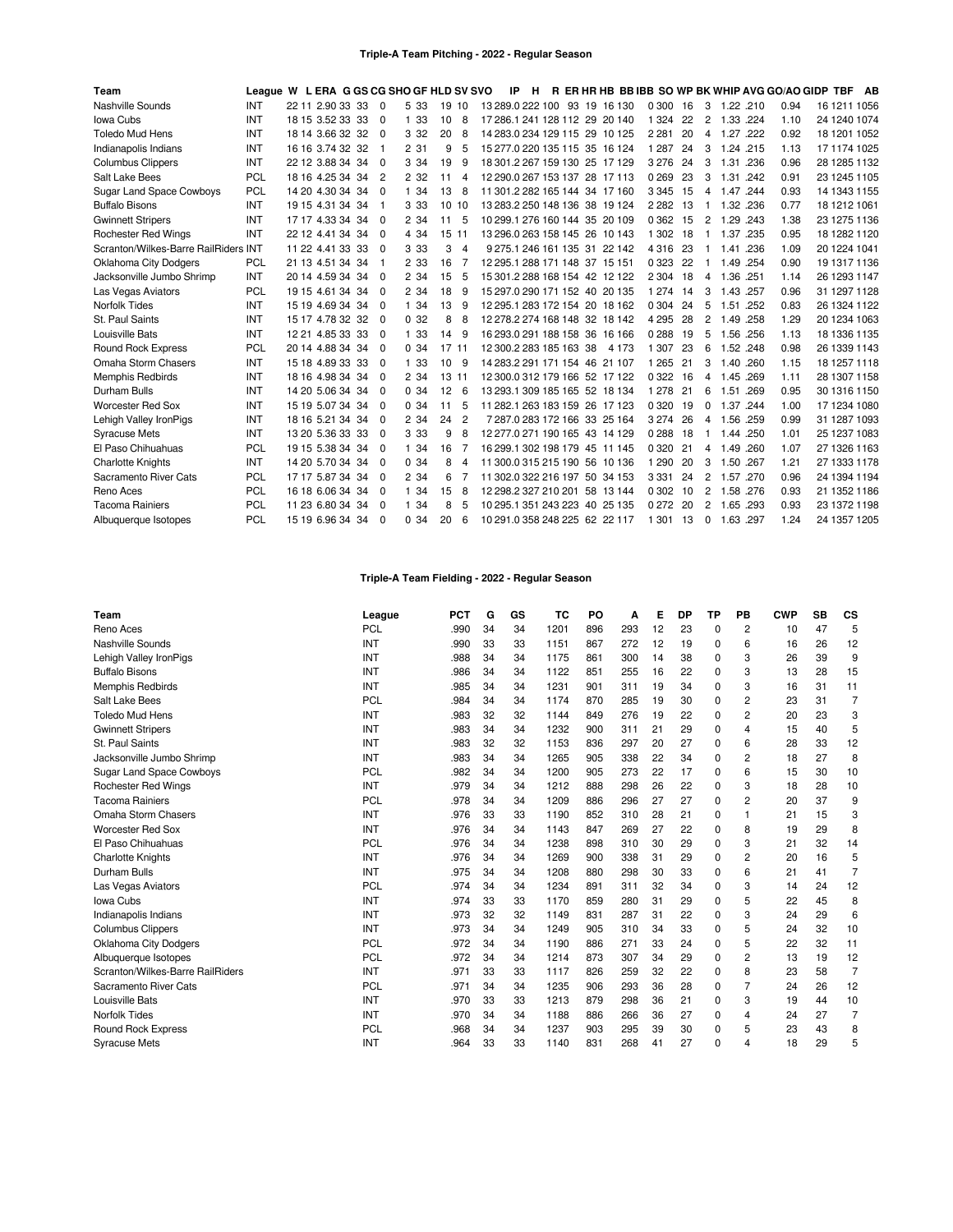## **Triple-A Team Pitching - 2022 - Regular Season**

| Team                                 | League W L ERA G GS CG SHO GF HLD SV SVO |                  |                |       |       |                |                                | -IP<br>H. |  |                                | R ER HR HB BB IBB SO WP BK WHIP AVG GO/AO GIDP TBF |    |          |           |      |      |              | AB |
|--------------------------------------|------------------------------------------|------------------|----------------|-------|-------|----------------|--------------------------------|-----------|--|--------------------------------|----------------------------------------------------|----|----------|-----------|------|------|--------------|----|
| Nashville Sounds                     | INT                                      | 22 11 2.90 33 33 | $\Omega$       | 5 3 3 | 19 10 |                |                                |           |  | 13 289.0 222 100 93 19 16 130  | 0 300                                              | 16 | 3        | 1.22 .210 |      | 0.94 | 16 1211 1056 |    |
| Iowa Cubs                            | INT                                      | 18 15 3.52 33 33 | $\Omega$       | 1 33  | 10    | 8              |                                |           |  | 17 286.1 241 128 112 29 20 140 | 1 3 2 4                                            | 22 | 2        | 1.33 .224 |      | 1.10 | 24 1240 1074 |    |
| <b>Toledo Mud Hens</b>               | <b>INT</b>                               | 18 14 3.66 32 32 | $\Omega$       | 3 3 2 | 20    | 8              |                                |           |  | 14 283.0 234 129 115 29 10 125 | 2 2 8 1                                            | 20 | 4        | 1.27 .222 |      | 0.92 | 18 1201 1052 |    |
| Indianapolis Indians                 | INT                                      | 16 16 3.74 32 32 | -1             | 2 31  | 9     | 5              |                                |           |  | 15 277.0 220 135 115 35 16 124 | 1 2 8 7                                            | 24 | 3        | 1.24 .215 |      | 1.13 | 17 1174 1025 |    |
| <b>Columbus Clippers</b>             | INT                                      | 22 12 3.88 34 34 | $\mathbf 0$    | 3 3 4 | 19    | 9              |                                |           |  | 18 301.2 267 159 130 25 17 129 | 3 2 7 6                                            | 24 | 3        | 1.31      | .236 | 0.96 | 28 1285 1132 |    |
| Salt Lake Bees                       | <b>PCL</b>                               | 18 16 4.25 34 34 | $\overline{2}$ | 2 3 2 | 11    | 4              |                                |           |  | 12 290.0 267 153 137 28 17 113 | 0269                                               | 23 | 3        | 1.31 .242 |      | 0.91 | 23 1245 1105 |    |
| Sugar Land Space Cowboys             | <b>PCL</b>                               | 14 20 4.30 34 34 | $\Omega$       | 1 34  | 13    | 8              |                                |           |  | 11 301.2 282 165 144 34 17 160 | 3 3 4 5                                            | 15 | 4        | 1.47 244  |      | 0.93 | 14 1343 1155 |    |
| <b>Buffalo Bisons</b>                | INT                                      | 19 15 4.31 34 34 | -1             | 3 3 3 | 10 10 |                |                                |           |  | 13 283 2 250 148 136 38 19 124 | 2 2 8 2                                            | 13 | 1        | 1.32 .236 |      | 0.77 | 18 1212 1061 |    |
| <b>Gwinnett Stripers</b>             | INT                                      | 17 17 4.33 34 34 | $\Omega$       | 2 3 4 | 11    | 5              |                                |           |  | 10 299 1 276 160 144 35 20 109 | 0 3 6 2                                            | 15 | 2        | 1.29 .243 |      | 1.38 | 23 1275 1136 |    |
| <b>Rochester Red Wings</b>           | INT                                      | 22 12 4.41 34 34 | $\Omega$       | 4 3 4 | 15 11 |                |                                |           |  | 13 296.0 263 158 145 26 10 143 | 1 3 0 2                                            | 18 | 1        | 1.37      | .235 | 0.95 | 18 1282 1120 |    |
| Scranton/Wilkes-Barre RailRiders INT |                                          | 11 22 4.41 33 33 | $\Omega$       | 3 3 3 | 3     | 4              |                                |           |  | 9 275.1 246 161 135 31 22 142  | 4 3 1 6                                            | 23 | 1        | 1.41 .236 |      | 1.09 | 20 1224 1041 |    |
| <b>Oklahoma City Dodgers</b>         | <b>PCL</b>                               | 21 13 4.51 34 34 | -1             | 2 3 3 | 16    |                | 12 295.1 288 171 148 37 15 151 |           |  |                                | 0 3 2 3                                            | 22 |          | 1.49 .254 |      | 0.90 | 19 1317 1136 |    |
| Jacksonville Jumbo Shrimp            | INT                                      | 20 14 4.59 34 34 | $\Omega$       | 2 3 4 | 15    | 5              |                                |           |  | 15 301 2 288 168 154 42 12 122 | 2 3 0 4                                            | 18 | 4        | 1.36      | .251 | 1.14 | 26 1293 1147 |    |
| Las Vegas Aviators                   | <b>PCL</b>                               | 19 15 4.61 34 34 | $\Omega$       | 2 3 4 | 18    | 9              |                                |           |  | 15 297 0 290 171 152 40 20 135 | 1 2 7 4                                            | 14 | 3        | 1.43 .257 |      | 0.96 | 31 1297 1128 |    |
| <b>Norfolk Tides</b>                 | INT                                      | 15 19 4.69 34 34 | $\Omega$       | 1 34  | 13    | 9              |                                |           |  | 12 295 1 283 172 154 20 18 162 | 0 3 0 4                                            | 24 | 5        | 1.51 .252 |      | 0.83 | 26 1324 1122 |    |
| St. Paul Saints                      | INT                                      | 15 17 4.78 32 32 | $\Omega$       | 0.32  | 8     | 8              |                                |           |  | 12 278.2 274 168 148 32 18 142 | 4 2 9 5                                            | 28 | 2        | 1.49 .258 |      | 1.29 | 20 1234 1063 |    |
| Louisville Bats                      | INT                                      | 12 21 4.85 33 33 | $\Omega$       | 1 33  | 14    | 9              |                                |           |  | 16 293.0 291 188 158 36 16 166 | 0288                                               | 19 | 5        | 1.56 .256 |      | 1.13 | 18 1336 1135 |    |
| <b>Round Rock Express</b>            | <b>PCL</b>                               | 20 14 4.88 34 34 | $\Omega$       | 0.34  | 17 11 |                | 12 300.2 283 185 163 38        |           |  | 4 1 7 3                        | 1 3 0 7                                            | 23 | 6        | 1.52 .248 |      | 0.98 | 26 1339 1143 |    |
| Omaha Storm Chasers                  | INT                                      | 15 18 4.89 33 33 | $\Omega$       | 1 33  | 10    | <sub>9</sub>   |                                |           |  | 14 283.2 291 171 154 46 21 107 | 1 2 6 5                                            | 21 | 3        | 1.40 .260 |      | 1.15 | 18 1257 1118 |    |
| <b>Memphis Redbirds</b>              | <b>INT</b>                               | 18 16 4.98 34 34 | $\Omega$       | 2 34  | 13 11 |                |                                |           |  | 12 300.0 312 179 166 52 17 122 | 0 3 2 2                                            | 16 | 4        | 1.45 .269 |      | 1.11 | 28 1307 1158 |    |
| Durham Bulls                         | INT                                      | 14 20 5.06 34 34 | $\Omega$       | 0.34  | 12    | 6              |                                |           |  | 13 293.1 309 185 165 52 18 134 | 1 2 7 8                                            | 21 | 6        | 1.51      | .269 | 0.95 | 30 1316 1150 |    |
| <b>Worcester Red Sox</b>             | INT                                      | 15 19 5.07 34 34 | $\Omega$       | 0.34  | 11    | 5              |                                |           |  | 11 282.1 263 183 159 26 17 123 | 0 3 2 0                                            | 19 | 0        | 1.37 .244 |      | 1.00 | 17 1234 1080 |    |
| Lehigh Valley IronPigs               | INT                                      | 18 16 5.21 34 34 | $\Omega$       | 2 3 4 | 24    | $\overline{c}$ |                                |           |  | 7 287.0 283 172 166 33 25 164  | 3 2 7 4                                            | 26 | 4        | 1.56 .259 |      | 0.99 | 31 1287 1093 |    |
| <b>Syracuse Mets</b>                 | INT                                      | 13 20 5.36 33 33 | $\Omega$       | 3 3 3 | 9     | 8              |                                |           |  | 12 277.0 271 190 165 43 14 129 | 0288                                               | 18 | -1       | 1.44 .250 |      | 1.01 | 25 1237 1083 |    |
| El Paso Chihuahuas                   | <b>PCL</b>                               | 19 15 5.38 34 34 | $\Omega$       | 1 34  | 16    |                |                                |           |  | 16 299.1 302 198 179 45 11 145 | 0 3 2 0                                            | 21 | 4        | 1.49 .260 |      | 1.07 | 27 1326 1163 |    |
| <b>Charlotte Knights</b>             | INT                                      | 14 20 5.70 34 34 | $\Omega$       | 0.34  | 8     | 4              |                                |           |  | 11 300.0 315 215 190 56 10 136 | 1 2 9 0                                            | 20 | 3        | 1.50 .267 |      | 1.21 | 27 1333 1178 |    |
| Sacramento River Cats                | <b>PCL</b>                               | 17 17 5.87 34 34 | $\Omega$       | 2 3 4 | 6     |                |                                |           |  | 11 302.0 322 216 197 50 34 153 | 3 3 3 1                                            | 24 | 2        | 1.57 .270 |      | 0.96 | 24 1394 1194 |    |
| Reno Aces                            | PCL                                      | 16 18 6.06 34 34 | $\Omega$       | 1 34  | 15    | 8              |                                |           |  | 12 298 2 327 210 201 58 13 144 | 0 3 0 2                                            | 10 | 2        | 1.58 .276 |      | 0.93 | 21 1352 1186 |    |
| <b>Tacoma Rainiers</b>               | PCL                                      | 11 23 6.80 34 34 | $\Omega$       | 1 34  | 8     | 5              |                                |           |  | 10 295.1 351 243 223 40 25 135 | 0 2 7 2                                            | 20 | 2        | 1.65 .293 |      | 0.93 | 23 1372 1198 |    |
| Albuquerque Isotopes                 | <b>PCL</b>                               | 15 19 6.96 34 34 | $\Omega$       | 0.34  | 20    | 6              |                                |           |  | 10 291.0 358 248 225 62 22 117 | 1 3 0 1                                            | 13 | $\Omega$ | 1.63.297  |      | 1.24 | 24 1357 1205 |    |

# **Triple-A Team Fielding - 2022 - Regular Season**

| Team                             | League     | <b>PCT</b> | G  | GS | тс   | PO  | Α   | Е  | DP | ΤP       | PB             | <b>CWP</b> | SB | CS             |
|----------------------------------|------------|------------|----|----|------|-----|-----|----|----|----------|----------------|------------|----|----------------|
| Reno Aces                        | PCL        | .990       | 34 | 34 | 1201 | 896 | 293 | 12 | 23 | 0        | $\overline{c}$ | 10         | 47 | 5              |
| Nashville Sounds                 | INT        | .990       | 33 | 33 | 1151 | 867 | 272 | 12 | 19 | 0        | 6              | 16         | 26 | 12             |
| Lehigh Valley IronPigs           | INT        | .988       | 34 | 34 | 1175 | 861 | 300 | 14 | 38 | 0        | 3              | 26         | 39 | 9              |
| <b>Buffalo Bisons</b>            | INT        | .986       | 34 | 34 | 1122 | 851 | 255 | 16 | 22 | $\Omega$ | 3              | 13         | 28 | 15             |
| <b>Memphis Redbirds</b>          | INT        | .985       | 34 | 34 | 1231 | 901 | 311 | 19 | 34 | $\Omega$ | 3              | 16         | 31 | 11             |
| Salt Lake Bees                   | <b>PCL</b> | .984       | 34 | 34 | 1174 | 870 | 285 | 19 | 30 | 0        | 2              | 23         | 31 | $\overline{7}$ |
| <b>Toledo Mud Hens</b>           | INT        | .983       | 32 | 32 | 1144 | 849 | 276 | 19 | 22 | $\Omega$ | 2              | 20         | 23 | 3              |
| <b>Gwinnett Stripers</b>         | INT        | .983       | 34 | 34 | 1232 | 900 | 311 | 21 | 29 | 0        | 4              | 15         | 40 | 5              |
| St. Paul Saints                  | INT        | .983       | 32 | 32 | 1153 | 836 | 297 | 20 | 27 | $\Omega$ | 6              | 28         | 33 | 12             |
| Jacksonville Jumbo Shrimp        | INT        | .983       | 34 | 34 | 1265 | 905 | 338 | 22 | 34 | $\Omega$ | $\overline{c}$ | 18         | 27 | 8              |
| <b>Sugar Land Space Cowboys</b>  | <b>PCL</b> | .982       | 34 | 34 | 1200 | 905 | 273 | 22 | 17 | 0        | 6              | 15         | 30 | 10             |
| <b>Rochester Red Wings</b>       | INT        | .979       | 34 | 34 | 1212 | 888 | 298 | 26 | 22 | 0        | 3              | 18         | 28 | 10             |
| <b>Tacoma Rainiers</b>           | <b>PCL</b> | .978       | 34 | 34 | 1209 | 886 | 296 | 27 | 27 | $\Omega$ | 2              | 20         | 37 | 9              |
| Omaha Storm Chasers              | INT        | .976       | 33 | 33 | 1190 | 852 | 310 | 28 | 21 | $\Omega$ | 1              | 21         | 15 | 3              |
| Worcester Red Sox                | INT        | .976       | 34 | 34 | 1143 | 847 | 269 | 27 | 22 | $\Omega$ | 8              | 19         | 29 | 8              |
| El Paso Chihuahuas               | <b>PCL</b> | .976       | 34 | 34 | 1238 | 898 | 310 | 30 | 29 | 0        | 3              | 21         | 32 | 14             |
| <b>Charlotte Knights</b>         | INT        | .976       | 34 | 34 | 1269 | 900 | 338 | 31 | 29 | $\Omega$ | $\overline{c}$ | 20         | 16 | 5              |
| Durham Bulls                     | INT        | .975       | 34 | 34 | 1208 | 880 | 298 | 30 | 33 | 0        | 6              | 21         | 41 | 7              |
| Las Vegas Aviators               | <b>PCL</b> | .974       | 34 | 34 | 1234 | 891 | 311 | 32 | 34 | $\Omega$ | 3              | 14         | 24 | 12             |
| Iowa Cubs                        | INT        | .974       | 33 | 33 | 1170 | 859 | 280 | 31 | 29 | 0        | 5              | 22         | 45 | 8              |
| Indianapolis Indians             | INT        | .973       | 32 | 32 | 1149 | 831 | 287 | 31 | 22 | 0        | 3              | 24         | 29 | 6              |
| <b>Columbus Clippers</b>         | INT        | .973       | 34 | 34 | 1249 | 905 | 310 | 34 | 33 | $\Omega$ | 5              | 24         | 32 | 10             |
| <b>Oklahoma City Dodgers</b>     | <b>PCL</b> | .972       | 34 | 34 | 1190 | 886 | 271 | 33 | 24 | 0        | 5              | 22         | 32 | 11             |
| Albuquerque Isotopes             | <b>PCL</b> | .972       | 34 | 34 | 1214 | 873 | 307 | 34 | 29 | $\Omega$ | 2              | 13         | 19 | 12             |
| Scranton/Wilkes-Barre RailRiders | INT        | .971       | 33 | 33 | 1117 | 826 | 259 | 32 | 22 | 0        | 8              | 23         | 58 | 7              |
| Sacramento River Cats            | <b>PCL</b> | .971       | 34 | 34 | 1235 | 906 | 293 | 36 | 28 | 0        |                | 24         | 26 | 12             |
| Louisville Bats                  | INT        | .970       | 33 | 33 | 1213 | 879 | 298 | 36 | 21 | $\Omega$ | 3              | 19         | 44 | 10             |
| Norfolk Tides                    | INT        | .970       | 34 | 34 | 1188 | 886 | 266 | 36 | 27 | $\Omega$ | 4              | 24         | 27 | $\overline{7}$ |
| <b>Round Rock Express</b>        | <b>PCL</b> | .968       | 34 | 34 | 1237 | 903 | 295 | 39 | 30 | $\Omega$ | 5              | 23         | 43 | 8              |
| <b>Syracuse Mets</b>             | INT        | .964       | 33 | 33 | 1140 | 831 | 268 | 41 | 27 | O        | 4              | 18         | 29 | 5              |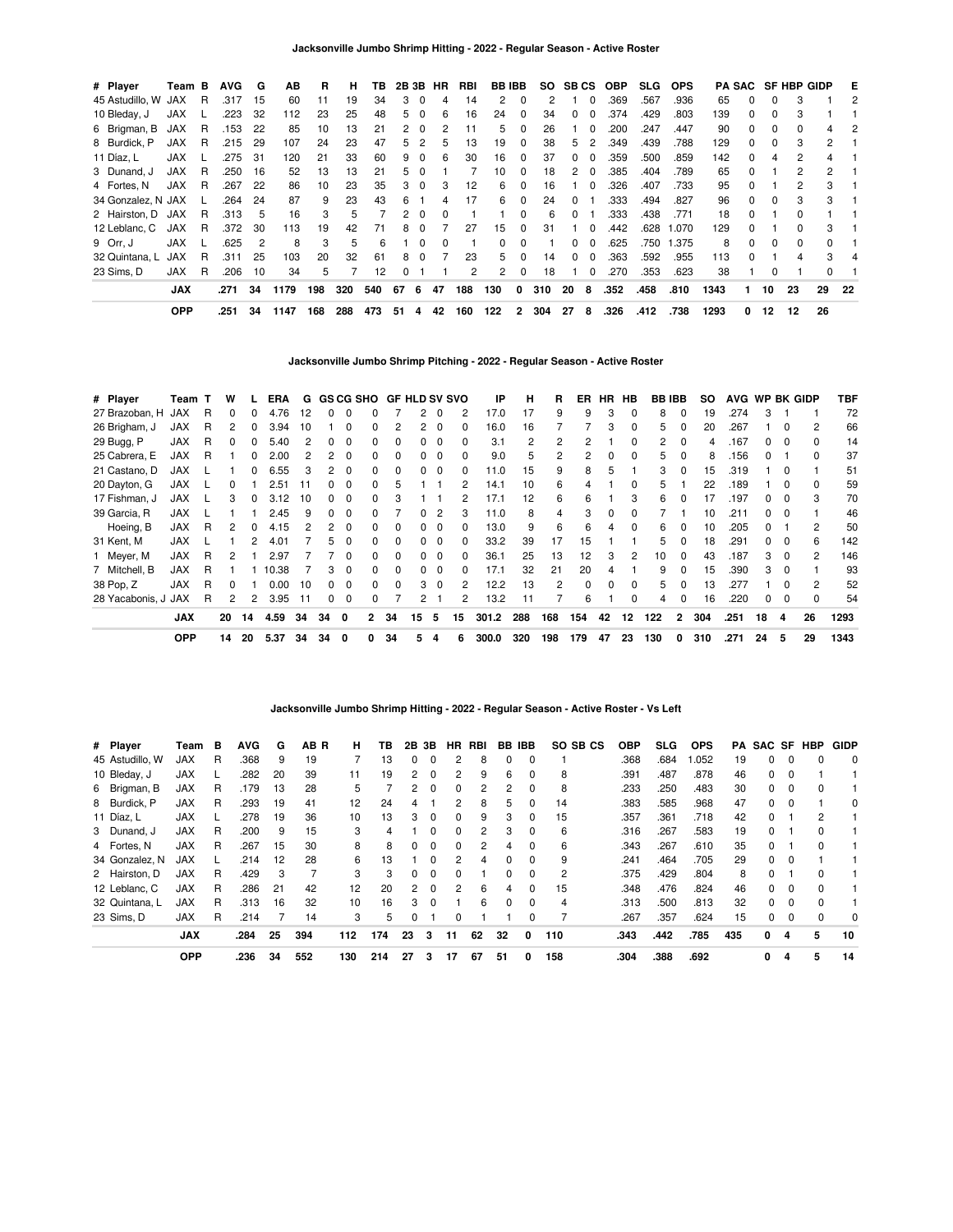| # Player            | Team B     |     | <b>AVG</b> | G              | AВ   | R   | н   | ΤВ  | 2B 3B        |          | HR       | RBI | <b>BBIBB</b>    |          |     | SO SBCS |               | OBP  | <b>SLG</b> | <b>OPS</b> |      |              |          | <b>PA SAC SF HBP GIDP</b> |                | E   |
|---------------------|------------|-----|------------|----------------|------|-----|-----|-----|--------------|----------|----------|-----|-----------------|----------|-----|---------|---------------|------|------------|------------|------|--------------|----------|---------------------------|----------------|-----|
| 45 Astudillo, W JAX |            | R   | .317       | 15             | 60   | 11  | 19  | 34  | 3            | 0        | 4        | 14  | 2               | 0        | 2   |         |               | .369 | .567       | .936       | 65   | $\Omega$     | 0        | 3                         |                | 2   |
| 10 Bleday, J        | <b>JAX</b> |     | .223       | 32             | 112  | 23  | 25  | 48  | 5            | $\Omega$ | 6        | 16  | 24              | 0        | 34  | 0       | $\Omega$      | .374 | .429       | .803       | 139  | 0            | 0        |                           |                |     |
| 6 Brigman, B        | JAX        | R   | .153       | -22            | 85   | 10  | 13  | 21  |              | - 0      | 2        | 11  | 5               | 0        | 26  |         | $\Omega$      | .200 | .247       | .447       | 90   | $\Omega$     | 0        |                           |                | 2   |
| 8 Burdick, P        | JAX        | R   | .215       | 29             | 107  | 24  | 23  | 47  | 5            | 2        | 5        | 13  | 19              | $\Omega$ | 38  | 5.      | $\mathcal{P}$ | .349 | .439       | .788       | 129  | $\Omega$     | 0        | 3                         | 2              |     |
| 11 Díaz, L          | JAX        |     | .275       | 31             | 120  | 21  | 33  | 60  | 9            | $\Omega$ | 6        | 30  | 16              | $\Omega$ | 37  | 0       | $\Omega$      | .359 | .500       | .859       | 142  | $\Omega$     | 4        | 2                         | 4              |     |
| 3 Dunand, J         | <b>JAX</b> | R   | .250       | 16             | 52   | 13  | 13  | 21  | 5            | $\Omega$ |          |     | 10 <sup>1</sup> | 0        | 18  | 2       | $\Omega$      | .385 | .404       | .789       | 65   | <sup>n</sup> |          | 2                         | $\overline{2}$ |     |
| 4 Fortes, N         | JAX        | - R | .267       | 22             | 86   | 10  | 23  | 35  |              | $\Omega$ | з        | 12  | 6.              | 0        | 16  |         | $\Omega$      | .326 | .407       | .733       | 95   | <sup>0</sup> |          |                           | 3              |     |
| 34 Gonzalez, N JAX  |            |     | .264       | 24             | 87   | 9   | 23  | 43  | 6            |          | 4        | 17  | 6               | $\Omega$ | 24  | 0       |               | .333 | .494       | .827       | 96   | $\Omega$     | 0        |                           | 3              |     |
| 2 Hairston, D JAX   |            | R.  | .313       | -5             | 16   | 3   | 5   |     | 2            | $\Omega$ | 0        |     |                 | $\Omega$ | 6   | 0       |               | .333 | .438       | .771       | 18   | 0            |          |                           |                |     |
| 12 Leblanc, C       | JAX        | -R  | .372       | 30             | 113  | 19  | 42  | 71  | 8            | $\Omega$ |          | 27  | 15              | $\Omega$ | 31  |         | $\Omega$      | .442 | .628       | 1.070      | 129  | <sup>0</sup> |          | O.                        | 3              |     |
| 9 Orr. J            | JAX        |     | .625       | $\overline{2}$ | 8    | 3   | 5   | 6   |              | $\Omega$ | $\Omega$ |     | 0               | $\Omega$ |     | O.      | $\Omega$      | .625 | .750       | 1.375      | 8    | $\Omega$     | $\Omega$ | 0                         | $\Omega$       |     |
| 32 Quintana, L      | JAX        | R   | .311       | 25             | 103  | 20  | 32  | 61  | 8            | $\Omega$ |          | 23  | 5.              | $\Omega$ | 14  | O.      | $\Omega$      | .363 | .592       | .955       | 113  | <sup>0</sup> |          |                           | 3              |     |
| 23 Sims. D          | <b>JAX</b> | R   | .206       | 10             | 34   | 5   |     | 12  | <sup>0</sup> |          |          | 2   | $\mathbf{2}$    | $\Omega$ | 18  |         | $\Omega$      | .270 | .353       | .623       | 38   |              | 0        |                           |                |     |
|                     | <b>JAX</b> |     | .271       | 34             | 1179 | 198 | 320 | 540 | 67           | 6        | 47       | 188 | 130             | 0        | 310 | 20      | 8             | .352 | .458       | .810       | 1343 |              | 10       | 23                        | 29             | -22 |
|                     | <b>OPP</b> |     | .251       | 34             | 1147 | 168 | 288 | 473 | 51           | 4        | 42       | 160 | 122             | 2        | 304 | 27      | 8             | .326 | .412       | .738       | 1293 | 0            | 12       | 12                        | 26             |     |

**Jacksonville Jumbo Shrimp Pitching - 2022 - Regular Season - Active Roster**

| # Player            | Team T     |   | w            |          | ERA   | G  |          |              |              | GS CG SHO GF HLD SV SVO |          |          |          | IP    | н   | R   | ER       | HR.          | HB           |     | <b>BB IBB</b> | SO. | <b>AVG</b> |              |          | WP BK GIDP     | TBF  |
|---------------------|------------|---|--------------|----------|-------|----|----------|--------------|--------------|-------------------------|----------|----------|----------|-------|-----|-----|----------|--------------|--------------|-----|---------------|-----|------------|--------------|----------|----------------|------|
| 27 Brazoban. H      | JAX        | R | 0            | 0        | 4.76  | 12 | $\Omega$ | $\Omega$     | 0            |                         | 2        | $\Omega$ | 2        | 17.0  | 17  | 9   | 9        | 3            | $\Omega$     | 8   | $\Omega$      | 19  | .274       | 3            |          |                | 72   |
| 26 Brigham, J       | <b>JAX</b> | R | 2            | 0        | 3.94  | 10 |          | $\Omega$     | 0            | 2                       | 2        | $\Omega$ | 0        | 16.0  | 16  |     |          | 3            | $\Omega$     | 5   | $\Omega$      | 20  | .267       |              | 0        | $\overline{2}$ | 66   |
| 29 Bugg, P          | <b>JAX</b> | R | <sup>0</sup> | 0        | 5.40  | 2  | 0        | 0            | <sup>0</sup> | $\Omega$                |          |          | 0        | 3.1   | 2   | 2   | 2        |              | <sup>0</sup> | 2   | $\Omega$      | 4   | .167       | O.           | - 0      | $\Omega$       | 14   |
| 25 Cabrera, E       | <b>JAX</b> | R |              |          | 2.00  | 2  |          | $\Omega$     | 0            | $\Omega$                |          |          | 0        | 9.0   | 5   | 2   | 2        | ŋ            | $\Omega$     | 5   | $\Omega$      | 8   | .156       |              |          | $\Omega$       | 37   |
| 21 Castano, D       | <b>JAX</b> |   |              |          | 6.55  | 3  | 2        | $\Omega$     | <sup>0</sup> | $\Omega$                |          |          | 0        | 11.0  | 15  | 9   | 8        | 5            |              | 3   |               | 15  | .319       |              |          |                | 51   |
| 20 Dayton, G        | <b>JAX</b> |   | 0            |          | 2.51  | 11 | O.       | $\Omega$     | 0            | 5                       |          |          | 2        | 14.1  | 10  | 6   | 4        |              | <sup>0</sup> | 5   |               | 22  | .189       |              |          | $\Omega$       | 59   |
| 17 Fishman, J       | <b>JAX</b> |   | 3            | 0        | 3.12  | 10 | 0        | 0            | 0            |                         |          |          |          | 17.1  | 12  | 6   | 6        |              | 3            | 6   |               | 17  | .197       |              |          | 3              | 70   |
| 39 Garcia, R        | <b>JAX</b> |   |              |          | 2.45  | 9  | $\Omega$ | 0            | 0            |                         | 0        |          | 3        | 11.0  | 8   | 4   | 3        | 0            | <sup>0</sup> |     |               | 10  | .211       | 0            | 0        |                | 46   |
| Hoeing, B           | <b>JAX</b> | R | 2            | $\Omega$ | 4.15  | 2  | 2        | 0            | <sup>0</sup> | $\Omega$                | 0        | 0        | $\Omega$ | 13.0  | 9   | 6   | 6        | 4            | $\Omega$     | 6   | $\Omega$      | 10  | .205       | 0            |          | $\overline{c}$ | 50   |
| 31 Kent, M          | <b>JAX</b> |   |              | 2        | 4.01  |    | 5.       | $\Omega$     | 0            | $\Omega$                | $\Omega$ | $\Omega$ | $\Omega$ | 33.2  | 39  | 17  | 15       |              |              | 5   | $\Omega$      | 18  | .291       | $^{\circ}$   | $\Omega$ | 6              | 142  |
| 1 Meyer, M          | <b>JAX</b> | R | 2            |          | 2.97  |    |          | $\Omega$     | <sup>0</sup> | $\Omega$                | $\Omega$ | $\Omega$ | $\Omega$ | 36.1  | 25  | 13  | 12       | З            | 2            | 10  | $\Omega$      | 43  | .187       | 3            | $\Omega$ | 2              | 146  |
| 7 Mitchell, B       | <b>JAX</b> | R |              |          | 10.38 |    | 3        | $\Omega$     | <sup>0</sup> | $\Omega$                | 0        | $\Omega$ | 0        | 17.1  | 32  | 21  | 20       | 4            |              | 9   | $\Omega$      | 15  | .390       | 3            | $\Omega$ |                | 93   |
| 38 Pop, Z           | <b>JAX</b> | R | 0            |          | 0.00  | 10 | 0        | $\Omega$     | 0            | $\Omega$                | 3        | $\Omega$ | 2        | 12.2  | 13  | 2   | $\Omega$ | <sup>0</sup> | $\Omega$     | 5   | $\Omega$      | 13  | 277        |              |          | 2              | 52   |
| 28 Yacabonis, J JAX |            | R | 2            | 2        | 3.95  | 11 | 0        | 0            | 0            |                         | 2        |          | 2        | 13.2  | 11  |     | 6        |              | $\Omega$     | 4   |               | 16  | .220       | <sup>0</sup> | $\Omega$ | $\Omega$       | 54   |
|                     | <b>JAX</b> |   | 20           | 14       | 4.59  | 34 | 34       | $\mathbf{0}$ | 2            | 34                      | 15       | 5        | 15       | 301.2 | 288 | 168 | 154      | 42           | 12           | 122 | $\mathbf{2}$  | 304 | .251       | 18           | 4        | 26             | 1293 |
|                     | <b>OPP</b> |   | 14           | 20       | 5.37  | 34 | 34       | 0            | 0            | 34                      | 5        | 4        | 6        | 300.0 | 320 | 198 | 179      | 47           | 23           | 130 | 0             | 310 | .271       | 24           | 5        | 29             | 1343 |

**Jacksonville Jumbo Shrimp Hitting - 2022 - Regular Season - Active Roster - Vs Left**

| # Player        | Team       | в | <b>AVG</b> | G  | AB R | н   | ΤВ  | 2В | 3В       | HR       | <b>RBI</b> | BB.          | IBB          | SO SB CS | <b>OBP</b> | <b>SLG</b> | <b>OPS</b> | PA  |          |          | SAC SF HBP   | <b>GIDP</b> |
|-----------------|------------|---|------------|----|------|-----|-----|----|----------|----------|------------|--------------|--------------|----------|------------|------------|------------|-----|----------|----------|--------------|-------------|
| 45 Astudillo, W | JAX        | R | .368       | 9  | 19   |     | 13  | 0  | $\Omega$ | 2        | 8          | 0            | $\mathbf{0}$ |          | .368       | .684       | .052       | 19  | 0        | 0        | 0            | $\Omega$    |
| 10 Bleday, J    | <b>JAX</b> |   | .282       | 20 | 39   | 11  | 19  | 2  | $\Omega$ | 2        | 9          | 6            | $\Omega$     | 8        | .391       | .487       | .878       | 46  | 0        | $\Omega$ |              |             |
| 6 Brigman, B    | JAX        | R | .179       | 13 | 28   | 5   |     | 2  | $\Omega$ | 0        | 2          | 2            |              | 8        | .233       | .250       | .483       | 30  | 0        | $\Omega$ |              |             |
| 8 Burdick, P    | <b>JAX</b> | R | .293       | 19 | 41   | 12  | 24  | 4  |          | 2        | 8          | 5            | $\Omega$     | 14       | .383       | .585       | .968       | 47  | 0        | 0        |              | $\Omega$    |
| 11 Díaz, L      | <b>JAX</b> |   | .278       | 19 | 36   | 10  | 13  | 3  | $\Omega$ | $\Omega$ | 9          | 3            | $\Omega$     | 15       | .357       | .361       | .718       | 42  | 0        |          | 2            |             |
| 3 Dunand, J     | <b>JAX</b> | R | .200       | 9  | 15   | 3   | 4   |    |          | 0        | 2          | 3            |              | 6        | .316       | .267       | .583       | 19  | 0        |          |              |             |
| 4 Fortes, N     | JAX        | R | .267       | 15 | 30   | 8   | 8   | 0  | $\Omega$ | $\Omega$ | 2          | 4            | $\Omega$     | 6        | .343       | .267       | .610       | 35  | 0        |          | 0            |             |
| 34 Gonzalez, N  | <b>JAX</b> |   | .214       | 12 | 28   | 6   | 13  |    | $\Omega$ | 2        | 4          | <sup>n</sup> |              | 9        | .241       | .464       | .705       | 29  | 0        | $\Omega$ |              |             |
| 2 Hairston, D   | JAX        | R | .429       | 3  |      | 3   | 3   | 0  | 0        |          |            |              |              | 2        | .375       | .429       | .804       | 8   | 0        |          |              |             |
| 12 Leblanc, C   | <b>JAX</b> | R | .286       | 21 | 42   | 12  | 20  | 2  | $\Omega$ | 2        | 6          | 4            | $\Omega$     | 15       | .348       | .476       | .824       | 46  | $\Omega$ | $\Omega$ | $\Omega$     |             |
| 32 Quintana, L  | <b>JAX</b> | R | .313       | 16 | 32   | 10  | 16  | 3  | $\Omega$ |          | 6          | <sup>n</sup> | $\Omega$     | 4        | .313       | .500       | .813       | 32  | 0        | $\Omega$ | <sup>0</sup> |             |
| 23 Sims. D      | JAX        | R | .214       |    | 14   | 3   | 5   | 0  |          | 0        |            |              |              |          | .267       | .357       | .624       | 15  | 0        | 0        |              | $\Omega$    |
|                 | <b>JAX</b> |   | .284       | 25 | 394  | 112 | 174 | 23 | 3        | 11       | 62         | 32           | 0            | 110      | .343       | .442       | .785       | 435 | 0        | 4        | 5            | 10          |
|                 | <b>OPP</b> |   | .236       | 34 | 552  | 130 | 214 | 27 | 3        | 17       | 67         | 51           | 0            | 158      | .304       | .388       | .692       |     | 0        | 4        | 5            | 14          |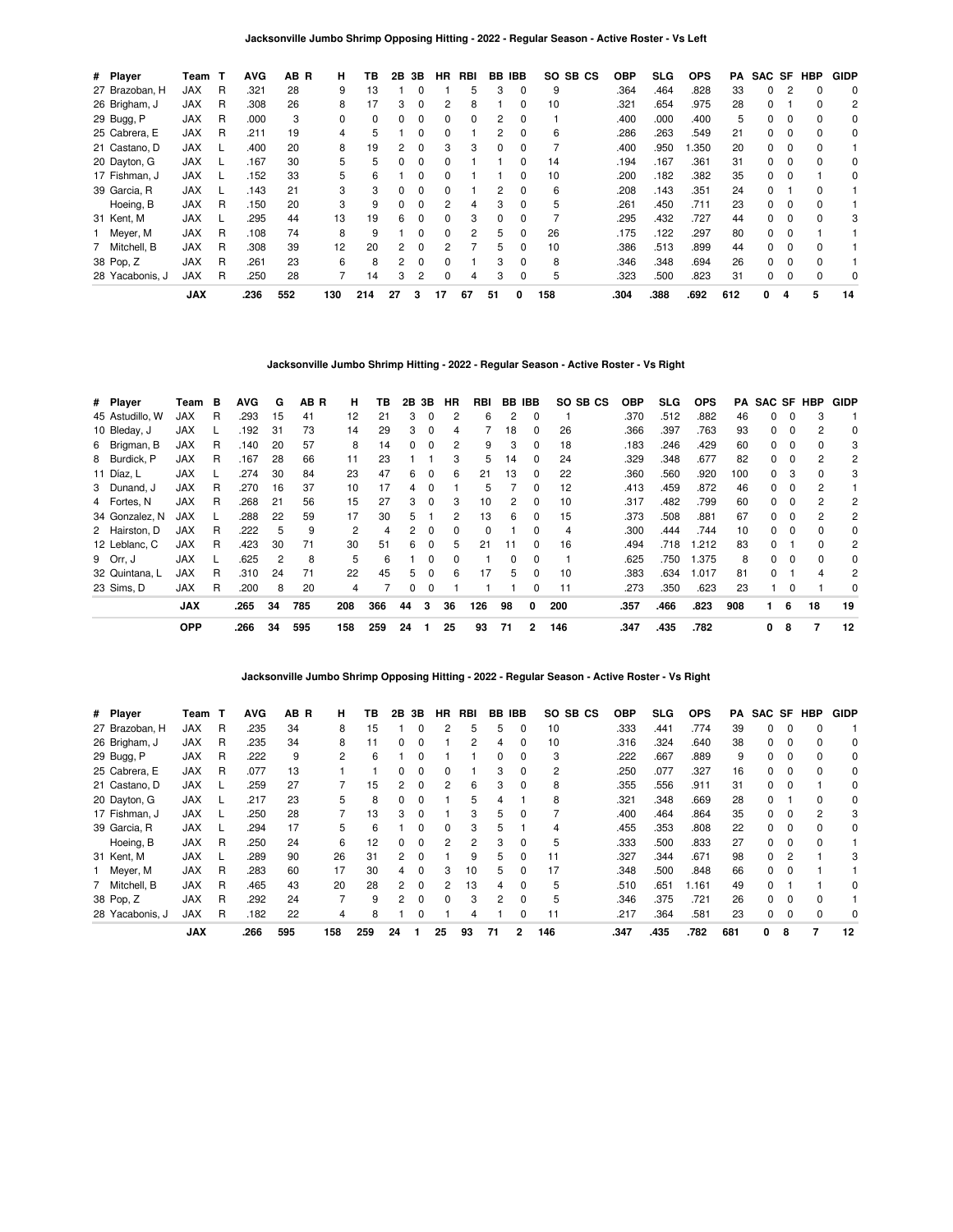**Jacksonville Jumbo Shrimp Opposing Hitting - 2022 - Regular Season - Active Roster - Vs Left**

| # Player        | Team       | т | <b>AVG</b> | AB R | н        | ΤВ  | 2В | 3В           | <b>HR</b> | RBI | BB | <b>IBB</b>   | SO SB CS | <b>OBP</b> | SLG  | <b>OPS</b> | PA  | SAC SF |          | <b>HBP</b> | <b>GIDP</b> |
|-----------------|------------|---|------------|------|----------|-----|----|--------------|-----------|-----|----|--------------|----------|------------|------|------------|-----|--------|----------|------------|-------------|
| 27 Brazoban, H  | <b>JAX</b> | R | .321       | 28   | 9        | 13  |    |              |           | 5   | 3  |              | 9        | .364       | .464 | .828       | 33  | 0      |          |            | 0           |
| 26 Brigham, J   | <b>JAX</b> | R | .308       | 26   | 8        | 17  | 3  | 0            | 2         | 8   |    |              | 10       | .321       | .654 | .975       | 28  | 0      |          | 0          | 2           |
| 29 Bugg, P      | <b>JAX</b> | R | .000       | 3    | $\Omega$ | 0   | 0  | 0            | 0         | 0   | 2  | 0            |          | .400       | .000 | .400       | 5   | 0      |          | $\Omega$   | 0           |
| 25 Cabrera, E   | <b>JAX</b> | R | .211       | 19   | 4        | 5   |    | <sup>0</sup> | 0         |     | 2  | <sup>0</sup> | 6        | .286       | .263 | .549       | 21  | 0      |          | $\Omega$   | 0           |
| 21 Castano, D   | <b>JAX</b> |   | .400       | 20   | 8        | 19  |    | 0            | 3         | 3   | 0  |              |          | .400       | .950 | .350       | 20  | 0      |          |            |             |
| 20 Dayton, G    | <b>JAX</b> |   | .167       | 30   | 5.       | 5   | 0  | 0            | 0         |     |    |              | 14       | .194       | .167 | .361       | 31  | 0      | 0        | $\Omega$   | $\Omega$    |
| 17 Fishman, J   | <b>JAX</b> |   | .152       | 33   | 5        | 6   |    | 0            | 0         |     |    | n            | 10       | .200       | .182 | .382       | 35  | 0      |          |            | 0           |
| 39 Garcia, R    | <b>JAX</b> |   | .143       | 21   | 3        | 3   | 0  | 0            | 0         |     | 2  |              | 6        | .208       | .143 | .351       | 24  | O.     |          |            |             |
| Hoeing, B       | <b>JAX</b> | R | .150       | 20   | 3        | 9   | 0  | 0            | 2         | 4   | 3  | 0            | 5        | .261       | .450 | .711       | 23  | 0      |          |            |             |
| 31 Kent, M      | <b>JAX</b> |   | .295       | 44   | 13       | 19  | 6  | $\Omega$     | $\Omega$  | 3   | 0  | $\Omega$     |          | .295       | .432 | .727       | 44  | 0      | $\Omega$ | $\Omega$   | 3           |
| 1 Meyer, M      | <b>JAX</b> | R | .108       | 74   | 8        | 9   |    | 0            | 0         | 2   | 5  | 0            | 26       | .175       | .122 | .297       | 80  | 0      |          |            |             |
| 7 Mitchell, B   | <b>JAX</b> | R | .308       | 39   | 12       | 20  | 2  | 0            |           |     | 5  |              | 10       | .386       | .513 | .899       | 44  | 0      |          |            |             |
| 38 Pop, Z       | <b>JAX</b> | R | .261       | 23   | 6        | 8   | 2  | 0            | $\Omega$  |     | 3  | <sup>0</sup> | 8        | .346       | .348 | .694       | 26  | 0      |          | $\Omega$   |             |
| 28 Yacabonis, J | <b>JAX</b> | R | .250       | 28   |          | 14  | 3  | 2            | $\Omega$  | 4   | 3  |              | 5        | .323       | .500 | .823       | 31  | 0      |          | $\Omega$   | 0           |
|                 | <b>JAX</b> |   | .236       | 552  | 130      | 214 | 27 | 3            | 17        | 67  | 51 | 0            | 158      | .304       | .388 | .692       | 612 | 0      | 4        | 5          | 14          |

**Jacksonville Jumbo Shrimp Hitting - 2022 - Regular Season - Active Roster - Vs Right**

| # Player        | Team       | в | <b>AVG</b> | G  | AB R | н   | ΤВ  |              | 2B 3B    | HR | RBI |    | BB IBB   | SO SB CS | <b>OBP</b> | <b>SLG</b> | <b>OPS</b> | PA  | SAC SF HBP   |          |              | <b>GIDP</b>    |
|-----------------|------------|---|------------|----|------|-----|-----|--------------|----------|----|-----|----|----------|----------|------------|------------|------------|-----|--------------|----------|--------------|----------------|
| 45 Astudillo, W | JAX        | R | .293       | 15 | 41   | 12  | 21  | 3            | 0        | 2  | 6   | 2  | 0        |          | .370       | .512       | .882       | 46  | 0            | 0        | 3            |                |
| 10 Bleday, J    | <b>JAX</b> |   | .192       | 31 | 73   | 14  | 29  | 3            | $\Omega$ | 4  |     | 18 | $\Omega$ | 26       | .366       | .397       | .763       | 93  | 0            | $\Omega$ | 2            | 0              |
| 6 Brigman, B    | <b>JAX</b> | R | .140       | 20 | 57   | 8   | 14  | 0            | 0        | 2  | 9   | 3  | 0        | 18       | .183       | .246       | .429       | 60  | 0            |          | 0            | 3              |
| 8 Burdick, P    | <b>JAX</b> | R | .167       | 28 | 66   | 11  | 23  |              |          | 3  | 5   | 14 | 0        | 24       | .329       | .348       | .677       | 82  | 0            | 0        |              | 2              |
| 11 Díaz, L      | <b>JAX</b> |   | .274       | 30 | 84   | 23  | 47  | 6            | 0        | 6  | 21  | 13 | 0        | 22       | .360       | .560       | .920       | 100 | 0            | 3        | 0            | 3              |
| 3 Dunand, J     | <b>JAX</b> | R | .270       | 16 | 37   | 10  | 17  | 4            | $\Omega$ |    | 5   |    | $\Omega$ | 12       | .413       | .459       | .872       | 46  | 0            | $\Omega$ | 2            |                |
| 4 Fortes, N     | <b>JAX</b> | R | .268       | 21 | 56   | 15  | 27  | 3            | $\Omega$ | 3  | 10  | 2  | $\Omega$ | 10       | .317       | .482       | .799       | 60  | O.           | $\Omega$ | 2            | 2              |
| 34 Gonzalez, N  | <b>JAX</b> |   | .288       | 22 | 59   | 17  | 30  | 5            |          | 2  | 13  | 6  | $\Omega$ | 15       | .373       | .508       | .881       | 67  | 0            | 0        | 2            | $\overline{c}$ |
| 2 Hairston, D   | <b>JAX</b> | R | .222       | 5  | 9    | 2   | 4   | $\mathbf{2}$ | $\Omega$ | 0  | 0   |    | $\Omega$ | 4        | .300       | .444       | .744       | 10  | 0            | $\Omega$ | 0            | 0              |
| 12 Leblanc, C   | <b>JAX</b> | R | .423       | 30 | 71   | 30  | 51  | 6            | $\Omega$ | 5  | 21  | 11 | $\Omega$ | 16       | .494       | .718       | .212       | 83  | <sup>0</sup> |          | <sup>0</sup> | 2              |
| 9 Orr. J        | <b>JAX</b> |   | .625       | 2  | 8    | 5   | 6   |              | $\Omega$ | 0  |     | 0  | $\Omega$ |          | .625       | .750       | .375       | 8   | 0            | $\Omega$ | 0            | 0              |
| 32 Quintana, L  | <b>JAX</b> | R | .310       | 24 | 71   | 22  | 45  | 5            | $\Omega$ | 6  | 17  | 5. | $\Omega$ | 10       | .383       | .634       | 1.017      | 81  | <sup>0</sup> |          | 4            | 2              |
| 23 Sims. D      | <b>JAX</b> | R | .200       | 8  | 20   | 4   |     | 0            | $\Omega$ |    |     |    | 0        | 11       | .273       | .350       | .623       | 23  |              | $\Omega$ |              | 0              |
|                 | <b>JAX</b> |   | .265       | 34 | 785  | 208 | 366 | 44           | 3        | 36 | 126 | 98 | 0        | 200      | .357       | .466       | .823       | 908 |              | 6        | 18           | 19             |
|                 | <b>OPP</b> |   | .266       | 34 | 595  | 158 | 259 | 24           |          | 25 | 93  | 71 | 2        | 146      | .347       | .435       | .782       |     | 0            | 8        | 7            | 12             |

**Jacksonville Jumbo Shrimp Opposing Hitting - 2022 - Regular Season - Active Roster - Vs Right**

| # Player        | Team       |   | <b>AVG</b> | AB R | н              | ΤВ  | 2Β | 3В       | ΗR           | RBI | BB            | IBB          | SO SB CS       | <b>OBP</b> | SLG  | <b>OPS</b> | PA  | SAC SF |          | HBP | <b>GIDP</b> |
|-----------------|------------|---|------------|------|----------------|-----|----|----------|--------------|-----|---------------|--------------|----------------|------------|------|------------|-----|--------|----------|-----|-------------|
| 27 Brazoban, H  | <b>JAX</b> | R | .235       | 34   | 8              | 15  |    |          | 2            | 5   | 5             | 0            | 10             | .333       | .441 | .774       | 39  | 0      | 0        |     |             |
| 26 Brigham, J   | <b>JAX</b> | R | .235       | 34   | 8              | 11  | 0  | O        |              | 2   | 4             | 0            | 10             | .316       | .324 | .640       | 38  | 0      |          |     | $\Omega$    |
| 29 Bugg, P      | <b>JAX</b> | R | .222       | 9    | $\overline{2}$ | 6   |    |          |              |     | 0             | 0            | 3              | .222       | .667 | .889       | 9   | 0      | 0        |     | 0           |
| 25 Cabrera, E   | <b>JAX</b> | R | .077       | 13   |                |     |    |          |              |     |               | 0            | $\overline{2}$ | .250       | .077 | .327       | 16  | 0      |          |     | 0           |
| 21 Castano, D   | <b>JAX</b> |   | .259       | 27   |                | 15  | 2  | 0        | 2            | 6   | 3             | 0            | 8              | .355       | .556 | .911       | 31  | 0      |          |     | 0           |
| 20 Dayton, G    | <b>JAX</b> |   | .217       | 23   | 5              | 8   | 0  | 0        |              | 5   | 4             |              | 8              | .321       | .348 | .669       | 28  | 0      |          | n   | 0           |
| 17 Fishman, J   | <b>JAX</b> |   | .250       | 28   |                | 13  | 3  |          |              | 3   | 5.            | <sup>0</sup> |                | .400       | .464 | .864       | 35  | 0      |          | 2   | 3           |
| 39 Garcia, R    | <b>JAX</b> |   | .294       | 17   | 5              | 6   |    |          | 0            | 3   |               |              |                | .455       | .353 | .808       | 22  | 0      |          |     | 0           |
| Hoeing, B       | <b>JAX</b> | R | .250       | 24   | 6              | 12  | 0  | 0        | 2            | 2   | 3             | 0            | 5              | .333       | .500 | .833       | 27  | 0      | $\Omega$ |     |             |
| 31 Kent, M      | <b>JAX</b> |   | .289       | 90   | 26             | 31  | 2  | $\Omega$ |              | 9   | 5             | 0            | 11             | .327       | .344 | .671       | 98  | 0      | 2        |     |             |
| 1 Meyer, M      | <b>JAX</b> | R | .283       | 60   | 17             | 30  | 4  |          | 3            | 10  | 5.            | ŋ            | 17             | .348       | .500 | .848       | 66  | 0      |          |     |             |
| 7 Mitchell, B   | <b>JAX</b> | R | .465       | 43   | 20             | 28  | 2  | $\Omega$ | 2            | 13  | 4             | 0            | 5              | .510       | .651 | 1.161      | 49  | 0      |          |     | 0           |
| 38 Pop, Z       | <b>JAX</b> | R | .292       | 24   |                | 9   | 2  | O        | <sup>0</sup> | 3   | $\mathcal{P}$ | 0            | 5              | .346       | .375 | .721       | 26  | 0      |          |     |             |
| 28 Yacabonis, J | <b>JAX</b> | R | .182       | 22   | 4              | 8   |    |          |              | 4   |               | 0            | 11             | .217       | .364 | .581       | 23  | 0      |          |     | 0           |
|                 | <b>JAX</b> |   | .266       | 595  | 158            | 259 | 24 |          | 25           | 93  | 71            | 2            | 146            | .347       | .435 | .782       | 681 | 0      | 8        |     | 12          |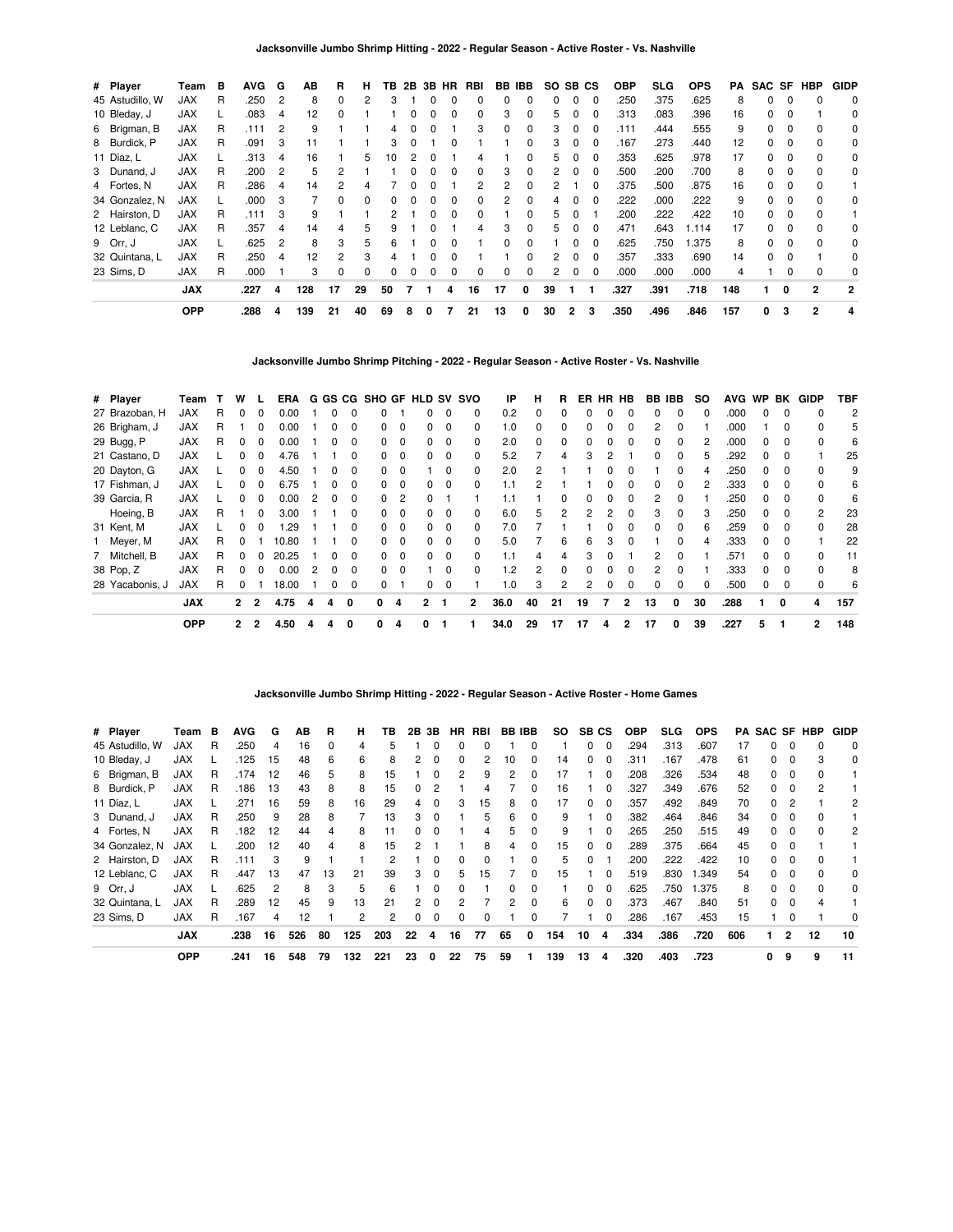| # Player        | Team       | в | <b>AVG</b> | G              | ΑВ  | R        | н        | ΤВ       | 2B | 3B HR        |   | RBI          | BB       | IBB          | SO SB CS |                |          | <b>OBP</b> | SLG  | <b>OPS</b> | PA  |    |              | SAC SF HBP     | <b>GIDP</b>    |
|-----------------|------------|---|------------|----------------|-----|----------|----------|----------|----|--------------|---|--------------|----------|--------------|----------|----------------|----------|------------|------|------------|-----|----|--------------|----------------|----------------|
| 45 Astudillo, W | JAX        | R | .250       | $\overline{2}$ | 8   | $\Omega$ |          |          |    |              |   |              |          |              | 0        | $\Omega$       | 0        | .250       | .375 | .625       | 8   | 0  | 0            |                | 0              |
| 10 Bleday, J    | <b>JAX</b> |   | .083       | 4              | 12  | $\Omega$ |          |          |    |              |   | 0            | З        | O            | 5        | 0              | 0        | .313       | .083 | .396       | 16  | 0  |              |                | 0              |
| 6 Brigman, B    | JAX        | R | .111       | $\overline{c}$ | 9   |          |          | 4        |    |              |   | 3            |          | 0            | 3        | $\Omega$       | 0        | .111       | .444 | .555       | 9   | 0  |              |                | 0              |
| 8 Burdick, P    | <b>JAX</b> | R | .091       | 3              | 11  |          |          | з        |    |              |   |              |          | <sup>0</sup> | 3        | $\Omega$       | $\Omega$ | .167       | .273 | .440       | 12  | 0  | $\Omega$     | $\Omega$       | 0              |
| 11 Díaz, L      | <b>JAX</b> | L | .313       | 4              | 16  |          | 5.       | 10       | 2  |              |   | 4            |          | <sup>0</sup> | 5        | $\Omega$       | $\Omega$ | .353       | .625 | .978       | 17  | 0  | 0            | $\Omega$       | 0              |
| 3 Dunand, J     | <b>JAX</b> | R | .200       | $\overline{2}$ | 5   | 2        |          |          |    |              |   | <sup>0</sup> | з        | O            | 2        | $\Omega$       | 0        | .500       | .200 | .700       | 8   | 0  | <sup>0</sup> | $\Omega$       | 0              |
| 4 Fortes, N     | <b>JAX</b> | R | .286       | 4              | 14  | 2        |          |          |    |              |   |              |          |              | 2        |                | 0        | .375       | .500 | .875       | 16  | 0  | 0            | $\Omega$       |                |
| 34 Gonzalez, N  | <b>JAX</b> |   | .000       | 3              |     | 0        |          |          |    |              |   | 0            |          | <sup>0</sup> | 4        |                | 0        | .222       | .000 | .222       | 9   | 0  |              |                | 0              |
| 2 Hairston, D   | <b>JAX</b> | R | .111       | 3              | 9   |          |          |          |    |              |   | 0            |          | 0            | 5        | $\Omega$       |          | .200       | .222 | .422       | 10  | 0  | - 0          | $\Omega$       |                |
| 12 Leblanc, C   | <b>JAX</b> | R | .357       | 4              | 14  | 4        |          |          |    | $\Omega$     |   | 4            | з        | <sup>0</sup> | 5        | $\Omega$       | $\Omega$ | .471       | .643 | 1.114      | 17  | 0  | $\Omega$     | $\Omega$       | 0              |
| 9 Orr, J        | <b>JAX</b> |   | .625       | 2              | 8   | 3        | 5.       | 6        |    | <sup>0</sup> |   |              | n        | <sup>0</sup> |          | <sup>0</sup>   | $\Omega$ | .625       | .750 | .375       | 8   | 0  | <sup>0</sup> | $\Omega$       | 0              |
| 32 Quintana, L  | <b>JAX</b> | R | .250       | 4              | 12  | 2        |          |          |    |              |   |              |          |              | 2        |                | 0        | .357       | .333 | .690       | 14  | O. |              |                | 0              |
| 23 Sims, D      | JAX        | R | .000       |                | 3   | 0        | $\Omega$ | $\Omega$ | 0  | 0            | 0 | 0            | $\Omega$ | 0            | 2        | 0              | 0        | .000       | .000 | .000       |     |    |              |                | 0              |
|                 | <b>JAX</b> |   | .227       | 4              | 128 | 17       | 29       | 50       |    |              | 4 | 16           | 17       | 0            | 39       |                |          | .327       | .391 | .718       | 148 |    | 0            | $\overline{2}$ | $\overline{2}$ |
|                 | <b>OPP</b> |   | .288       | 4              | 139 | 21       | 40       | 69       | 8  | 0            |   | 21           | 13       | 0            | 30       | $\overline{2}$ | 3        | .350       | .496 | .846       | 157 | 0  | 3            | $\overline{2}$ | 4              |

**Jacksonville Jumbo Shrimp Pitching - 2022 - Regular Season - Active Roster - Vs. Nashville**

| # Player        | Team       |   | w            |                | <b>ERA</b> |   |   |              |              |          | G GS CG SHO GF HLD SV SVO |             |          | IP   | н            | R  | ER | HR HB |                | BB IBB |              | <b>SO</b> | <b>AVG</b> | WP BK        |          | GIDP           | TBF            |
|-----------------|------------|---|--------------|----------------|------------|---|---|--------------|--------------|----------|---------------------------|-------------|----------|------|--------------|----|----|-------|----------------|--------|--------------|-----------|------------|--------------|----------|----------------|----------------|
| 27 Brazoban, H  | <b>JAX</b> | R | <sup>0</sup> | $\Omega$       | 0.00       |   |   |              |              |          |                           | 0           | 0        | 0.2  | $\Omega$     | 0  |    |       | 0              | 0      | 0            | $\Omega$  | .000       | <sup>0</sup> | $\Omega$ | 0              | $\overline{c}$ |
| 26 Brigham, J   | <b>JAX</b> | R |              |                | 0.00       |   |   | 0            |              | $\Omega$ |                           | $\Omega$    | 0        | 1.0  | <sup>0</sup> | 0  |    |       |                | 2      |              |           | .000       |              | 0        |                | 5              |
| 29 Bugg, P      | <b>JAX</b> | R |              |                | 0.00       |   |   |              |              | 0        |                           | 0           | 0        | 2.0  |              |    |    |       |                | 0      | 0            |           | .000       |              |          |                | 6              |
| 21 Castano, D   | JAX        |   |              |                | 4.76       |   |   |              | 0            | 0        |                           | $\mathbf 0$ | 0        | 5.2  |              | 4  |    |       |                | 0      | 0            | 5         | .292       |              |          |                | 25             |
| 20 Dayton, G    | <b>JAX</b> |   | o            | 0              | 4.50       |   | 0 | 0            | 0            | 0        |                           | $\Omega$    | 0        | 2.0  | 2            |    |    |       |                |        | 0            | 4         | .250       | 0            | 0        |                | 9              |
| 17 Fishman, J   | <b>JAX</b> |   |              |                | 6.75       |   | O | $\Omega$     | <sup>0</sup> | $\Omega$ |                           | $\Omega$    | 0        | 1.1  | 2            |    |    |       | <sup>0</sup>   | 0      | $\Omega$     |           | .333       | <sup>n</sup> | n        |                | 6              |
| 39 Garcia, R    | <b>JAX</b> |   |              |                | 0.00       |   |   |              |              |          |                           |             |          | 1.1  |              |    |    |       |                | 2      |              |           | .250       |              |          |                | 6              |
| Hoeing, B       | <b>JAX</b> | R |              |                | 3.00       |   |   |              |              | 0        |                           | 0           | 0        | 6.0  | 5            |    |    |       | 0              | з      | 0            |           | .250       |              | 0        | 2              | 23             |
| 31 Kent, M      | <b>JAX</b> |   | O            | 0              | .29        |   |   | 0            | 0            | 0        | 0                         | $\mathbf 0$ | $\Omega$ | 7.0  |              |    |    |       | 0              | 0      | $\Omega$     | 6         | .259       | 0            | $\Omega$ | 0              | 28             |
| 1 Meyer, M      | <b>JAX</b> | R | O            |                | 10.80      |   |   | <sup>0</sup> | <sup>0</sup> | $\Omega$ |                           | $\Omega$    | $\Omega$ | 5.0  |              | 6  | 6  | 3     | <sup>0</sup>   |        | <sup>0</sup> |           | .333       | <sup>n</sup> | $\Omega$ |                | 22             |
| 7 Mitchell, B   | <b>JAX</b> | R |              |                | 20.25      |   |   |              |              | $\Omega$ |                           | $\Omega$    |          | 1.1  | 4            |    |    |       |                | 2      |              |           | .571       |              |          |                | 11             |
| 38 Pop, Z       | <b>JAX</b> | R |              |                | 0.00       | 2 | O |              | <sup>0</sup> | $\Omega$ |                           | $\Omega$    | 0        | 1.2  | 2            | 0  |    |       | 0              | 2      | $\Omega$     |           | .333       |              |          |                | 8              |
| 28 Yacabonis, J | <b>JAX</b> | R | 0            |                | 18.00      |   | 0 | $\Omega$     | 0            |          | 0                         | $\Omega$    |          | 1.0  | 3            | 2  | 2  |       | 0              | 0      | 0            |           | .500       |              | $\Omega$ | 0              | 6              |
|                 | <b>JAX</b> |   | $\mathbf{2}$ | $\overline{2}$ | 4.75       | 4 | 4 | 0            | 0            | 4        | 2                         |             | 2        | 36.0 | 40           | 21 | 19 | 7     | $\overline{2}$ | 13     | 0            | 30        | .288       |              | 0        | 4              | 157            |
|                 | <b>OPP</b> |   | $\mathbf{2}$ | 2              | 4.50       | 4 | 4 | 0            | 0            | 4        | 0                         |             |          | 34.0 | 29           | 17 | 17 | 4     | 2              | 17     | 0            | 39        | .227       | 5            |          | $\overline{2}$ | 148            |

## **Jacksonville Jumbo Shrimp Hitting - 2022 - Regular Season - Active Roster - Home Games**

| # Player        | Team       | В | <b>AVG</b> | G  | ΑВ  | R            | н   | ΤВ  | 2B           | 3В           | HR. | RBI | <b>BB IBB</b> |              | SO. | SB. | СS       | <b>OBP</b> | <b>SLG</b> | <b>OPS</b> |     |              |                | <b>PA SAC SF HBP</b> | <b>GIDP</b> |
|-----------------|------------|---|------------|----|-----|--------------|-----|-----|--------------|--------------|-----|-----|---------------|--------------|-----|-----|----------|------------|------------|------------|-----|--------------|----------------|----------------------|-------------|
| 45 Astudillo, W | <b>JAX</b> | R | .250       | 4  | 16  | <sup>0</sup> | 4   | h   |              |              | 0   |     |               |              |     | 0   | n        | .294       | .313       | .607       | 17  |              |                |                      | $\Omega$    |
| 10 Bleday, J    | <b>JAX</b> |   | .125       | 15 | 48  | 6            | 6   | 8   |              |              | 0   |     | 10            | $\Omega$     | 14  | 0   |          | .311       | .167       | .478       | 61  |              | 0              |                      | 0           |
| 6 Brigman, B    | <b>JAX</b> | R | .174       | 12 | 46  | 5            | 8   | 15  |              |              | 2   | 9   | 2             | $\Omega$     | 17  |     | $\Omega$ | .208       | .326       | .534       | 48  | 0            | 0              |                      |             |
| 8 Burdick, P    | <b>JAX</b> | R | .186       | 13 | 43  | 8            | 8   | 15  | $\Omega$     | 2            |     | 4   |               | $\Omega$     | 16  |     | $\Omega$ | .327       | .349       | .676       | 52  | <sup>0</sup> | $\Omega$       | 2                    |             |
| 11 Díaz, L      | <b>JAX</b> |   | .271       | 16 | 59  | 8            | 16  | 29  | 4            | $\Omega$     | 3   | 15  | 8             | $\Omega$     | 17  | 0   | $\Omega$ | .357       | .492       | .849       | 70  | <sup>0</sup> |                |                      | 2           |
| 3 Dunand, J     | <b>JAX</b> | R | .250       | 9  | 28  | 8            |     | 13  | 3            |              |     | 5   | 6             | O            | 9   |     | $\Omega$ | .382       | .464       | .846       | 34  |              |                |                      |             |
| 4 Fortes, N     | <b>JAX</b> | R | .182       | 12 | 44  | 4            | 8   | 11  | <sup>o</sup> | $\Omega$     |     | 4   | 5             | $\Omega$     | 9   |     | $\Omega$ | .265       | .250       | .515       | 49  | <sup>0</sup> | 0              |                      | 2           |
| 34 Gonzalez, N  | <b>JAX</b> |   | .200       | 12 | 40  | 4            | 8   | 15  |              |              |     | 8   | 4             | $\Omega$     | 15  | 0   | $\Omega$ | .289       | .375       | .664       | 45  | <sup>0</sup> | $\Omega$       |                      |             |
| 2 Hairston, D   | <b>JAX</b> | R | .111       | 3  | 9   |              |     | 2   |              | n            | 0   | 0   |               | O            | 5   | 0   |          | .200       | .222       | .422       | 10  |              | 0              |                      |             |
| 12 Leblanc, C   | <b>JAX</b> | R | .447       | 13 | 47  | 13           | 21  | 39  | 3            | $\Omega$     | 5   | 15  |               | $\Omega$     | 15  |     |          | .519       | .830       | 1.349      | 54  |              | <sup>0</sup>   |                      | 0           |
| 9 Orr, J        | <b>JAX</b> |   | .625       | 2  | 8   | 3            | 5   | 6   |              | <sup>0</sup> | 0   |     | 0             | 0            |     | 0   | $\Omega$ | .625       | .750       | 1.375      | 8   | 0            | 0              |                      | 0           |
| 32 Quintana. L  | <b>JAX</b> | R | .289       | 12 | 45  | 9            | 13  | 21  |              | n            |     |     | 2             | <sup>0</sup> | 6   | 0   | $\Omega$ | .373       | .467       | .840       | 51  | <sup>0</sup> | $\Omega$       | Δ                    |             |
| 23 Sims, D      | <b>JAX</b> | R | .167       | 4  | 12  |              | 2   | 2   | 0            | $\Omega$     | 0   | 0   |               | 0            |     |     | $\Omega$ | .286       | .167       | .453       | 15  |              | 0              |                      | $\Omega$    |
|                 | <b>JAX</b> |   | .238       | 16 | 526 | 80           | 125 | 203 | 22           | 4            | 16  | 77  | 65            | $\mathbf{0}$ | 154 | 10  | 4        | .334       | .386       | .720       | 606 |              | $\overline{2}$ | 12                   | 10          |
|                 | <b>OPP</b> |   | .241       | 16 | 548 | 79           | 132 | 221 | 23           | 0            | 22  | 75  | 59            |              | 139 | 13  | 4        | .320       | .403       | .723       |     | 0            | 9              | 9                    | 11          |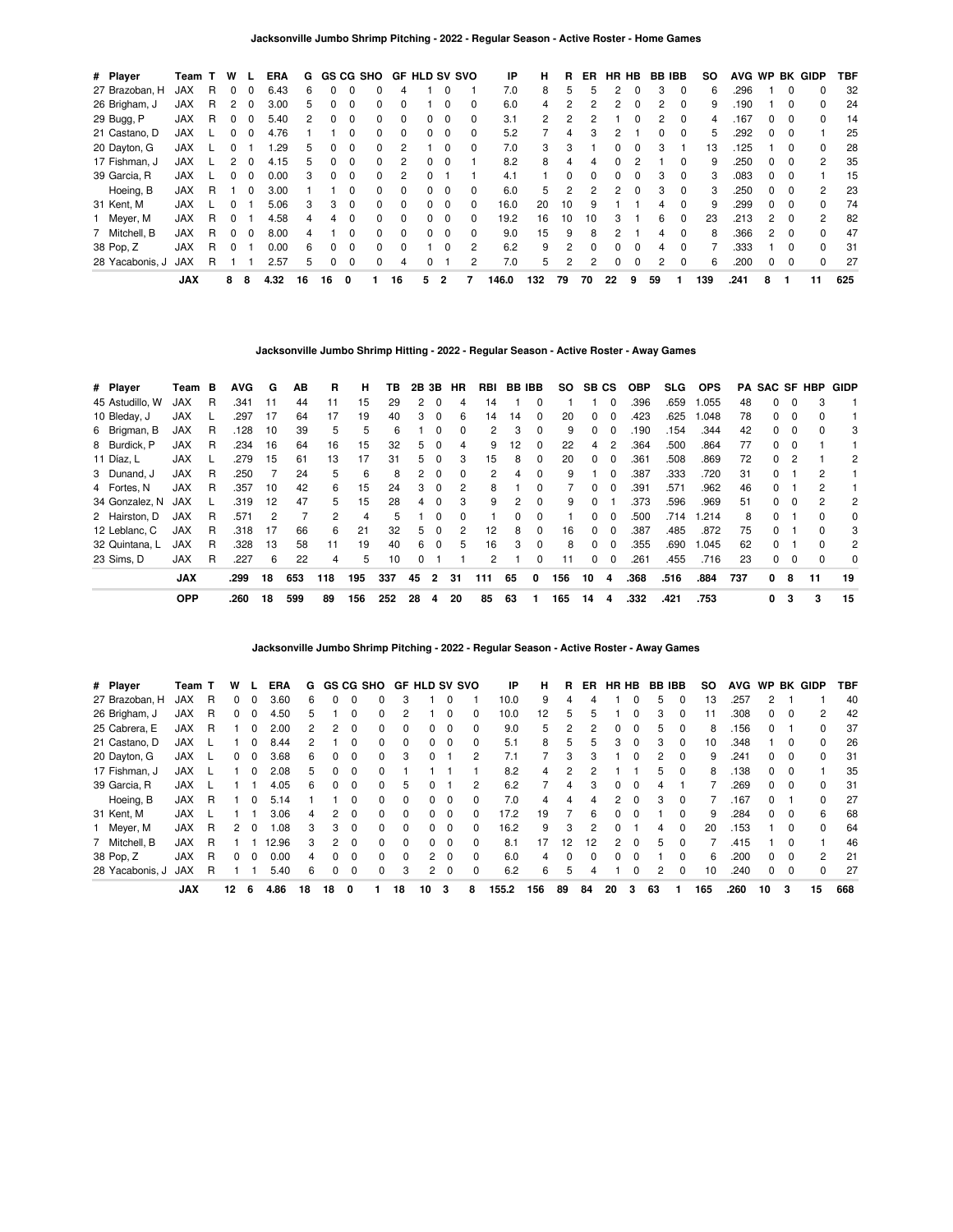| # Player        | Team T     |   | W            |              | <b>ERA</b> | G  |    |          | GS CG SHO    |          | <b>GF HLD SV SVO</b> |             |              | IP    | н            | R  | ER. | HR HB    |              | <b>BB IBB</b> |          | so  | <b>AVG</b> | <b>WP</b>     | BK           | GIDP           | <b>TBF</b> |
|-----------------|------------|---|--------------|--------------|------------|----|----|----------|--------------|----------|----------------------|-------------|--------------|-------|--------------|----|-----|----------|--------------|---------------|----------|-----|------------|---------------|--------------|----------------|------------|
| 27 Brazoban, H  | <b>JAX</b> | R | $\Omega$     | 0            | 6.43       | 6  | 0  |          |              | 4        |                      |             |              | 7.0   | 8            | 5  |     | 2        |              | 3             | $\Omega$ | 6   | 296        |               | 0            | 0              | 32         |
| 26 Brigham, J   | JAX        | R | 2            | <sup>0</sup> | 3.00       | 5  | 0  | $\Omega$ | 0            | 0        |                      | $\Omega$    | 0            | 6.0   | 4            | 2  |     | 2        | O            | 2             | $\Omega$ | 9   | .190       |               | 0            | 0              | 24         |
| 29 Bugg, P      | JAX        | R |              |              | 5.40       | 2  | 0  |          | 0            |          |                      | $\Omega$    | 0            | 3.1   | $\mathbf{2}$ |    |     |          |              | 2             |          | 4   | .167       | 0             | 0            | <sup>0</sup>   | 14         |
| 21 Castano, D   | JAX        |   | <sup>0</sup> | <sup>0</sup> | 4.76       |    |    |          | 0            | $\Omega$ | 0                    | $\Omega$    | 0            | 5.2   |              | 4  | 3   | 2        |              | 0             | $\Omega$ | 5   | 292        | 0             | 0            |                | 25         |
| 20 Dayton, G    | JAX        |   |              |              | .29        | 5  | 0  | $\Omega$ | 0            | 2        |                      |             | <sup>0</sup> | 7.0   | 3            | 3  |     | 0        |              | 3             |          | 13  | .125       |               | 0            | <sup>0</sup>   | 28         |
| 17 Fishman, J   | JAX        |   |              |              | 4.15       | 5  | 0  | $\Omega$ | 0            |          | 0                    | $\Omega$    |              | 8.2   | 8            | 4  | 4   | $\Omega$ |              |               | $\Omega$ | 9   | 250        | 0             | 0            | 2              | 35         |
| 39 Garcia, R    | JAX        |   |              |              | 0.00       | 3  | 0  |          | 0            | 2        |                      |             |              | 4.1   |              | 0  |     | 0        | O            | 3             | $\Omega$ | 3   | .083       | 0             | 0            |                | 15         |
| Hoeing, B       | <b>JAX</b> | R |              | 0            | 3.00       |    |    |          | 0            | $\Omega$ |                      | $\Omega$    | 0            | 6.0   | 5            | 2  |     | 2        | $\Omega$     | 3             | $\Omega$ | 3   | .250       | 0             | 0            | $\overline{2}$ | 23         |
| 31 Kent, M      | <b>JAX</b> |   | 0            |              | 5.06       | 3  | 3  | $\Omega$ | 0            | $\Omega$ | 0                    | $\Omega$    | 0            | 16.0  | 20           | 10 | q   |          |              | 4             | $\Omega$ | 9   | 299        | 0             | $\Omega$     | <sup>0</sup>   | 74         |
| Meyer, M        | <b>JAX</b> | R | $\Omega$     |              | 4.58       | 4  | Δ  |          | 0            | $\Omega$ | O.                   | $\mathbf 0$ | 0            | 19.2  | 16           | 10 | 10  | 3        |              | 6             | $\Omega$ | 23  | .213       | $\mathbf{2}$  | $\Omega$     | 2              | 82         |
| 7 Mitchell, B   | JAX        | R | <sup>0</sup> | <sup>0</sup> | 8.00       | 4  |    |          | <sup>0</sup> | $\Omega$ | 0                    | $\Omega$    | 0            | 9.0   | 15           | 9  | 8   | 2        |              | 4             | $\Omega$ | 8   | .366       | $\mathcal{P}$ | $\Omega$     | $\Omega$       | 47         |
| 38 Pop, Z       | <b>JAX</b> | R |              |              | 0.00       | 6  | 0  | $\Omega$ | 0            |          |                      | $\Omega$    | 2            | 6.2   | 9            | 2  |     | $\Omega$ |              | Δ             |          |     | .333       |               | <sup>0</sup> | $\Omega$       | 31         |
| 28 Yacabonis, J | <b>JAX</b> | R |              |              | 2.57       | 5  | 0  | $\Omega$ | 0            | 4        |                      |             | 2            | 7.0   | 5            | 2  | 2   | $\Omega$ | <sup>0</sup> | 2             | $\Omega$ | 6   | .200       | 0             | 0            | $\Omega$       | 27         |
|                 | <b>JAX</b> |   | 8            | 8            | 4.32       | 16 | 16 | 0        |              | 16       | 5                    | 2           |              | 146.0 | 132          | 79 | 70  | 22       | 9            | 59            |          | 139 | .241       | 8             |              | 11             | 625        |

**Jacksonville Jumbo Shrimp Hitting - 2022 - Regular Season - Active Roster - Away Games**

| # Player        | Team       | в | <b>AVG</b> | G  | AB  | R   | н   | ΤВ  | 2B | 3В       | HR | RBI | <b>BB IBB</b> |          | SO. | SB CS        |                | <b>OBP</b> | SLG. | <b>OPS</b> | PA  |    |          | <b>SAC SF HBP</b> | GIDP |
|-----------------|------------|---|------------|----|-----|-----|-----|-----|----|----------|----|-----|---------------|----------|-----|--------------|----------------|------------|------|------------|-----|----|----------|-------------------|------|
| 45 Astudillo, W | <b>JAX</b> | R | .341       | 11 | 44  | 11  | 15  | 29  | 2  | 0        | 4  | 14  |               | 0        |     |              | 0              | .396       | .659 | 1.055      | 48  | 0  | $\Omega$ | 3                 |      |
| 10 Bleday, J    | <b>JAX</b> |   | .297       | 17 | 64  | 17  | 19  | 40  | 3  | $\Omega$ | 6  | 14  | 14            | 0        | 20  | 0            | $\Omega$       | .423       | .625 | 1.048      | 78  | 0  | $\Omega$ | o                 |      |
| 6 Brigman, B    | <b>JAX</b> | R | .128       | 10 | 39  | 5   | 5   | 6   |    | 0        | 0  | 2   | 3             | 0        | 9   | <sup>0</sup> | $\Omega$       | .190       | .154 | .344       | 42  | O. | $\Omega$ | ŋ                 | 3    |
| 8 Burdick, P    | <b>JAX</b> | R | .234       | 16 | 64  | 16  | 15  | 32  | 5. | 0        | 4  | 9   | 12            | 0        | 22  | 4            | $\overline{2}$ | .364       | .500 | .864       | 77  | 0  | 0        |                   |      |
| 11 Díaz. L      | <b>JAX</b> |   | .279       | 15 | 61  | 13  | 17  | 31  | 5  | - 0      | 3  | 15  | 8             | 0        | 20  | $\Omega$     | $\Omega$       | .361       | .508 | .869       | 72  | 0  |          |                   | 2    |
| 3 Dunand, J     | <b>JAX</b> | R | .250       |    | 24  | 5   | 6   | 8   | 2  | $\Omega$ | 0  | 2   | 4             | 0        | 9   |              | $\Omega$       | .387       | .333 | .720       | 31  | 0  |          | 2                 |      |
| 4 Fortes, N     | <b>JAX</b> | R | .357       | 10 | 42  | 6   | 15  | 24  | 3  | $\Omega$ | 2  | 8   |               | 0        |     | 0            | $\Omega$       | .391       | .571 | .962       | 46  | 0  |          | 2                 |      |
| 34 Gonzalez, N  | <b>JAX</b> |   | .319       | 12 | 47  | 5   | 15  | 28  | 4  | $\Omega$ | 3  | 9   | 2             | $\Omega$ | 9   | $\Omega$     |                | .373       | .596 | .969       | 51  | 0  | $\Omega$ | 2                 | 2    |
| 2 Hairston, D   | <b>JAX</b> | R | .571       | 2  | 7   | 2   | 4   | 5   |    | 0        | 0  |     |               | 0        |     | O.           | $\Omega$       | .500       | .714 | 1.214      | 8   | 0  |          | ŋ                 | 0    |
| 12 Leblanc, C   | <b>JAX</b> | R | .318       | 17 | 66  | 6   | 21  | 32  | 5. | $\Omega$ | 2  | 12  | 8             | 0        | 16  | 0            | $\Omega$       | .387       | .485 | .872       | 75  | 0  |          | 0                 | 3    |
| 32 Quintana, L  | <b>JAX</b> | R | .328       | 13 | 58  | 11  | 19  | 40  | 6  | $\Omega$ | 5  | 16  | 3             | $\Omega$ | 8   | $\Omega$     | $\Omega$       | .355       | .690 | 1.045      | 62  | 0  |          | <sup>0</sup>      | 2    |
| 23 Sims. D      | <b>JAX</b> | R | .227       | 6  | 22  | 4   | 5   | 10  | 0  |          |    | 2   |               | 0        | 11  | <sup>0</sup> | $\Omega$       | .261       | .455 | .716       | 23  | 0  | $\Omega$ |                   | 0    |
|                 | <b>JAX</b> |   | .299       | 18 | 653 | 118 | 195 | 337 | 45 | 2        | 31 | 111 | 65            | 0        | 156 | 10           | 4              | .368       | .516 | .884       | 737 | 0  | 8        | 11                | 19   |
|                 | <b>OPP</b> |   | .260       | 18 | 599 | 89  | 156 | 252 | 28 | 4        | 20 | 85  | 63            |          | 165 | 14           | 4              | .332       | .421 | .753       |     | 0  | 3        | 3                 | 15   |

**Jacksonville Jumbo Shrimp Pitching - 2022 - Regular Season - Active Roster - Away Games**

| # Player        | Team T     |   | w  |          | <b>ERA</b> | G  |               |              | <b>GS CG SHO</b> |              | <b>GF HLD SV SVO</b> |            |   | ΙP    | н   | R  | ER  | HR HB |          | <b>BB IBB</b> |          | so  | <b>AVG</b> | <b>WP</b>    |              | <b>BK GIDP</b> | TBF |
|-----------------|------------|---|----|----------|------------|----|---------------|--------------|------------------|--------------|----------------------|------------|---|-------|-----|----|-----|-------|----------|---------------|----------|-----|------------|--------------|--------------|----------------|-----|
| 27 Brazoban, H  | <b>JAX</b> | R | 0  |          | 3.60       | 6  |               |              | 0                | 3            |                      |            |   | 10.0  | 9   |    |     |       |          | h             | 0        | 13  | .257       | 2            |              |                | 40  |
| 26 Brigham, J   | <b>JAX</b> | R | 0  | $^{(1)}$ | 4.50       | 5  |               | 0            | 0                |              |                      |            | 0 | 10.0  | 12  | 5  | 5   |       | 0        | з             | 0        | 11  | .308       | 0            | 0            | 2              | 42  |
| 25 Cabrera, E   | <b>JAX</b> | R |    |          | 2.00       | 2  | $\mathcal{P}$ |              | <sup>0</sup>     |              | O.                   |            |   | 9.0   | 5   |    |     | 0     | 0        | 5             | 0        | 8   | 156        | <sup>0</sup> |              |                | 37  |
| 21 Castano, D   | <b>JAX</b> |   |    | $^{(1)}$ | 8.44       | 2  |               | <sup>0</sup> | $\Omega$         | 0            | 0                    | $\Omega$   | 0 | 5.1   | 8   | 5  | 'n. | 3     | 0        | з             | $\Omega$ | 10  | .348       |              | <sup>0</sup> | 0              | 26  |
| 20 Dayton, G    | <b>JAX</b> |   | 0  | $\Omega$ | 3.68       | 6  | <sup>0</sup>  | $\Omega$     | $\Omega$         | 3            | 0                    |            | 2 | 7.1   |     | 3  | з   |       | ŋ        | 2             | $\Omega$ | 9   | .241       | 0            | O            | $\Omega$       | 31  |
| 17 Fishman, J   | <b>JAX</b> |   |    | $^{(1)}$ | 2.08       | 5  | $\Omega$      | $\Omega$     | 0                |              |                      |            |   | 8.2   | 4   | 2  |     |       |          | 'n.           | $\Omega$ | 8   | .138       | 0            | 0            |                | 35  |
| 39 Garcia, R    | <b>JAX</b> |   |    |          | 4.05       | 6  | $\Omega$      | $\Omega$     | $\Omega$         | 5            |                      |            | 2 | 6.2   |     | 4  |     | 0     | 0        | 4             |          |     | 269        | 0            | <sup>0</sup> | $\Omega$       | 31  |
| Hoeing, B       | <b>JAX</b> | R |    |          | 5.14       |    |               | 0            | 0                | $\Omega$     | 0                    | $\Omega$   | 0 | 7.0   | 4   | 4  | 4   | 2     | $\Omega$ | з             | $\Omega$ |     | .167       | 0            |              | 0              | 27  |
| 31 Kent, M      | <b>JAX</b> |   |    |          | 3.06       | 4  | 2             | $\Omega$     | $\Omega$         | 0            | 0                    | $\Omega$   | O | 17.2  | 19  |    | 6   | 0     | 0        |               | $\Omega$ | 9   | .284       | 0            | $\Omega$     | 6              | 68  |
| 1 Meyer, M      | <b>JAX</b> | R | 2  | $^{(1)}$ | 1.08       | 3  | 3             | $\Omega$     | $\Omega$         | 0            | 0                    | $\Omega$   |   | 16.2  | 9   | 3  |     | 0     |          | 4             | $\Omega$ | 20  | .153       |              | 0            | 0              | 64  |
| 7 Mitchell, B   | <b>JAX</b> | R |    |          | 12.96      | 3  | 2             | $\Omega$     | $\Omega$         | <sup>0</sup> | 0                    | $\Omega$   | 0 | 8.1   | 17  | 12 | 12  | 2     | 0        | 5             | $\Omega$ |     | .415       |              | O            |                | 46  |
| 38 Pop, Z       | <b>JAX</b> | R |    |          | 0.00       | 4  | $\Omega$      |              | 0                | 0            |                      | $2\quad 0$ | 0 | 6.0   | 4   | 0  |     | 0     | 0        |               | 0        | 6   | .200       | 0            | 0            | 2              | 21  |
| 28 Yacabonis, J | <b>JAX</b> | R |    |          | 5.40       | 6  | $\Omega$      | $\Omega$     | $\Omega$         | 3            | $\mathbf{2}$         | $\Omega$   | 0 | 6.2   | 6   | 5  | 4   |       | 0        | 2             | $\Omega$ | 10  | .240       | 0            | 0            | $\Omega$       | 27  |
|                 | <b>JAX</b> |   | 12 | 6        | 4.86       | 18 | 18            | 0            |                  | 18           | 10                   | 3          | 8 | 155.2 | 156 | 89 | 84  | 20    | 3        | 63            |          | 165 | .260       | 10           | 3            | 15             | 668 |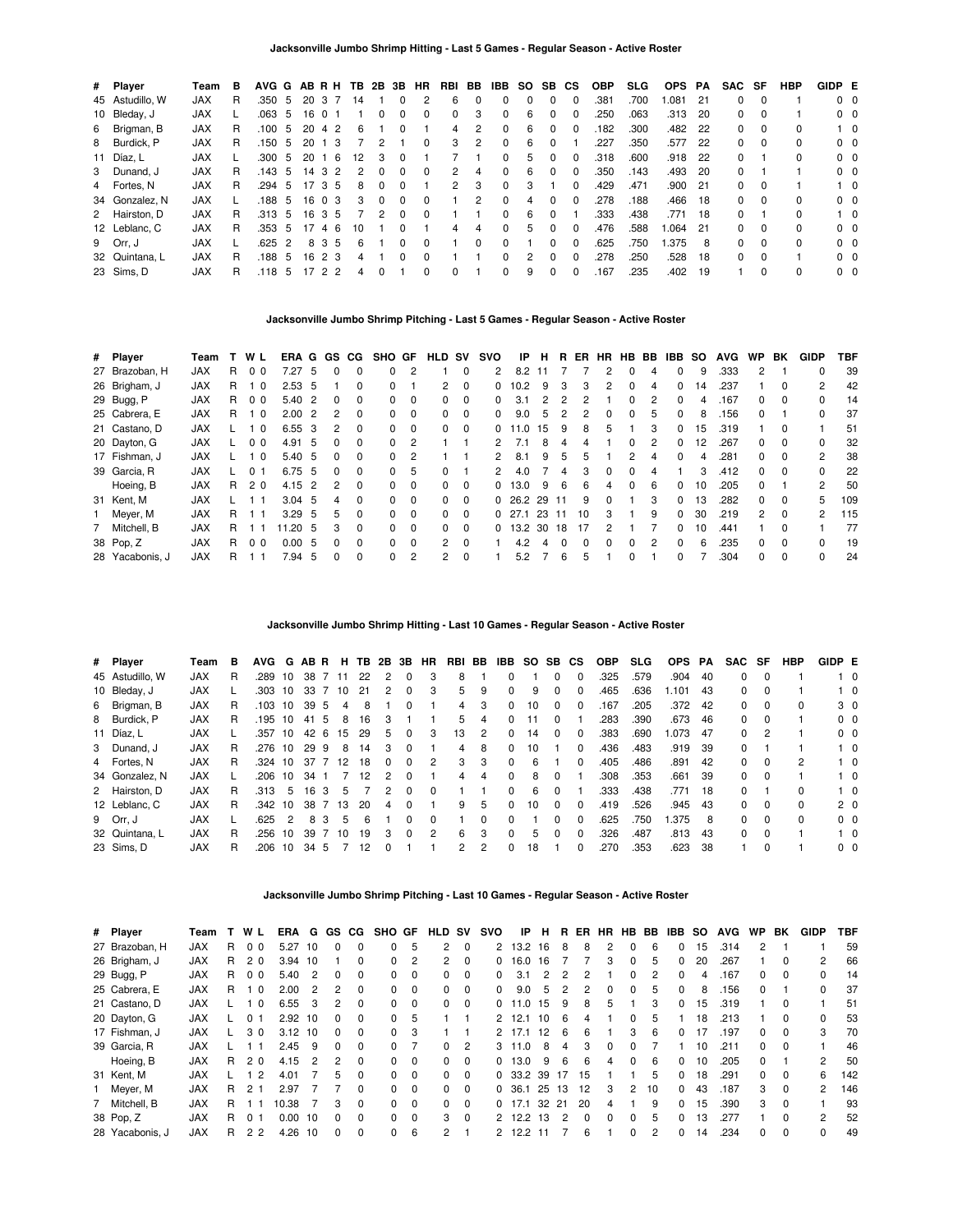| # Player        | Team       | в  |        |               |        |                | AVG G AB R H TB 2B 3B HR |               |          |          | RBI | BB            | IBB          | <b>SO</b> | SB. | <b>CS</b> | <b>OBP</b> | <b>SLG</b> | <b>OPS</b> | PA  | SAC SF       |          | <b>HBP</b> | GIDP E         |            |
|-----------------|------------|----|--------|---------------|--------|----------------|--------------------------|---------------|----------|----------|-----|---------------|--------------|-----------|-----|-----------|------------|------------|------------|-----|--------------|----------|------------|----------------|------------|
| 45 Astudillo, W | <b>JAX</b> | R  | .350   | -5            | 20     | 37             | 14                       |               | $\Omega$ | 2        | 6   | $\Omega$      | 0            | 0         | 0   | 0         | .381       | .700       | .081       | 21  | 0            | $\Omega$ |            | 0 <sub>0</sub> |            |
| 10 Bleday, J    | <b>JAX</b> |    | .063   | -5            | 16     |                |                          |               |          |          | 0   | 3             | 0            | 6         |     | 0         | .250       | .063       | .313       | -20 | 0            | $\Omega$ |            | $0\quad 0$     |            |
| 6 Brigman, B    | <b>JAX</b> | R  | .100   | -5            | 20     | 4 2            | 6                        |               | $\Omega$ |          | 4   | 2             | $\Omega$     | 6         | 0   | 0         | .182       | .300       | .482       | 22  | 0            | $\Omega$ | $\Omega$   |                | $1\quad 0$ |
| 8 Burdick, P    | <b>JAX</b> | R. | .150   | - 5           | 20     | 1 <sub>3</sub> |                          | 2             |          | $\Omega$ | 3   | $\mathcal{P}$ | $\Omega$     | 6         | 0   |           | .227       | .350       | .577       | 22  | 0            | $\Omega$ |            | 0 <sub>0</sub> |            |
| 11 Díaz, L      | <b>JAX</b> |    | .300   | -5            | 20     |                | - 6<br>12                | 3             | $\Omega$ |          |     |               | 0            | 5         |     | 0         | .318       | .600       | .918       | 22  | 0            |          | $\Omega$   | $0\quad 0$     |            |
| 3 Dunand, J     | <b>JAX</b> | R. | .143   | -5            | 14 3   |                | 2<br>2                   | <sup>0</sup>  | $\Omega$ | $\Omega$ | 2   | 4             | $\Omega$     | 6         | 0   | 0         | .350       | .143       | .493       | -20 | 0            |          |            | $0\quad 0$     |            |
| 4 Fortes, N     | <b>JAX</b> | R. | .294   | 5             | 17 3 5 |                | 8                        | $\Omega$      | $\Omega$ |          | 2   | 3             | $\Omega$     | 3         |     | $\Omega$  | .429       | .471       | .900       | 21  | 0            | $\Omega$ |            |                | $1\quad$ 0 |
| 34 Gonzalez, N  | <b>JAX</b> |    | .188 5 |               | 16 0 3 |                | 3                        | $\Omega$      | $\Omega$ | $\Omega$ |     | $\mathcal{P}$ | $\Omega$     |           | 0   | $\Omega$  | .278       | .188       | .466       | 18  | $\Omega$     | $\Omega$ | $\Omega$   | $0\quad 0$     |            |
| 2 Hairston, D   | <b>JAX</b> | R  | .313   | 5             | 16     | -3             | 5                        | $\mathcal{P}$ | $\Omega$ | $\Omega$ |     |               | <sup>0</sup> | 6         |     |           | .333       | .438       | .771       | -18 | <sup>0</sup> |          | $\Omega$   |                | $1\quad$ 0 |
| 12 Leblanc, C   | <b>JAX</b> | R. | .353   | -5            | 17     | 4              | 6<br>10                  |               | $\Omega$ |          | 4   | 4             | 0            | 5         | 0   | 0         | .476       | .588       | 1.064      | -21 | 0            | $\Omega$ | $\Omega$   | $0\quad 0$     |            |
| 9 Orr, J        | <b>JAX</b> |    | .625   | $\mathcal{P}$ |        | 83             | -5<br>6                  |               | $\Omega$ | $\Omega$ |     | $\Omega$      | $\Omega$     |           | O.  | 0         | .625       | .750       | 1.375      | 8   | 0            | $\Omega$ | $\Omega$   | $0\quad 0$     |            |
| 32 Quintana, L  | <b>JAX</b> | R. | .188   | -5            |        | 1623           | 4                        |               | $\Omega$ | $\Omega$ |     |               | <sup>0</sup> | 2         | 0   | $\Omega$  | .278       | .250       | .528       | 18  | $\Omega$     | $\Omega$ |            | 0 <sub>0</sub> |            |
| 23 Sims, D      | <b>JAX</b> | R  | .118   | 5             |        | 2              | 2<br>4                   |               |          |          |     |               | 0            | 9         | 0   | 0         | .167       | .235       | .402       | 19  |              |          | $\Omega$   | 0 <sub>0</sub> |            |

## **Jacksonville Jumbo Shrimp Pitching - Last 5 Games - Regular Season - Active Roster**

| # Player        | Team       |    | WL             | ERA G GS |                |              | CG.      | SHO GF   |                | <b>HLD</b>     | sv       | svo | IP           | н  | R   | ER           | <b>HR</b>    | <b>HB</b>    | BB            | IBB.     | so | <b>AVG</b> | WP.           | BK       | <b>GIDP</b> | TBF |
|-----------------|------------|----|----------------|----------|----------------|--------------|----------|----------|----------------|----------------|----------|-----|--------------|----|-----|--------------|--------------|--------------|---------------|----------|----|------------|---------------|----------|-------------|-----|
| 27 Brazoban, H  | <b>JAX</b> | R. | 0 <sub>0</sub> | 7.27     | 5              | $\Omega$     | $\Omega$ | $\Omega$ | 2              |                | 0        | 2   | 8.2          |    |     |              |              | 0            | 4             | $\Omega$ | 9  | .333       | 2             |          | 0           | 39  |
| 26 Brigham, J   | <b>JAX</b> | R  | - 0            | 2.53     | -5             |              | 0        | $\Omega$ |                | $\overline{2}$ | $\Omega$ | 0   | 10.2         | 9  | 3   | 3            | 2            | 0            | 4             | 0        | 14 | .237       |               | $\Omega$ | 2           | 42  |
| 29 Bugg, P      | <b>JAX</b> | R  | 0 <sub>0</sub> | 5.40     | $\overline{2}$ | $\Omega$     | 0        | 0        | $\Omega$       | 0              | $\Omega$ | 0   | 3.1          | 2  | 2   | 2            |              | 0            | $\mathcal{P}$ | $\Omega$ | 4  | .167       | 0             | 0        | 0           | 14  |
| 25 Cabrera, E   | <b>JAX</b> | R  | $\overline{0}$ | 2.00     | $\overline{2}$ | 2            | $\Omega$ | $\Omega$ | 0              | 0              | $\Omega$ | 0   | 9.0          | 5  | 2   | 2            | $\Omega$     | 0            | 5             | $\Omega$ | 8  | .156       | 0             |          | 0           | 37  |
| 21 Castano, D   | <b>JAX</b> |    | - 0            | 6.55     | - 3            | 2            | $\Omega$ | $\Omega$ | $\Omega$       | 0              | $\Omega$ | 0   | 11.0         | 15 | 9   | 8            | 5            |              | 3             | 0        | 15 | .319       |               | 0        |             | 51  |
| 20 Dayton, G    | <b>JAX</b> |    | 0 <sub>0</sub> | 4.91     | -5             | $\Omega$     | $\Omega$ | $\Omega$ | $\overline{2}$ |                |          | 2   | 7.1          | 8  | 4   | 4            |              | $\Omega$     | $\mathcal{P}$ | 0        | 12 | .267       | 0             | $\Omega$ | 0           | 32  |
| 17 Fishman, J   | <b>JAX</b> |    | - 0            | 5.40     | - 5            | $\Omega$     | $\Omega$ | 0        | 2              |                |          |     | 8.1          | 9  | 5   | 5            |              | 2            |               | $\Omega$ | 4  | .281       | 0             |          | 2           | 38  |
| 39 Garcia, R    | <b>JAX</b> |    | 0              | 6.75 5   |                | $\Omega$     | $\Omega$ | $\Omega$ | 5              | 0              |          | 2   | 4.0          |    | 4   | 3            | $\Omega$     | 0            | 4             |          | 3  | .412       | 0             | $\Omega$ | 0           | 22  |
| Hoeing, B       | <b>JAX</b> | R. | 20             | 4.15     | -2             |              | 0        | 0        | $\Omega$       | 0              | 0        | 0   | 13.0         | 9  | 6   | 6            | Δ            | 0            | 6             | $\Omega$ | 10 | .205       | <sup>0</sup>  |          | 2           | 50  |
| 31 Kent, M      | <b>JAX</b> |    |                | 3.04     | 5              | 4            | $\Omega$ | $\Omega$ | $\Omega$       | 0              | $\Omega$ | 0   | 26.2         | 29 | -11 | 9            | $\Omega$     |              | 3             | $\Omega$ | 13 | .282       | 0             | 0        | 5           | 109 |
| Meyer, M        | <b>JAX</b> | R. |                | 3.29     | - 5            | 5.           | $\Omega$ | $\Omega$ | $\Omega$       | 0              | $\Omega$ |     | $0\quad27.1$ | 23 | 11  | 10           | 3            |              | 9             | $\Omega$ | 30 | .219       | $\mathcal{P}$ | $\Omega$ | 2           | 115 |
| 7 Mitchell, B   | <b>JAX</b> | R. |                | 1.20     | -5             | 3            | $\Omega$ | $\Omega$ | $\Omega$       | 0              | $\Omega$ | 0   | 13.2         | 30 | 18  | 17           | 2            |              |               | $\Omega$ | 10 | .441       |               | $\Omega$ |             | 77  |
| 38 Pop, Z       | <b>JAX</b> | R  | 0 <sub>0</sub> | 0.00     | -5             | <sup>0</sup> | $\Omega$ | $\Omega$ | $\Omega$       | $\overline{2}$ | $\Omega$ |     | 4.2          |    |     | <sup>0</sup> | <sup>0</sup> | <sup>0</sup> | 2             | $\Omega$ | 6  | .235       | 0             |          | 0           | 19  |
| 28 Yacabonis, J | <b>JAX</b> | R  |                | 7.94     | 5              | 0            | $\Omega$ | $\Omega$ | 2              | 2              | 0        |     | 5.2          |    | 6   | 5            |              | 0            |               | 0        |    | .304       | 0             |          | 0           | 24  |

**Jacksonville Jumbo Shrimp Hitting - Last 10 Games - Regular Season - Active Roster**

| # Player        | Team       | в  | AVG G AB R |               |                 |   |      |    | H TB 2B 3B    |          | <b>HR</b> | RBI BB |   | IBB      | SO SB CS |              |              | <b>OBP</b> | <b>SLG</b> | <b>OPS</b> | PA   | SAC SF       |          | <b>HBP</b>   | GIDP E |                |
|-----------------|------------|----|------------|---------------|-----------------|---|------|----|---------------|----------|-----------|--------|---|----------|----------|--------------|--------------|------------|------------|------------|------|--------------|----------|--------------|--------|----------------|
| 45 Astudillo, W | <b>JAX</b> | R  | .289       | 10            | 38              |   | 7 11 | 22 | 2             | $\Omega$ | 3         | 8      |   | $\Omega$ |          | 0            | $\Omega$     | .325       | .579       | .904       | 40   | 0            | $\Omega$ |              |        | $1\quad 0$     |
| 10 Bleday, J    | <b>JAX</b> |    | .303       | 10            | 33 7            |   | - 10 | 21 | 2             | 0        | 3         | 5.     | 9 | $\Omega$ | 9        |              |              | .465       | .636       | .101       | -43  | 0            | $\Omega$ |              |        | $1\quad$ 0     |
| 6 Brigman, B    | <b>JAX</b> | R  | .103 10    |               | 39 5            |   | 4    | 8  |               |          |           | 4      | 3 | $\Omega$ | 10       | <sup>0</sup> | $\Omega$     | 167        | .205       | .372 42    |      | 0            | $\Omega$ | 0            |        | 3 <sub>0</sub> |
| 8 Burdick, P    | <b>JAX</b> | R. | .195       | 10            | 41 5            |   | 8    | 16 | 3             |          |           | 5.     | 4 | $\Omega$ | 11       | 0            |              | .283       | .390       | .673       | - 46 | 0            | $\Omega$ |              |        | 0 <sub>0</sub> |
| 11 Díaz, L      | <b>JAX</b> |    | .357       | 10            | 42 6            |   | 15   | 29 | 5             | 0        | 3         | 13     | 2 | $\Omega$ | 14       | $\Omega$     | $\Omega$     | .383       | .690       | .073       | -47  | 0            | 2        |              |        | 0 <sub>0</sub> |
| 3 Dunand, J     | <b>JAX</b> | R. | .276       | 10            | 29 9            |   | 8    | 14 | 3             |          |           | 4      | 8 | $\Omega$ | 10       |              | 0            | .436       | .483       | .919       | -39  | 0            |          |              |        | $1\quad$ 0     |
| 4 Fortes, N     | <b>JAX</b> | R. | .324 10    |               | 37 7 12         |   |      | 18 | 0             | $\Omega$ | 2         | 3      | 3 | $\Omega$ | 6        |              | <sup>0</sup> | .405       | .486       | .891       | 42   | 0            | 0        | 2            |        | $1\quad 0$     |
| 34 Gonzalez, N  | <b>JAX</b> |    | .206       | 10            | 34              |   |      | 12 | $\mathcal{P}$ | $\Omega$ |           | 4      | 4 | $\Omega$ | 8        | $\Omega$     |              | .308       | .353       | .661       | 39   | 0            | $\Omega$ |              |        | $1\quad 0$     |
| 2 Hairston, D   | <b>JAX</b> | R. | .313       | 5             | 16 <sub>3</sub> |   | 5    |    | $\mathcal{P}$ | $\Omega$ | $\Omega$  |        |   | $\Omega$ | 6        | $\Omega$     |              | .333       | .438       | .771       | -18  | <sup>0</sup> |          | <sup>0</sup> |        | $1\quad$ 0     |
| 12 Leblanc, C   | <b>JAX</b> | R. | .342       | 10            | 38 7            |   | - 13 | 20 | 4             | $\Omega$ |           | 9      | 5 | 0        | 10       | 0            | 0            | .419       | .526       | .945       | -43  | 0            | $\Omega$ | <sup>0</sup> |        | 2 <sub>0</sub> |
| 9 Orr, J        | <b>JAX</b> |    | .625       | $\mathcal{P}$ | 8               | 3 | 5    | 6  |               |          | $\Omega$  |        | 0 | $\Omega$ |          | <sup>0</sup> | $\Omega$     | .625       | .750       | .375       | 8    | <sup>0</sup> | $\Omega$ | <sup>0</sup> |        | 0 <sub>0</sub> |
| 32 Quintana, L  | <b>JAX</b> | R. | .256       | 10            | 39              |   | - 10 | 19 | 3             | $\Omega$ | 2         | 6      | 3 | $\Omega$ | 5        | $\Omega$     | $\Omega$     | .326       | .487       | .813       | -43  | 0            | $\Omega$ |              |        | $1\quad$ 0     |
| 23 Sims, D      | <b>JAX</b> | R  | .206       | 10            | 34 5            |   |      | 12 |               |          |           | 2.     | 2 | $\Omega$ | 18       |              | <sup>0</sup> | 270        | .353       | .623       | -38  |              | $\Omega$ |              |        | 0 <sub>0</sub> |

**Jacksonville Jumbo Shrimp Pitching - Last 10 Games - Regular Season - Active Roster**

| # Player        | Team       |   | WL             | ERA   | G              | GS.      | CG.      | <b>SHO</b>   | GF       | <b>HLD</b> | sv       | svo          | IP      | н   | R  | ER. | HR | HB.          | BB. | IBB.         | so | <b>AVG</b> | <b>WP</b>    | BK           | <b>GIDP</b>    | TBF |
|-----------------|------------|---|----------------|-------|----------------|----------|----------|--------------|----------|------------|----------|--------------|---------|-----|----|-----|----|--------------|-----|--------------|----|------------|--------------|--------------|----------------|-----|
| 27 Brazoban, H  | <b>JAX</b> | R | 0 <sub>0</sub> | 5.27  | 10             | 0        | 0        |              | 5        | 2          | 0        |              | 2 13.2  | 16  | 8  | 8   | 2  | 0            | 6   | 0            | 15 | .314       |              |              |                | 59  |
| 26 Brigham, J   | <b>JAX</b> | R | 2 <sub>0</sub> | 3.94  | 10             |          | 0        | 0            | 2        | 2          | 0        | 0            | 16.0    | 16  |    |     | 3  | $\Omega$     | 5   | 0            | 20 | .267       |              | 0            | $\overline{2}$ | 66  |
| 29 Bugg, P      | <b>JAX</b> | R | 0 <sub>0</sub> | 5.40  | $\overline{2}$ | $\Omega$ | $\Omega$ | $\Omega$     | $\Omega$ | $\Omega$   | 0        | <sup>0</sup> | 3.1     | 2   | 2  | 2   |    | $\Omega$     | 2   | <sup>0</sup> | 4  | .167       | 0            | $\Omega$     | 0              | 14  |
| 25 Cabrera, E   | <b>JAX</b> | R | 0              | 2.00  | 2              | 2        | $\Omega$ | 0            | $\Omega$ | 0          | 0        | <sup>o</sup> | 9.0     | 5   |    | 2   | ი  | 0            | 5   |              | 8  | .156       | 0            |              | 0              | 37  |
| 21 Castano, D   | <b>JAX</b> |   | $\Omega$       | 6.55  | 3              | 2        | $\Omega$ | $\Omega$     | 0        | $\Omega$   | $\Omega$ |              | 0.11.0  | 15  | 9  | 8   | 5  |              | 3   | <sup>0</sup> | 15 | .319       |              | $\Omega$     |                | 51  |
| 20 Dayton, G    | <b>JAX</b> |   | 0 1            | 2.92  | 10             | 0        | $\Omega$ | <sup>n</sup> | 5        |            |          |              | 2, 12.1 | 10  | 6  | 4   |    | 0            | 5   |              | 18 | .213       |              | <sup>0</sup> | 0              | 53  |
| 17 Fishman, J   | <b>JAX</b> |   | 30             | 3.12  | 10             | $\Omega$ | $\Omega$ | $\Omega$     | 3        |            |          | 2            | 17.1    | 12  | 6  | 6   |    | 3            | 6   | <sup>0</sup> | 17 | .197       | <sup>0</sup> | $\Omega$     | 3              | 70  |
| 39 Garcia, R    | <b>JAX</b> |   |                | 2.45  | 9              | 0        | $\Omega$ | $\Omega$     |          | 0          | 2        |              | 3, 11.0 | 8   | 4  | 3   | 0  | 0            |     |              | 10 | .211       | 0            | $\Omega$     |                | 46  |
| Hoeing, B       | <b>JAX</b> | R | 2 <sub>0</sub> | 4.15  | 2              | 2        | $\Omega$ | $\Omega$     | $\Omega$ | $\Omega$   | $\Omega$ |              | 0, 13.0 | 9   | 6  | 6   | 4  | <sup>0</sup> | 6   | <sup>0</sup> | 10 | .205       | <sup>0</sup> |              | 2              | 50  |
| 31 Kent, M      | <b>JAX</b> |   | $\overline{2}$ | 4.01  |                | 5.       | $\Omega$ | $\Omega$     | $\Omega$ | 0          | $\Omega$ |              | 0, 33.2 | -39 | 17 | 15  |    |              | 5   | 0            | 18 | .291       | 0            | $\Omega$     | 6              | 142 |
| 1 Meyer, M      | <b>JAX</b> | R | 2 <sub>1</sub> | 2.97  |                |          | $\Omega$ | $\Omega$     | $\Omega$ | $\Omega$   | $\Omega$ |              | 0, 36.1 | 25  | 13 | 12  | 3  | 2            | 10  | 0            | 43 | .187       | 3            | $\Omega$     | 2              | 146 |
| 7 Mitchell, B   | <b>JAX</b> | R |                | 10.38 |                | 3        | $\Omega$ | $\Omega$     | $\Omega$ | 0          | $\Omega$ |              | 0, 17.1 | 32  | 21 | 20  | 4  |              | 9   | $\Omega$     | 15 | .390       | 3            | $\Omega$     |                | 93  |
| 38 Pop, Z       | <b>JAX</b> | R | 01             | 0.00  | 10             | 0        | $\Omega$ | $\Omega$     | $\Omega$ | 3          | $\Omega$ |              | 2 12.2  | 13  | 2  | 0   | 0  | $\Omega$     | 5   | <sup>0</sup> | 13 | 277        |              | $\Omega$     | $\mathcal{P}$  | 52  |
| 28 Yacabonis, J | <b>JAX</b> | R | 2 <sub>2</sub> | 4.26  | 10             | 0        | $\Omega$ | 0            | 6        | 2          |          |              | 12.2    | 11  |    | 6   |    | $\Omega$     |     | $\Omega$     | 14 | .234       | 0            | $\Omega$     | 0              | 49  |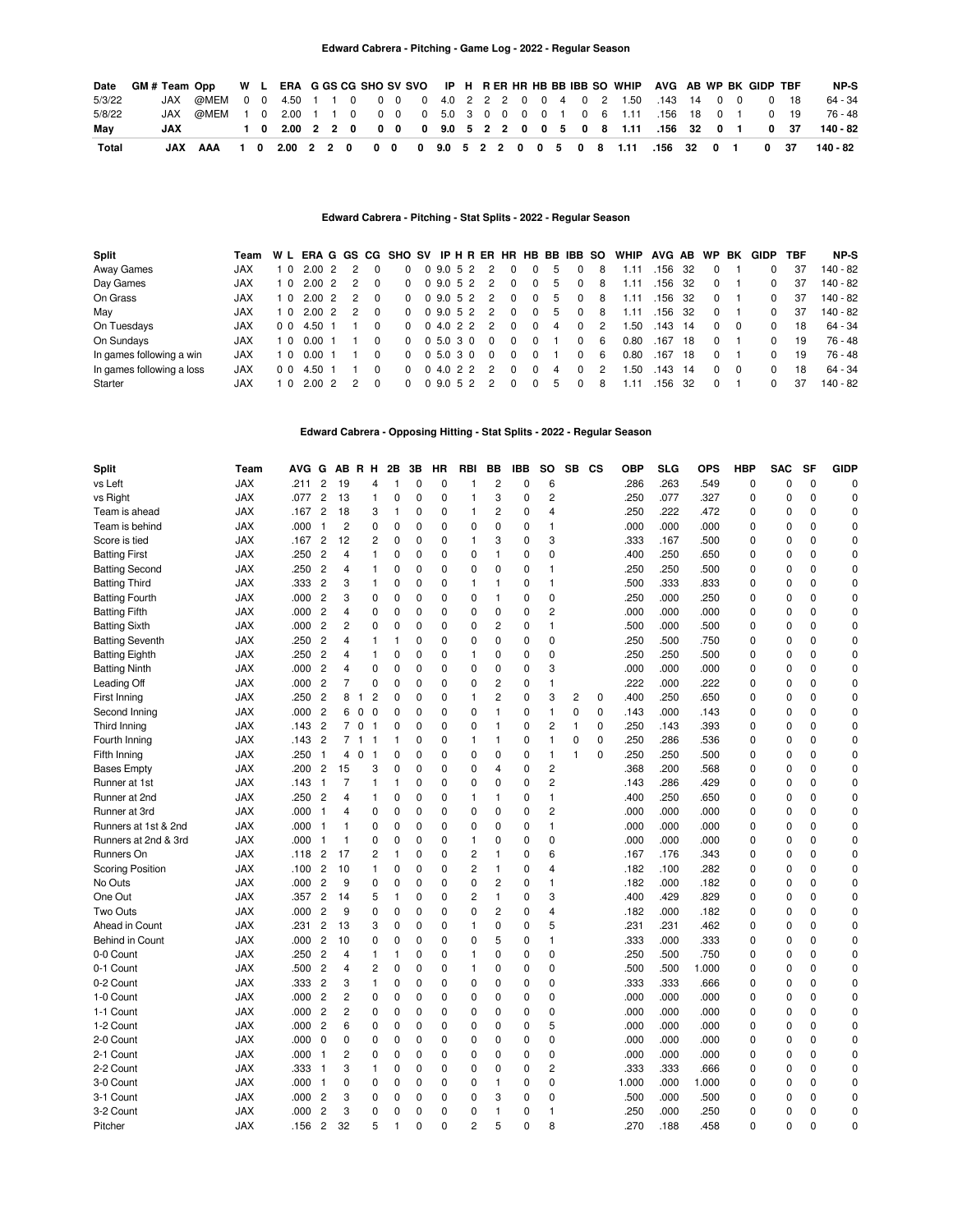| Date   | GM#Team Opp WL ERA GGSCG SHO SV SVO IP H RER HR HB BB IBB SO WHIP AVG AB WP BK GIDP TBF |                                                                    |  |  |  |  |  |  |  |  |  |                                                           |  |  |      |      | NP-S     |
|--------|-----------------------------------------------------------------------------------------|--------------------------------------------------------------------|--|--|--|--|--|--|--|--|--|-----------------------------------------------------------|--|--|------|------|----------|
| 5/3/22 |                                                                                         | JAX @MEM 0 0 4.50 1 1 0 0 0 0 4.0 2 2 2 0 0 4 0 2 1.50 .143 14 0 0 |  |  |  |  |  |  |  |  |  |                                                           |  |  |      | 0 18 | 64 - 34  |
| 5/8/22 |                                                                                         | JAX @MEM 1 0 2.00 1 1 0 0 0 0 5.0 3 0 0 0 0 1 0 6 1.11 .156 18 0 1 |  |  |  |  |  |  |  |  |  |                                                           |  |  |      | 0 19 | 76 - 48  |
| Mav    | JAX                                                                                     |                                                                    |  |  |  |  |  |  |  |  |  | 1 0 2.00 2 2 0 0 0 0 9.0 5 2 2 0 0 5 0 8 1.11 .156 32 0 1 |  |  |      | 0 37 | 140 - 82 |
| Total  |                                                                                         | JAX AAA 1 0 2.00 2 2 0 0 0 0 9.0 5 2 2 0 0 5 0 8 1.11 .156 32 0 1  |  |  |  |  |  |  |  |  |  |                                                           |  |  | 0 37 |      | 140 - 82 |

#### **Edward Cabrera - Pitching - Stat Splits - 2022 - Regular Season**

| Split                     | Team WL ERAGGS CGSHOSVIPHRERHRHBBBIBBSO |                |            |                |          |          |                 |  |                                          |          |          |   |          |    | WHIP AVG AB WP |           |     |          | BK  | <b>GIDP</b>  | TBF | NP-S     |
|---------------------------|-----------------------------------------|----------------|------------|----------------|----------|----------|-----------------|--|------------------------------------------|----------|----------|---|----------|----|----------------|-----------|-----|----------|-----|--------------|-----|----------|
| Away Games                | <b>JAX</b>                              | 10             | 2.00 2     |                |          | $\Omega$ |                 |  | 0 9.0 5 2 2                              |          |          | 5 | $\Omega$ | 8  | 1.11           | .156      | -32 |          |     |              | 37  | 140 - 82 |
| Day Games                 | <b>JAX</b>                              |                | 1 0 2.00 2 | 2              |          |          |                 |  | 0 0 9.0 5 2 2                            | 0        |          | 5 | 0        | 8  | 1.11           | .156      | -32 | $\Omega$ |     |              | 37  | 140 - 82 |
| On Grass                  | <b>JAX</b>                              | 10             | 2.00 2     | $\mathcal{P}$  | $\Omega$ |          |                 |  | 0 0 9.0 5 2 2                            | $\Omega$ | $\Omega$ | 5 | 0        | 8  | 1.11           | .156      | -32 | $\Omega$ |     | 0            | 37  | 140 - 82 |
| May                       | <b>JAX</b>                              |                | 1 0 2.00 2 | $\overline{2}$ | $\Omega$ |          |                 |  | $0$ 0 9.0 5 2 2                          | $\Omega$ |          | 5 | $\Omega$ | 8  | 1.11           | .156 32   |     | $\Omega$ |     | 0            | 37  | 140 - 82 |
| On Tuesdays               | <b>JAX</b>                              | 0 <sub>0</sub> | 4.50 1     |                |          |          |                 |  | 0 0 4.0 2 2 2                            | 0        |          | 4 | $\Omega$ | 2  | 1.50           | $.143$ 14 |     | $\Omega$ | - 0 | <sup>0</sup> | 18  | 64 - 34  |
| On Sundays                | JAX                                     | 10             | 0.001      |                | $\Omega$ |          | $0 \t0 \t5.030$ |  | $\Omega$                                 | 0        |          |   | 0        | 6  | 0.80           | .167      | 18  | $\Omega$ |     |              | 19  | 76 - 48  |
| In games following a win  | <b>JAX</b>                              | 10             | 0.001      |                | $\Omega$ |          |                 |  | $0\quad 0\quad 5.0\quad 3\quad 0\quad 0$ | 0        |          |   | 0        | -6 | 0.80           | .167      | 18  | $\Omega$ |     |              | 19  | 76 - 48  |
| In games following a loss | <b>JAX</b>                              | 0 <sub>0</sub> | 4.50 1     |                | $\Omega$ | $\Omega$ |                 |  | 0 4.0 2 2 2                              | $\Omega$ |          | 4 | $\Omega$ | 2  | 1.50           | $.143$ 14 |     | $\Omega$ | - 0 | <sup>0</sup> | 18  | 64 - 34  |
| Starter                   | JAX                                     |                | 2002       |                |          | $\Omega$ |                 |  | 0 9.0 5 2 2                              |          |          | 5 | 0        | 8  | 1 1 1          | .156      | -32 | $\Omega$ |     | <sup>0</sup> | 37  | 140 - 82 |

**Edward Cabrera - Opposing Hitting - Stat Splits - 2022 - Regular Season**

| Split                   | Team       | AVG G |                         |                         | AB R H                           |                | 2Β             | 3B           | HR          | RBI            | ВB                      | <b>IBB</b>  | <b>SO</b>      | SB | <b>CS</b>   | OBP   | <b>SLG</b> | <b>OPS</b> | <b>HBP</b>  | <b>SAC</b>  | SF          | <b>GIDP</b> |
|-------------------------|------------|-------|-------------------------|-------------------------|----------------------------------|----------------|----------------|--------------|-------------|----------------|-------------------------|-------------|----------------|----|-------------|-------|------------|------------|-------------|-------------|-------------|-------------|
| vs Left                 | <b>JAX</b> | .211  | $\overline{\mathbf{c}}$ | 19                      |                                  | 4              | $\mathbf{1}$   | 0            | $\mathbf 0$ | $\mathbf{1}$   | $\overline{\mathbf{c}}$ | 0           | 6              |    |             | .286  | .263       | .549       | $\pmb{0}$   | $\mathbf 0$ | $\mathbf 0$ | 0           |
| vs Right                | <b>JAX</b> | .077  | $\overline{\mathbf{c}}$ | 13                      | $\mathbf{1}$                     |                | 0              | $\mathbf 0$  | 0           | $\mathbf{1}$   | 3                       | 0           | $\overline{c}$ |    |             | .250  | .077       | .327       | 0           | $\mathbf 0$ | $\mathbf 0$ | $\mathbf 0$ |
| Team is ahead           | <b>JAX</b> | .167  | $\overline{c}$          | 18                      |                                  | 3              | $\mathbf{1}$   | 0            | 0           | $\mathbf{1}$   | $\overline{c}$          | 0           | 4              |    |             | .250  | .222       | .472       | 0           | 0           | 0           | $\mathbf 0$ |
| Team is behind          | <b>JAX</b> | .000  | $\mathbf{1}$            | $\overline{\mathbf{c}}$ |                                  | $\mathbf 0$    | 0              | 0            | 0           | $\mathbf 0$    | $\mathbf 0$             | 0           | 1              |    |             | .000  | .000       | .000       | 0           | 0           | 0           | $\mathbf 0$ |
| Score is tied           | <b>JAX</b> | .167  | $\overline{c}$          | 12                      |                                  | $\overline{c}$ | 0              | 0            | 0           | $\mathbf{1}$   | 3                       | 0           | 3              |    |             | .333  | .167       | .500       | 0           | 0           | 0           | $\mathbf 0$ |
| <b>Batting First</b>    | <b>JAX</b> | .250  | $\overline{c}$          | 4                       |                                  | 1              | 0              | 0            | 0           | 0              | 1                       | 0           | 0              |    |             | .400  | .250       | .650       | 0           | 0           | 0           | 0           |
| <b>Batting Second</b>   | <b>JAX</b> | .250  | $\overline{c}$          | 4                       |                                  | 1              | 0              | 0            | 0           | $\mathbf 0$    | 0                       | 0           | $\mathbf{1}$   |    |             | .250  | .250       | .500       | 0           | $\mathbf 0$ | 0           | $\mathbf 0$ |
| <b>Batting Third</b>    | <b>JAX</b> | .333  | $\overline{c}$          | 3                       |                                  | 1              | $\mathbf 0$    | 0            | 0           | $\mathbf{1}$   | 1                       | 0           | 1              |    |             | .500  | .333       | .833       | 0           | 0           | 0           | $\mathbf 0$ |
| <b>Batting Fourth</b>   | <b>JAX</b> | .000  | $\overline{c}$          | 3                       |                                  | $\mathbf 0$    | 0              | 0            | 0           | 0              | 1                       | 0           | $\mathbf 0$    |    |             | .250  | .000       | .250       | 0           | $\mathbf 0$ | 0           | $\mathbf 0$ |
| <b>Batting Fifth</b>    | <b>JAX</b> | .000  | $\overline{c}$          | 4                       |                                  | $\mathbf 0$    | $\mathbf 0$    | 0            | $\mathbf 0$ | $\mathbf 0$    | $\mathbf 0$             | $\mathbf 0$ | $\overline{c}$ |    |             | .000  | .000       | .000       | 0           | $\mathbf 0$ | $\mathbf 0$ | $\mathbf 0$ |
| <b>Batting Sixth</b>    | <b>JAX</b> | .000  | $\overline{c}$          | 2                       |                                  | 0              | 0              | 0            | 0           | 0              | $\overline{c}$          | 0           | $\mathbf{1}$   |    |             | .500  | .000       | .500       | 0           | 0           | 0           | $\mathbf 0$ |
| <b>Batting Seventh</b>  | <b>JAX</b> | .250  | $\overline{c}$          | 4                       |                                  | $\mathbf{1}$   | $\mathbf{1}$   | 0            | 0           | $\mathbf 0$    | 0                       | $\mathbf 0$ | $\mathbf 0$    |    |             | .250  | .500       | .750       | 0           | $\mathbf 0$ | 0           | $\mathbf 0$ |
| <b>Batting Eighth</b>   | <b>JAX</b> | .250  | $\overline{c}$          | 4                       | 1                                |                | $\mathbf 0$    | 0            | 0           | $\mathbf{1}$   | 0                       | 0           | 0              |    |             | .250  | .250       | .500       | 0           | 0           | $\mathbf 0$ | $\mathbf 0$ |
| <b>Batting Ninth</b>    | <b>JAX</b> | .000  | $\overline{c}$          | 4                       |                                  | $\mathbf 0$    | 0              | 0            | 0           | $\mathbf 0$    | $\mathbf 0$             | 0           | 3              |    |             | .000  | .000       | .000       | 0           | $\mathbf 0$ | 0           | $\mathbf 0$ |
| Leading Off             | <b>JAX</b> | .000  | $\overline{c}$          | $\overline{7}$          |                                  | $\mathbf 0$    | $\mathbf 0$    | $\Omega$     | $\mathbf 0$ | $\mathbf 0$    | $\overline{c}$          | 0           | $\mathbf{1}$   |    |             | .222  | .000       | .222       | $\mathbf 0$ | 0           | $\Omega$    | $\mathbf 0$ |
| First Inning            | JAX        | .250  | $\overline{c}$          | 8                       | $\mathbf{1}$                     | $\overline{c}$ | 0              | 0            | 0           | $\mathbf{1}$   | $\overline{c}$          | 0           | 3              | 2  | $\mathbf 0$ | .400  | .250       | .650       | 0           | 0           | 0           | $\mathbf 0$ |
| Second Inning           | JAX        | .000  | $\overline{2}$          | 6                       | $\mathbf 0$<br>0                 |                | 0              | 0            | 0           | 0              | 1                       | 0           | $\mathbf{1}$   | 0  | $\mathbf 0$ | .143  | .000       | .143       | 0           | 0           | 0           | $\mathbf 0$ |
| Third Inning            | JAX        | .143  | $\overline{c}$          | $\overline{7}$          | $\mathbf 0$<br>$\overline{1}$    |                | 0              | 0            | 0           | 0              | 1                       | 0           | 2              | 1  | $\mathbf 0$ | .250  | .143       | .393       | 0           | 0           | 0           | $\mathbf 0$ |
| Fourth Inning           | JAX        | .143  | $\overline{c}$          |                         | 7 <sub>1</sub><br>$\overline{1}$ |                | $\mathbf{1}$   | 0            | 0           | $\mathbf{1}$   | 1                       | 0           | $\mathbf{1}$   | 0  | $\mathbf 0$ | .250  | .286       | .536       | 0           | $\mathbf 0$ | 0           | $\mathbf 0$ |
| Fifth Inning            | JAX        | .250  | $\mathbf{1}$            | 4                       | $\overline{1}$<br>0              |                | $\mathbf 0$    | 0            | 0           | $\mathbf 0$    | 0                       | 0           | $\mathbf{1}$   | 1  | $\Omega$    | .250  | .250       | .500       | 0           | 0           | 0           | $\mathbf 0$ |
| <b>Bases Empty</b>      | JAX        | .200  | $\overline{c}$          | 15                      |                                  | 3              | $\mathbf 0$    | $\Omega$     | 0           | $\mathbf 0$    | $\overline{4}$          | 0           | $\overline{c}$ |    |             | .368  | .200       | .568       | 0           | 0           | 0           | $\mathbf 0$ |
| Runner at 1st           | JAX        | .143  | $\mathbf{1}$            | 7                       | 1                                |                | 1              | $\Omega$     | 0           | $\mathbf 0$    | 0                       | 0           | 2              |    |             | .143  | .286       | .429       | 0           | 0           | 0           | $\mathbf 0$ |
| Runner at 2nd           | JAX        | .250  | $\overline{2}$          | 4                       | 1                                |                | 0              | 0            | 0           | $\mathbf{1}$   | 1                       | 0           | $\mathbf{1}$   |    |             | .400  | .250       | .650       | 0           | 0           | 0           | $\mathbf 0$ |
| Runner at 3rd           | JAX        | .000  | $\mathbf{1}$            | 4                       |                                  | 0              | 0              | 0            | 0           | 0              | 0                       | 0           | $\overline{c}$ |    |             | .000  | .000       | .000       | 0           | 0           | 0           | $\mathbf 0$ |
| Runners at 1st & 2nd    | JAX        | .000  | $\overline{1}$          | 1                       |                                  | 0              | 0              | 0            | 0           | $\mathbf 0$    | 0                       | 0           | $\mathbf{1}$   |    |             | .000  | .000       | .000       | 0           | 0           | 0           | $\mathbf 0$ |
| Runners at 2nd & 3rd    | JAX        | .000  | -1                      | 1                       |                                  | 0              | 0              | $\Omega$     | 0           | $\mathbf{1}$   | $\Omega$                | 0           | 0              |    |             | .000  | .000       | .000       | 0           | 0           | $\Omega$    | $\mathbf 0$ |
| Runners On              | JAX        | .118  | $\overline{c}$          | 17                      |                                  | 2              | $\overline{1}$ | $\Omega$     | 0           | $\overline{c}$ | 1                       | 0           | 6              |    |             | .167  | .176       | .343       | 0           | 0           | 0           | $\mathbf 0$ |
| <b>Scoring Position</b> | <b>JAX</b> | .100  | $\overline{c}$          | 10                      |                                  | 1              | 0              | 0            | 0           | $\overline{c}$ | 1                       | 0           | 4              |    |             | .182  | .100       | .282       | 0           | 0           | 0           | $\mathbf 0$ |
| No Outs                 | JAX        | .000  | $\overline{c}$          | 9                       |                                  | 0              | 0              | $\Omega$     | $\Omega$    | $\mathbf 0$    | $\overline{c}$          | 0           | $\mathbf{1}$   |    |             | .182  | .000       | .182       | 0           | $\mathbf 0$ | $\Omega$    | $\mathbf 0$ |
| One Out                 | JAX        | .357  | $\overline{c}$          | 14                      |                                  | 5              | $\overline{1}$ | 0            | 0           | $\overline{2}$ | 1                       | 0           | 3              |    |             | .400  | .429       | .829       | 0           | 0           | 0           | $\mathbf 0$ |
| Two Outs                | JAX        | .000  | $\overline{c}$          | 9                       |                                  | 0              | 0              | $\Omega$     | 0           | $\mathbf 0$    | 2                       | 0           | $\overline{4}$ |    |             | .182  | .000       | .182       | 0           | $\mathbf 0$ | 0           | $\Omega$    |
| Ahead in Count          | <b>JAX</b> | .231  | $\overline{2}$          | 13                      |                                  | 3              | 0              | $\Omega$     | $\Omega$    | $\mathbf{1}$   | $\Omega$                | $\Omega$    | 5              |    |             | .231  | .231       | .462       | $\Omega$    | 0           | $\Omega$    | $\Omega$    |
| Behind in Count         | JAX        | .000  | $\overline{c}$          | 10                      |                                  | 0              | $\mathbf 0$    | $\Omega$     | 0           | $\mathbf 0$    | 5                       | 0           | $\mathbf{1}$   |    |             | .333  | .000       | .333       | 0           | 0           | 0           | $\mathbf 0$ |
| 0-0 Count               | <b>JAX</b> | .250  | $\overline{2}$          | 4                       |                                  | $\mathbf{1}$   | $\mathbf{1}$   | $\Omega$     | 0           | $\mathbf{1}$   | 0                       | 0           | 0              |    |             | .250  | .500       | .750       | 0           | 0           | 0           | $\mathbf 0$ |
| 0-1 Count               | <b>JAX</b> | .500  | $\overline{c}$          | 4                       |                                  | $\overline{c}$ | $\mathbf 0$    | 0            | 0           | $\mathbf{1}$   | $\Omega$                | 0           | 0              |    |             | .500  | .500       | 1.000      | 0           | 0           | $\Omega$    | $\mathbf 0$ |
| 0-2 Count               | JAX        | .333  | $\overline{c}$          | 3                       | 1                                |                | 0              | $\Omega$     | 0           | $\mathbf 0$    | $\Omega$                | 0           | 0              |    |             | .333  | .333       | .666       | 0           | $\mathbf 0$ | $\Omega$    | $\mathbf 0$ |
| 1-0 Count               | <b>JAX</b> | .000  | $\overline{2}$          | $\overline{c}$          |                                  | $\mathbf 0$    | $\Omega$       | $\Omega$     | $\Omega$    | $\mathbf 0$    | $\Omega$                | 0           | 0              |    |             | .000  | .000       | .000       | $\Omega$    | 0           | $\Omega$    | $\Omega$    |
| 1-1 Count               | <b>JAX</b> | .000  | $\overline{2}$          | $\overline{c}$          |                                  | 0              | 0              | 0            | 0           | $\mathbf 0$    | 0                       | 0           | $\mathbf 0$    |    |             | .000  | .000       | .000       | 0           | $\mathbf 0$ | 0           | $\mathbf 0$ |
| 1-2 Count               | <b>JAX</b> | .000  | $\overline{2}$          | 6                       |                                  | 0              | 0              | 0            | 0           | $\mathbf 0$    | 0                       | 0           | 5              |    |             | .000  | .000       | .000       | 0           | 0           | 0           | $\mathbf 0$ |
| 2-0 Count               | <b>JAX</b> | .000  | 0                       | 0                       |                                  | 0              | 0              | 0            | 0           | 0              | 0                       | 0           | 0              |    |             | .000  | .000       | .000       | 0           | 0           | 0           | 0           |
| 2-1 Count               | <b>JAX</b> | .000  | $\overline{1}$          | 2                       |                                  | 0              | 0              | 0            | 0           | 0              | 0                       | 0           | 0              |    |             | .000  | .000       | .000       | 0           | 0           | 0           | $\mathbf 0$ |
| 2-2 Count               | <b>JAX</b> | .333  | $\overline{1}$          | 3                       | 1                                |                | 0              | 0            | 0           | $\mathbf 0$    | 0                       | 0           | 2              |    |             | .333  | .333       | .666       | 0           | 0           | 0           | $\mathbf 0$ |
| 3-0 Count               | JAX        | .000  | $\overline{1}$          | 0                       |                                  | 0              | 0              | 0            | 0           | 0              | 1                       | 0           | 0              |    |             | 1.000 | .000       | 1.000      | 0           | $\mathbf 0$ | 0           | $\mathbf 0$ |
| 3-1 Count               | <b>JAX</b> | .000  | $\overline{c}$          | 3                       |                                  | 0              | 0              | 0            | 0           | 0              | 3                       | 0           | 0              |    |             | .500  | .000       | .500       | 0           | 0           | 0           | $\mathbf 0$ |
| 3-2 Count               | <b>JAX</b> | .000  | $\overline{c}$          | 3                       |                                  | $\mathbf 0$    | 0              | 0            | 0           | 0              | 1                       | 0           | 1              |    |             | .250  | .000       | .250       | 0           | 0           | $\mathbf 0$ | $\mathbf 0$ |
| Pitcher                 | JAX        | .156  | $\overline{2}$          | 32                      |                                  | 5              | $\overline{1}$ | $\mathbf{0}$ | $\Omega$    | $\overline{2}$ | 5                       | $\Omega$    | 8              |    |             | .270  | .188       | .458       | 0           | $\Omega$    | $\Omega$    | $\mathbf 0$ |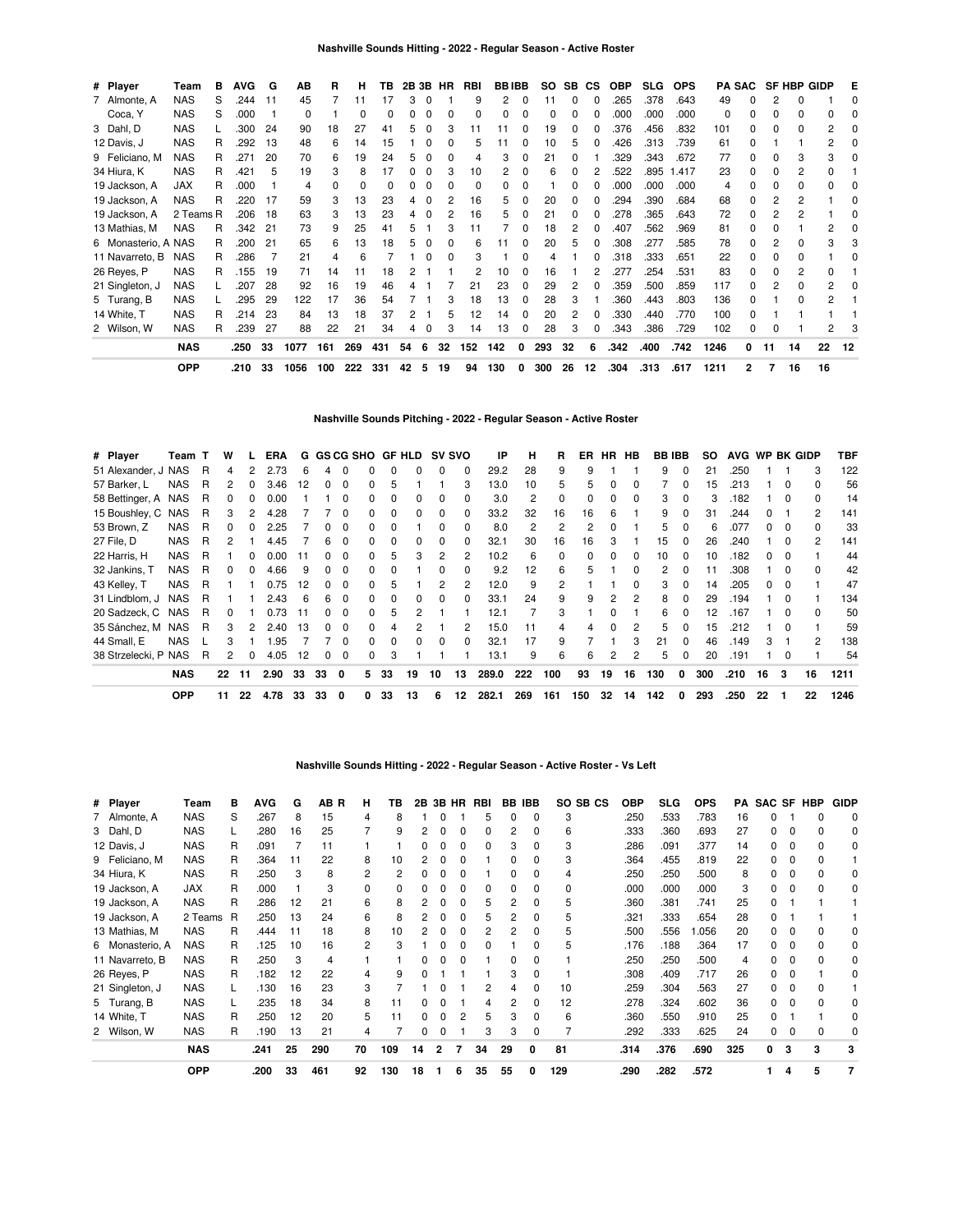| # Player            | Team       | в | AVG  | G  | АB   | R   | н   | ΤВ  | 2B 3B |              | HR | RBI | <b>BBIBB</b> |   | so  | SB. | СS       | <b>OBP</b> | <b>SLG</b> | <b>OPS</b> |      | <b>PA SAC</b> |    | <b>SF HBP GIDP</b> |    | Е  |
|---------------------|------------|---|------|----|------|-----|-----|-----|-------|--------------|----|-----|--------------|---|-----|-----|----------|------------|------------|------------|------|---------------|----|--------------------|----|----|
| 7 Almonte, A        | <b>NAS</b> | S | .244 | 11 | 45   |     |     |     | 3     |              |    | 9   | 2            | 0 | 11  | 0   | 0        | .265       | .378       | .643       | 49   |               |    |                    |    |    |
| Coca, Y             | <b>NAS</b> | S | .000 |    | 0    |     | O   | ŋ   | 0     |              | 0  | 0   | 0            | 0 |     | 0   | 0        | .000       | .000       | .000       | 0    | <sup>0</sup>  | 0  | 0                  | 0  |    |
| 3 Dahl, D           | <b>NAS</b> |   | .300 | 24 | 90   | 18  | 27  | 41  | 5     |              | 3  |     |              |   | 19  | 0   | 0        | .376       | .456       | .832       | 101  |               | 0  | n                  | 2  |    |
| 12 Davis, J         | <b>NAS</b> | R | .292 | 13 | 48   | 6   | 14  | 15  |       | 0            | 0  | 5   | 11           | 0 | 10  | 5   | 0        | .426       | .313       | .739       | 61   | 0             |    |                    | 2  |    |
| 9 Feliciano, M      | <b>NAS</b> | R | .271 | 20 | 70   | 6   | 19  | 24  | 5     |              |    |     | 3            |   | 21  | 0   |          | .329       | .343       | .672       | 77   |               | 0  | 3                  | 3  |    |
| 34 Hiura, K         | <b>NAS</b> | R | .421 | 5  | 19   | 3   | 8   | 17  | 0     | <sup>0</sup> | 3  | 10  | 2            | O |     | 0   |          | .522       | .895       | 1.417      | 23   |               | O  | 2                  | ი  |    |
| 19 Jackson, A       | <b>JAX</b> | R | .000 |    | 4    | 0   |     |     |       |              |    | 0   |              |   |     | n   |          | .000       | .000       | .000       | 4    |               | 0  | n                  | 0  |    |
| 19 Jackson, A       | <b>NAS</b> | R | .220 | 17 | 59   | 3   | 13  | 23  | 4     | 0            | 2  | 16  | 5.           | 0 | 20  | 0   | 0        | .294       | .390       | .684       | 68   | <sup>0</sup>  | 2  | 2                  |    |    |
| 19 Jackson, A       | 2 Teams R  |   | .206 | 18 | 63   | 3   | 13  | 23  | 4     | 0            | 2  | 16  | 5            |   | 21  | 0   | 0        | .278       | .365       | .643       | 72   |               |    | 2                  |    |    |
| 13 Mathias, M       | <b>NAS</b> | R | .342 | 21 | 73   | 9   | 25  | 41  | 5     |              |    | 11  |              | 0 | 18  | 2   | 0        | .407       | .562       | .969       | 81   | <sup>0</sup>  | Ω  |                    | 2  |    |
| 6 Monasterio, A NAS |            | R | .200 | 21 | 65   | 6   | 13  | 18  | 5     |              |    | 6   |              |   | 20  | 5   | $\Omega$ | .308       | .277       | .585       | 78   | 0             | 2  | 0                  | 3  |    |
| 11 Navarreto, B     | <b>NAS</b> | R | .286 |    | 21   | 4   | 6   |     |       | <sup>0</sup> | 0  | 3   |              | O |     |     | 0        | .318       | .333       | .651       | 22   | <sup>0</sup>  | 0  | 0                  |    |    |
| 26 Reyes, P         | <b>NAS</b> | R | .155 | 19 | 71   | 14  | 11  | 18  |       |              |    |     | 10           | 0 | 16  |     | 2        | .277       | .254       | .531       | 83   |               | 0  | 2                  | 0  |    |
| 21 Singleton, J     | <b>NAS</b> |   | .207 | 28 | 92   | 16  | 19  | 46  |       |              |    | 21  | 23           | 0 | 29  | 2   | 0        | .359       | .500       | .859       | 117  |               |    |                    | 2  |    |
| 5 Turang, B         | <b>NAS</b> |   | .295 | 29 | 122  | 17  | 36  | 54  |       |              | 3  | 18  | 13           | 0 | 28  | 3   |          | .360       | .443       | .803       | 136  |               |    | ŋ                  | 2  |    |
| 14 White, T         | <b>NAS</b> | R | .214 | 23 | 84   | 13  | 18  | 37  | 2     |              | 5  | 12  | 14           | 0 | 20  | 2   | 0        | .330       | .440       | .770       | 100  | O             |    |                    |    |    |
| 2 Wilson, W         | <b>NAS</b> | R | .239 | 27 | 88   | 22  | 21  | 34  | 4     | 0            | 3  | 14  | 13           | 0 | 28  | 3   | 0        | .343       | .386       | .729       | 102  | 0             | 0  |                    | 2  |    |
|                     | <b>NAS</b> |   | .250 | 33 | 1077 | 161 | 269 | 431 | 54    | 6            | 32 | 152 | 142          | 0 | 293 | 32  | 6        | .342       | .400       | .742       | 1246 | 0             | 11 | 14                 | 22 | 12 |
|                     | <b>OPP</b> |   | .210 | 33 | 1056 | 100 | 222 | 331 | 42    | 5            | 19 | 94  | 130          | 0 | 300 | 26  | 12       | .304       | .313       | .617       | 1211 | 2             | 7  | 16                 | 16 |    |

**Nashville Sounds Pitching - 2022 - Regular Season - Active Roster**

| # Player             | Team T     |   | w  |    | ERA  |    |    | G GS CG SHO |              |    | GF HLD | <b>SV SVO</b> |              | IP    | н   | R        | ER  | <b>HR</b> | HB |     | <b>BB IBB</b> | SO. | AVG WP BK GIDP |    |          |               | TBF  |
|----------------------|------------|---|----|----|------|----|----|-------------|--------------|----|--------|---------------|--------------|-------|-----|----------|-----|-----------|----|-----|---------------|-----|----------------|----|----------|---------------|------|
| 51 Alexander, J NAS  |            | R | 4  |    | 2.73 | 6  | 4  | $\Omega$    | O            |    |        | 0             | 0            | 29.2  | 28  | 9        | 9   |           |    | 9   | $\Omega$      | 21  | .250           |    |          | 3             | 122  |
| 57 Barker, L         | <b>NAS</b> | R | 2  | 0  | 3.46 | 12 | 0  | $\Omega$    |              |    |        |               | 3            | 13.0  | 10  | 5        | 5   | 0         | 0  |     |               | 15  | .213           |    | $\Omega$ | $\Omega$      | 56   |
| 58 Bettinger, A NAS  |            | R |    |    | 0.00 |    |    | $\Omega$    |              |    |        | 0             | 0            | 3.0   | 2   | $\Omega$ | 0   | 0         | 0  | 3   |               | 3   | .182           |    | $\Omega$ | $\Omega$      | 14   |
| 15 Boushley, C NAS   |            | R | 3  |    | 4.28 |    |    | 0           | 0            |    |        | 0             | 0            | 33.2  | 32  | 16       | 16  | 6         |    | 9   |               | 31  | .244           |    |          | 2             | 141  |
| 53 Brown, Z          | <b>NAS</b> | R | 0  |    | 2.25 |    |    | 0           | 0            |    |        | ŋ             | 0            | 8.0   | 2   | 2        | 2   |           |    | 5.  |               | 6   | .077           |    |          | $\Omega$      | 33   |
| 27 File, D           | <b>NAS</b> | R | 2  |    | 4.45 |    | 6  | $\Omega$    | <sup>n</sup> |    |        |               | <sup>0</sup> | 32.1  | 30  | 16       | 16  |           |    | 15  |               | 26  | .240           |    |          | $\mathcal{P}$ | 141  |
| 22 Harris, H         | <b>NAS</b> | R |    | O  | 0.00 |    |    | $\Omega$    | 0            | h  |        |               | 2            | 10.2  | 6   | $\Omega$ | 0   | $\Omega$  | 0  | 10  | <sup>0</sup>  | 10  | .182           |    |          |               | 44   |
| 32 Jankins, T        | <b>NAS</b> | R | 0  | 0  | 4.66 | 9  | 0  | 0           | <sup>0</sup> |    |        |               | 0            | 9.2   | 12  | 6        | 5   |           | ŋ  | 2   | 0             | 11  | .308           |    |          | $\Omega$      | 42   |
| 43 Kelley, T         | <b>NAS</b> | R |    |    | 0.75 | 12 | 0  | $\Omega$    | 0            |    |        |               | 2            | 12.0  | 9   | 2        |     |           | ŋ  | 3   | 0             | 14  | .205           | 0  | $\Omega$ |               | 47   |
| 31 Lindblom, J       | <b>NAS</b> | R |    |    | 2.43 | 6  | 6  | $\Omega$    | 0            |    |        | 0             | 0            | 33.1  | 24  | 9        | 9   |           | 2  | 8   | 0             | 29  | .194           |    | $\Omega$ |               | 134  |
| 20 Sadzeck, C NAS    |            | R | 0  |    | 0.73 | 11 | 0  | $\Omega$    | 0            | h  |        |               |              | 12.1  |     | 3        |     | $\Omega$  |    | 6   | 0             | 12  | .167           |    | $\Omega$ | $\Omega$      | 50   |
| 35 Sánchez, M        | NAS        | R | 3  | 2  | 2.40 | 13 | O. | $\Omega$    | $\Omega$     |    |        |               | 2            | 15.0  | 11  | 4        | 4   | $\Omega$  | 2  | 5.  | <sup>0</sup>  | 15  | .212           |    | $\Omega$ |               | 59   |
| 44 Small, E          | <b>NAS</b> |   | з  |    | .95  |    |    | $\Omega$    | $\Omega$     | n  |        | <sup>0</sup>  | 0            | 32.1  | 17  | 9        |     |           | 3  | 21  | $\Omega$      | 46  | .149           | 3  |          | 2             | 138  |
| 38 Strzelecki, P NAS |            | R | 2  | 0  | 4.05 | 12 | 0  | $\Omega$    | 0            | з  |        |               |              | 13.1  | 9   | 6        | 6   |           | 2  | 5.  |               | 20  | .191           |    | $\Omega$ |               | 54   |
|                      | <b>NAS</b> |   | 22 | 11 | 2.90 | 33 | 33 | 0           | 5.           | 33 | 19     | 10            | 13           | 289.0 | 222 | 100      | 93  | 19        | 16 | 130 | 0             | 300 | .210           | 16 | 3        | 16            | 1211 |
|                      | <b>OPP</b> |   | 11 | 22 | 4.78 | 33 | 33 | 0           | 0            | 33 | 13     | 6             | 12           | 282.1 | 269 | 161      | 150 | 32        | 14 | 142 | 0             | 293 | .250           | 22 |          | 22            | 1246 |

**Nashville Sounds Hitting - 2022 - Regular Season - Active Roster - Vs Left**

| # Player        | Team       | в | <b>AVG</b> | G  | AB R | н            | ΤВ           | 2В |   | 3B HR | RBI          |    | <b>BB IBB</b> | SO SB CS | ОВР  | <b>SLG</b> | <b>OPS</b> | PA  |   |   | SAC SF HBP | <b>GIDP</b>  |
|-----------------|------------|---|------------|----|------|--------------|--------------|----|---|-------|--------------|----|---------------|----------|------|------------|------------|-----|---|---|------------|--------------|
| 7 Almonte, A    | <b>NAS</b> | S | .267       | 8  | 15   | 4            | 8            |    |   |       | 5            |    |               | 3        | .250 | .533       | .783       | 16  |   |   |            | <sup>0</sup> |
| 3 Dahl, D       | <b>NAS</b> |   | 280        | 16 | 25   |              | 9            |    |   |       | ŋ            | 2  |               | 6        | .333 | .360       | .693       | 27  | 0 | 0 |            | 0            |
| 12 Davis, J     | <b>NAS</b> | R | .091       |    | 11   |              |              |    |   |       | ŋ            | 3  |               | 3        | .286 | .091       | .377       | 14  |   |   |            | 0            |
| 9 Feliciano, M  | <b>NAS</b> | R | .364       | 11 | 22   | 8            | 10           |    |   |       |              |    |               | 3        | .364 | .455       | .819       | 22  |   |   |            |              |
| 34 Hiura, K     | <b>NAS</b> | R | .250       | 3  | 8    | 2            | 2            |    |   |       |              |    |               | 4        | .250 | .250       | .500       | 8   |   | 0 |            |              |
| 19 Jackson, A   | <b>JAX</b> | R | .000       |    | 3    | <sup>0</sup> | <sup>0</sup> |    |   | 0     | <sup>0</sup> | ŋ  | O             | 0        | .000 | .000       | .000       | 3   | 0 | O |            |              |
| 19 Jackson, A   | <b>NAS</b> | R | .286       | 12 | 21   | 6            | 8            |    |   | 0     | 5            |    | 0             | 5        | .360 | .381       | .741       | 25  |   |   |            |              |
| 19 Jackson, A   | 2 Teams R  |   | .250       | 13 | 24   | 6            | 8            |    |   |       |              |    |               | 5        | .321 | .333       | .654       | 28  |   |   |            |              |
| 13 Mathias, M   | <b>NAS</b> | R | .444       | 11 | 18   | 8            | 10           |    |   | 0     |              |    |               | 5        | .500 | .556       | .056       | 20  |   |   |            |              |
| 6 Monasterio, A | <b>NAS</b> | R | .125       | 10 | 16   | 2            | з            |    |   |       |              |    |               | 5        | .176 | .188       | .364       | 17  |   |   |            | 0            |
| 11 Navarreto, B | <b>NAS</b> | R | .250       | 3  | 4    |              |              |    |   |       |              |    |               |          | .250 | .250       | .500       | 4   |   | 0 |            | 0            |
| 26 Reyes, P     | <b>NAS</b> | R | .182       | 12 | 22   |              | 9            |    |   |       |              | 3  |               |          | .308 | .409       | .717       | 26  |   |   |            |              |
| 21 Singleton, J | <b>NAS</b> |   | .130       | 16 | 23   | 3            |              |    |   |       |              |    |               | 10       | 259  | .304       | .563       | 27  |   |   |            |              |
| 5 Turang, B     | <b>NAS</b> |   | .235       | 18 | 34   | 8            | 11           |    |   |       | 4            | 2  | O             | 12       | .278 | .324       | .602       | 36  | 0 |   |            |              |
| 14 White, T     | <b>NAS</b> | R | .250       | 12 | 20   | 5            | 11           |    |   | 2     | 5            | 3  | O             | 6        | .360 | .550       | .910       | 25  | 0 |   |            |              |
| 2 Wilson, W     | <b>NAS</b> | R | .190       | 13 | 21   | 4            |              | n  |   |       | 3            | 3  | 0             |          | .292 | .333       | .625       | 24  | 0 | O |            |              |
|                 | <b>NAS</b> |   | .241       | 25 | 290  | 70           | 109          | 14 | 2 |       | 34           | 29 | 0             | 81       | .314 | .376       | .690       | 325 | 0 | 3 | 3          |              |
|                 | <b>OPP</b> |   | .200       | 33 | 461  | 92           | 130          | 18 |   | 6     | 35           | 55 | 0             | 129      | .290 | .282       | .572       |     |   | 4 | 5          | 7            |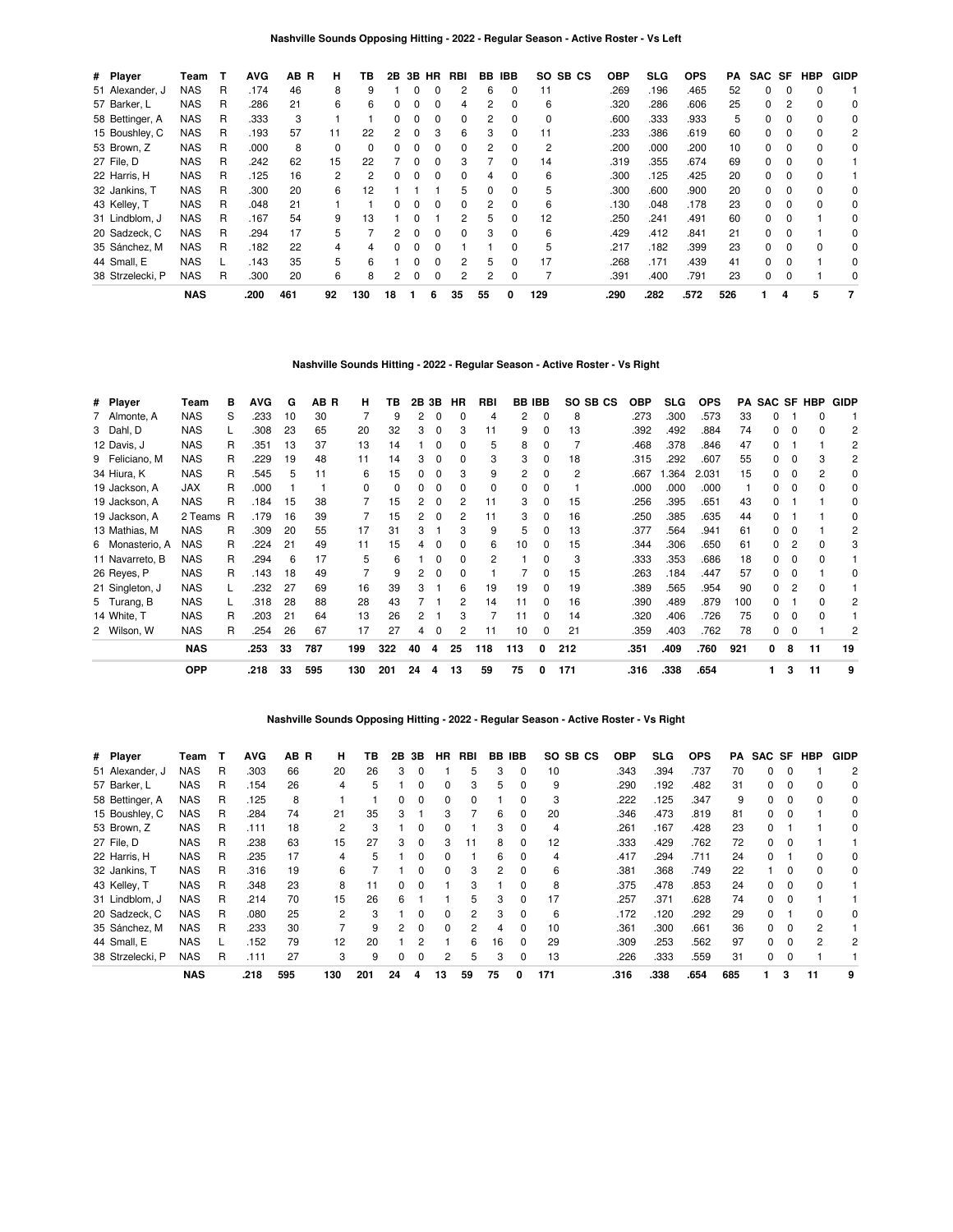| # Player         | Team       | т | <b>AVG</b> | AB<br>R | н        | ΤВ  | 2B           | 3B | <b>HR</b>    | RBI | BB | <b>IBB</b>   | SO.<br>SB CS | <b>OBP</b> | <b>SLG</b> | <b>OPS</b> | PA  | SAC SF       |          | <b>HBP</b> | <b>GIDP</b> |
|------------------|------------|---|------------|---------|----------|-----|--------------|----|--------------|-----|----|--------------|--------------|------------|------------|------------|-----|--------------|----------|------------|-------------|
| 51 Alexander, J  | NAS        | R | .174       | 46      | 8        | 9   |              |    |              | 2   | 6  | O            | 11           | .269       | .196       | .465       | 52  | <sup>0</sup> |          |            |             |
| 57 Barker, L     | NAS        | R | .286       | 21      | 6        | 6   | 0            | 0  | 0            | 4   | 2  | 0            | 6            | .320       | .286       | .606       | 25  | 0            |          |            | 0           |
| 58 Bettinger, A  | NAS        | R | .333       | 3       |          |     | 0            | 0  | 0            | 0   | 2  | 0            | 0            | .600       | .333       | .933       | 5   | 0            | 0        | $\Omega$   | 0           |
| 15 Boushley, C   | <b>NAS</b> | R | .193       | 57      | 11       | 22  | 2            | O  | з            | 6   | З  | 0            | 11           | .233       | .386       | .619       | 60  | O.           | $\Omega$ |            | 2           |
| 53 Brown, Z      | <b>NAS</b> | R | .000       | 8       | $\Omega$ | 0   |              |    |              | 0   | 2  | 0            | 2            | .200       | .000       | .200       | 10  | 0            |          |            | 0           |
| 27 File. D       | <b>NAS</b> | R | .242       | 62      | 15       | 22  |              | 0  | 0            | 3   |    | 0            | 14           | .319       | .355       | .674       | 69  | 0            | 0        | 0          |             |
| 22 Harris, H     | <b>NAS</b> | R | .125       | 16      | 2        | 2   | <sup>0</sup> | O  | 0            | 0   | Δ  | 0            | 6            | .300       | .125       | .425       | 20  | 0            | 0        |            |             |
| 32 Jankins, T    | <b>NAS</b> | R | .300       | 20      | 6        | 12  |              |    |              | 5   |    | <sup>0</sup> | 5            | .300       | .600       | .900       | 20  | O.           | $\Omega$ |            | 0           |
| 43 Kelley, T     | <b>NAS</b> | R | .048       | 21      |          |     |              |    |              | 0   |    | 0            | 6            | .130       | .048       | .178       | 23  | 0            |          |            | 0           |
| 31 Lindblom, J   | NAS        | R | .167       | 54      | 9        | 13  |              | O  |              | 2   | 5  | 0            | 12           | .250       | .241       | .491       | 60  | 0            | 0        |            | 0           |
| 20 Sadzeck, C    | <b>NAS</b> | R | .294       | 17      | 5        |     | 2            | O  | <sup>0</sup> | 0   | з  | <sup>0</sup> | 6            | .429       | .412       | .841       | 21  | 0            |          |            | $\Omega$    |
| 35 Sánchez, M    | <b>NAS</b> | R | .182       | 22      |          |     |              |    |              |     |    |              | 5            | .217       | .182       | .399       | 23  | O.           |          |            | 0           |
| 44 Small, E      | <b>NAS</b> |   | .143       | 35      | 5        | 6   |              |    | 0            | 2   | 5  | 0            | 17           | .268       | .171       | .439       | 41  | 0            |          |            | 0           |
| 38 Strzelecki, P | NAS        | R | .300       | 20      | 6        | 8   | 2            | 0  | 0            | 2   | 2  | 0            |              | .391       | .400       | .791       | 23  | 0            | 0        |            | 0           |
|                  | <b>NAS</b> |   | .200       | 461     | 92       | 130 | 18           |    | 6            | 35  | 55 | 0            | 129          | .290       | .282       | .572       | 526 |              | 4        | 5          | 7           |

# **Nashville Sounds Hitting - 2022 - Regular Season - Active Roster - Vs Right**

| # Player        | Team       | в | <b>AVG</b> | G  | AB R | н        | ΤВ  | 2B | 3В       | ΗR | RBI | BB  | <b>IBB</b> | SO SB CS | OBP  | SLG. | <b>OPS</b> | PA  | SAC SF |   | HBP | GIDP |
|-----------------|------------|---|------------|----|------|----------|-----|----|----------|----|-----|-----|------------|----------|------|------|------------|-----|--------|---|-----|------|
| 7 Almonte, A    | <b>NAS</b> | S | .233       | 10 | 30   |          | 9   | 2  | 0        | 0  | 4   | 2   | 0          | 8        | .273 | .300 | .573       | 33  | n      |   | 0   |      |
| 3 Dahl, D       | <b>NAS</b> |   | .308       | 23 | 65   | 20       | 32  | 3  | 0        | 3  | 11  | 9   | 0          | 13       | .392 | .492 | .884       | 74  | 0      |   | 0   | 2    |
| 12 Davis, J     | <b>NAS</b> | R | .351       | 13 | 37   | 13       | 14  |    |          | 0  | 5   | 8   | 0          |          | .468 | .378 | .846       | 47  | 0      |   |     | 2    |
| 9 Feliciano, M  | <b>NAS</b> | R | .229       | 19 | 48   | 11       | 14  | 3  |          | 0  | 3   | 3   | $\Omega$   | 18       | .315 | .292 | .607       | 55  | 0      |   | 3   | 2    |
| 34 Hiura, K     | <b>NAS</b> | R | .545       | 5  | 11   | 6        | 15  | 0  |          | 3  | 9   | 2   | $\Omega$   | 2        | .667 | .364 | 2.031      | 15  | 0      | 0 | 2   | 0    |
| 19 Jackson, A   | JAX        | R | .000       |    |      | $\Omega$ | 0   | 0  | 0        | 0  | 0   | 0   | 0          |          | .000 | .000 | .000       |     | 0      | 0 | 0   | 0    |
| 19 Jackson, A   | <b>NAS</b> | R | .184       | 15 | 38   |          | 15  | 2  | $\Omega$ | 2  | 11  | 3   | 0          | 15       | .256 | .395 | .651       | 43  | 0      |   |     | 0    |
| 19 Jackson, A   | 2 Teams    | R | .179       | 16 | 39   |          | 15  | 2  | $\Omega$ | 2  | 11  | 3   | 0          | 16       | .250 | .385 | .635       | 44  | 0      |   |     | 0    |
| 13 Mathias, M   | <b>NAS</b> | R | .309       | 20 | 55   | 17       | 31  | 3  |          | 3  | 9   | 5   | 0          | 13       | .377 | .564 | .941       | 61  | 0      |   |     | 2    |
| 6 Monasterio, A | <b>NAS</b> | R | .224       | 21 | 49   | 11       | 15  | 4  | $\Omega$ | 0  | 6   | 10  | 0          | 15       | .344 | .306 | .650       | 61  | 0      |   | 0   | 3    |
| 11 Navarreto, B | <b>NAS</b> | R | .294       | 6  | 17   | 5        | 6   |    | 0        | 0  | 2   |     | 0          | 3        | .333 | .353 | .686       | 18  | 0      |   | ŋ   |      |
| 26 Reyes, P     | <b>NAS</b> | R | .143       | 18 | 49   |          | 9   | 2  | 0        | 0  |     |     | 0          | 15       | .263 | .184 | .447       | 57  | 0      |   |     | C    |
| 21 Singleton, J | <b>NAS</b> |   | .232       | 27 | 69   | 16       | 39  | 3  |          | 6  | 19  | 19  | 0          | 19       | .389 | .565 | .954       | 90  | 0      |   | ი   |      |
| 5 Turang, B     | <b>NAS</b> |   | .318       | 28 | 88   | 28       | 43  |    |          | 2  | 14  | 11  | 0          | 16       | .390 | .489 | .879       | 100 | 0      |   | n   | 2    |
| 14 White, T     | <b>NAS</b> | R | .203       | 21 | 64   | 13       | 26  | 2  |          | 3  |     | 11  | 0          | 14       | .320 | .406 | .726       | 75  | 0      | 0 | o   |      |
| 2 Wilson, W     | <b>NAS</b> | R | .254       | 26 | 67   | 17       | 27  | 4  | 0        | 2  | 11  | 10  | 0          | 21       | .359 | .403 | .762       | 78  | 0      | C |     | 2    |
|                 | <b>NAS</b> |   | .253       | 33 | 787  | 199      | 322 | 40 | 4        | 25 | 118 | 113 | 0          | 212      | .351 | .409 | .760       | 921 | 0      | 8 | 11  | 19   |
|                 | <b>OPP</b> |   | .218       | 33 | 595  | 130      | 201 | 24 | 4        | 13 | 59  | 75  | 0          | 171      | .316 | .338 | .654       |     | 1.     | 3 | 11  | 9    |

## **Nashville Sounds Opposing Hitting - 2022 - Regular Season - Active Roster - Vs Right**

| # Player         | Team       | т | <b>AVG</b> | AB R | н   | ΤВ  | 2В           | 3В           | <b>HR</b>    | RBI | BB | <b>IBB</b>   | SO SB CS | <b>OBP</b> | SLG  | <b>OPS</b> | PA  |   |          | SAC SF HBP | <b>GIDP</b>    |
|------------------|------------|---|------------|------|-----|-----|--------------|--------------|--------------|-----|----|--------------|----------|------------|------|------------|-----|---|----------|------------|----------------|
| 51 Alexander, J  | <b>NAS</b> | R | .303       | 66   | 20  | 26  | 3            | n            |              | 5   | 3  | 0            | 10       | .343       | .394 | .737       | 70  | 0 |          |            | $\overline{2}$ |
| 57 Barker, L     | <b>NAS</b> | R | .154       | 26   | 4   | 5   |              | 0            | 0            | 3   | 5. | 0            | 9        | .290       | .192 | .482       | 31  | 0 |          |            | 0              |
| 58 Bettinger, A  | NAS        | R | .125       | 8    |     |     | 0            | 0            | <sup>0</sup> | 0   |    | 0            | 3        | .222       | .125 | .347       | 9   | 0 |          |            | 0              |
| 15 Boushley, C   | <b>NAS</b> | R | .284       | 74   | 21  | 35  | 3            |              | з            |     | 6  | 0            | 20       | .346       | .473 | .819       | 81  | 0 |          |            | 0              |
| 53 Brown, Z      | <b>NAS</b> | R | .111       | 18   | 2   | 3   |              | 0            |              |     | З  | 0            | 4        | .261       | .167 | .428       | 23  | 0 |          |            | 0              |
| 27 File, D       | <b>NAS</b> | R | .238       | 63   | 15  | 27  | 3            | 0            | з            | 11  | 8  | 0            | 12       | .333       | .429 | .762       | 72  | 0 |          |            |                |
| 22 Harris, H     | <b>NAS</b> | R | .235       | 17   | 4   | 5   |              | 0            | <sup>n</sup> |     | 6  | <sup>0</sup> | 4        | .417       | .294 | .711       | 24  | 0 |          |            | 0              |
| 32 Jankins, T    | NAS        | R | .316       | 19   | 6   |     |              | 0            | 0            | 3   |    | 0            | 6        | .381       | .368 | .749       | 22  |   |          |            | 0              |
| 43 Kelley, T     | <b>NAS</b> | R | .348       | 23   | 8   | 11  | <sup>0</sup> | <sup>0</sup> |              | З   |    | <sup>0</sup> | 8        | .375       | .478 | .853       | 24  | 0 | $\Omega$ |            |                |
| 31 Lindblom, J   | NAS        | R | .214       | 70   | 15  | 26  | 6            |              |              | 5   | з  | 0            | 17       | 257        | .371 | .628       | 74  | 0 |          |            |                |
| 20 Sadzeck, C    | <b>NAS</b> | R | .080       | 25   | 2   | 3   |              | n            | <sup>0</sup> | 2   | 3  | 0            | 6        | .172       | .120 | .292       | 29  | 0 |          |            | $\Omega$       |
| 35 Sánchez, M    | <b>NAS</b> | R | .233       | 30   |     | 9   | 2            | 0            | <sup>0</sup> | 2   | 4  | 0            | 10       | .361       | .300 | .661       | 36  | 0 | 0        |            |                |
| 44 Small, E      | <b>NAS</b> |   | .152       | 79   | 12  | 20  |              | 2            |              | 6   | 16 | $\Omega$     | 29       | .309       | .253 | .562       | 97  | 0 |          | 2          | $\overline{2}$ |
| 38 Strzelecki, P | NAS        | R | .111       | 27   | 3   | 9   |              | 0            |              | 5   | 3  | 0            | 13       | 226        | .333 | .559       | 31  | 0 |          |            |                |
|                  | <b>NAS</b> |   | .218       | 595  | 130 | 201 | 24           |              | 13           | 59  | 75 | O            | 171      | .316       | .338 | .654       | 685 |   | з        | 11         |                |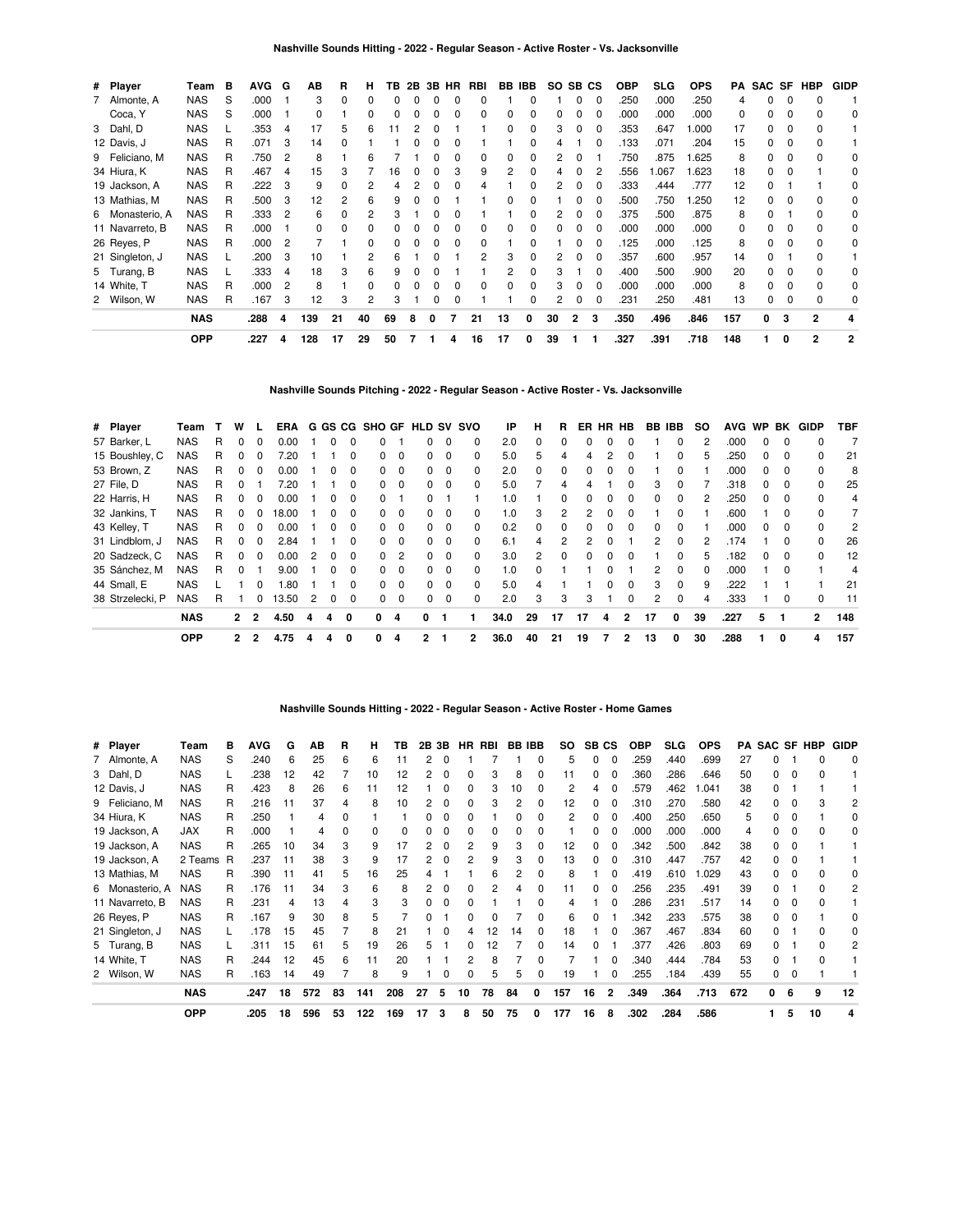| # Player        | Team       | в | <b>AVG</b> | G  | AB  | R  | н  | TB | 2B | 3B | HR | RBI |          | <b>BB IBB</b> | <b>SO</b> | SB CS        |              | <b>OBP</b> | <b>SLG</b> | <b>OPS</b> | PA  |    |          | SAC SF HBP   | <b>GIDP</b>    |
|-----------------|------------|---|------------|----|-----|----|----|----|----|----|----|-----|----------|---------------|-----------|--------------|--------------|------------|------------|------------|-----|----|----------|--------------|----------------|
| Almonte, A      | <b>NAS</b> | S | .000       |    | 3   | 0  | 0  |    |    |    | 0  |     |          |               |           | 0            | 0            | .250       | .000       | .250       | 4   | 0  | 0        | 0            |                |
| Coca, Y         | <b>NAS</b> | S | .000       |    | 0   |    | 0  | O  |    |    | 0  | 0   | 0        |               | 0         |              | 0            | .000       | .000       | .000       | 0   | 0  |          | 0            | 0              |
| 3 Dahl, D       | <b>NAS</b> |   | 353        | -4 | 17  | 5  | 6  | 11 |    |    |    |     | $\Omega$ | 0             | 3         |              | 0            | .353       | .647       | 1.000      | 17  | 0  | 0        | 0            |                |
| 12 Davis, J     | <b>NAS</b> | R | .071       | 3  | 14  | 0  |    |    |    |    | ŋ  |     |          |               | 4         |              | 0            | .133       | .071       | .204       | 15  | 0  | $\Omega$ |              |                |
| 9 Feliciano, M  | <b>NAS</b> | R | .750       | 2  | 8   |    | 6  |    |    |    | 0  | 0   | 0        | 0             | 2         |              |              | 750        | .875       | 1.625      | 8   | 0  |          |              | 0              |
| 34 Hiura, K     | <b>NAS</b> | R | .467       | 4  | 15  | 3  |    | 16 | 0  | 0  | 3  | 9   | 2        | 0             | 4         |              | 2            | .556       | .067       | 1.623      | 18  | 0  |          |              | 0              |
| 19 Jackson, A   | <b>NAS</b> | R | .222       | 3  | 9   | 0  |    |    |    |    |    | 4   |          |               | 2         |              |              | .333       | .444       | .777       | 12  | 0  |          |              | 0              |
| 13 Mathias, M   | <b>NAS</b> | R | .500       | 3  | 12  |    | 6  |    |    |    |    |     |          |               |           |              |              | .500       | .750       | .250       | 12  | 0  |          |              | 0              |
| 6 Monasterio, A | <b>NAS</b> | R | 333        | 2  | 6   | 0  | 2  |    |    |    |    |     |          |               | 2         |              |              | .375       | .500       | .875       | 8   | 0  |          |              | 0              |
| 11 Navarreto, B | <b>NAS</b> | R | .000       |    | 0   | 0  | 0  |    |    |    | 0  | 0   |          |               |           |              |              | .000       | .000       | .000       | 0   | 0  |          |              | 0              |
| 26 Reyes, P     | <b>NAS</b> | R | .000       | 2  |     |    | ŋ  |    |    |    | 0  | 0   |          |               |           |              | 0            | .125       | .000       | .125       | 8   | 0  |          |              | 0              |
| 21 Singleton, J | <b>NAS</b> |   | .200       | 3  | 10  |    |    | ĥ  |    |    |    | 2   | З        |               | 2         |              |              | .357       | .600       | .957       | 14  | O. |          |              |                |
| 5 Turang, B     | <b>NAS</b> |   | 333        | 4  | 18  | 3  | 6  | 9  |    |    |    |     |          |               | 3         |              | <sup>0</sup> | .400       | .500       | .900       | 20  | 0  |          |              | 0              |
| 14 White, T     | NAS        | R | .000       | 2  | 8   |    | ŋ  |    |    |    |    | 0   | O        |               | 3         |              |              | .000       | .000       | .000       | 8   | 0  |          |              | 0              |
| 2 Wilson, W     | <b>NAS</b> | R | .167       | 3  | 12  | 3  | 2  | 3  |    |    | ŋ  |     |          |               | 2         |              | 0            | .231       | .250       | .481       | 13  | 0  |          | 0            | 0              |
|                 | <b>NAS</b> |   | .288       | 4  | 139 | 21 | 40 | 69 | 8  | 0  |    | 21  | 13       | 0             | 30        | $\mathbf{2}$ | 3            | .350       | .496       | .846       | 157 | 0  | 3        | $\mathbf{2}$ |                |
|                 | <b>OPP</b> |   | .227       | 4  | 128 | 17 | 29 | 50 | 7  |    | 4  | 16  | 17       | 0             | 39        |              |              | .327       | .391       | .718       | 148 | 1  | 0        | $\mathbf{2}$ | $\overline{2}$ |

#### **Nashville Sounds Pitching - 2022 - Regular Season - Active Roster - Vs. Jacksonville**

| # Player         | Team       |   | w            |                | ERA   |   |   |          |              |             | G GS CG SHO GF HLD SV SVO |                         |          | IP   | н  | R            | ER | <b>HR</b> | HB             | BB IBB |              | <b>SO</b>    | <b>AVG</b> | <b>WP</b>    | BK       | <b>GIDP</b>    | <b>TBF</b> |
|------------------|------------|---|--------------|----------------|-------|---|---|----------|--------------|-------------|---------------------------|-------------------------|----------|------|----|--------------|----|-----------|----------------|--------|--------------|--------------|------------|--------------|----------|----------------|------------|
| 57 Barker, L     | <b>NAS</b> | R |              |                | 0.00  |   |   |          |              |             |                           | $\Omega$                | 0        | 2.0  | 0  |              |    |           |                |        |              |              | .000       |              |          |                |            |
| 15 Boushley, C   | <b>NAS</b> | R | $\Omega$     |                | 20'   |   |   | O        | 0            | $\Omega$    | 0                         | $\Omega$                | 0        | 5.0  | 5  | 4            | 4  | 2         | 0              |        | 0            | 'n.          | .250       | 0            | 0        | 0              | 21         |
| 53 Brown, Z      | <b>NAS</b> | R | 0            | $\Omega$       | 0.00  |   | 0 | $\Omega$ | 0            | 0           | O.                        | $\Omega$                | 0        | 2.0  | 0  | 0            |    | 0         | $\Omega$       |        | $\Omega$     |              | .000       | 0            | $\Omega$ | $\Omega$       | 8          |
| 27 File, D       | <b>NAS</b> | R | O            |                | 20'   |   |   | 0        | 0            | 0           | 0                         | $\overline{\mathbf{0}}$ | 0        | 5.0  |    | 4            |    |           | 0              | 3      | $\Omega$     |              | .318       | <sup>0</sup> |          | 0              | 25         |
| 22 Harris, H     | <b>NAS</b> | R | 0            | $\Omega$       | 0.00  |   | 0 | 0        | 0            |             | 0                         |                         |          | 1.0  |    | 0            |    | ი         | $\Omega$       | 0      | $\Omega$     | 2            | .250       | $\Omega$     | $\Omega$ | <sup>0</sup>   | 4          |
| 32 Jankins, T    | <b>NAS</b> | R |              |                | 18.00 |   |   | $\Omega$ | <sup>0</sup> | $\Omega$    | 0                         | $\Omega$                | 0        | 1.0  | 3  | 2            |    |           | <sup>0</sup>   |        | $\Omega$     |              | .600       |              | $\Omega$ | <sup>0</sup>   |            |
| 43 Kelley, T     | <b>NAS</b> | R | O            |                | 0.00  |   | 0 | 0        | 0            | 0           | 0                         | 0                       | 0        | 0.2  | 0  | $\Omega$     |    | 0         | $\Omega$       | 0      | 0            |              | .000       | 0            | $\Omega$ | <sup>0</sup>   | 2          |
| 31 Lindblom, J   | <b>NAS</b> | R | 0            | <sup>n</sup>   | 2.84  |   |   | $\Omega$ | $\Omega$     | $\Omega$    | 0                         | $\Omega$                | $\Omega$ | 6.1  | 4  | 2            | 2  | o         |                | 2      | $\Omega$     |              | 174        |              | $\Omega$ | <sup>0</sup>   | 26         |
| 20 Sadzeck, C    | <b>NAS</b> | R | 0            |                | 0.00  |   |   | O        | <sup>0</sup> | 2           | n.                        | $\Omega$                | 0        | 3.0  | 2  | <sup>0</sup> |    |           |                |        | <sup>0</sup> |              | .182       |              | $\Omega$ |                | 12         |
| 35 Sánchez, M    | <b>NAS</b> | R | 0            |                | 9.00  |   | 0 | $\Omega$ | 0            | $\mathbf 0$ | 0                         | $\overline{0}$          | $\Omega$ | 1.0  | 0  |              |    | 0         |                | 2      | $\Omega$     | <sup>0</sup> | .000       |              | $\Omega$ |                | 4          |
| 44 Small, E      | <b>NAS</b> |   |              | $\Omega$       | .80   |   |   | $\Omega$ | $\Omega$     | $\Omega$    | <sup>o</sup>              | $\Omega$                | $\Omega$ | 5.0  | 4  |              |    | 0         | $\Omega$       | 3      | $\Omega$     | 9            | .222       |              |          |                | 21         |
| 38 Strzelecki, P | <b>NAS</b> | R |              | 0              | 13.50 | 2 | 0 |          | 0            | $\Omega$    | 0                         | $\Omega$                | 0        | 2.0  | 3  | з            | 3  |           | 0              | 2      | $\Omega$     |              | .333       |              |          |                | 11         |
|                  | <b>NAS</b> |   | $\mathbf{2}$ | $\overline{2}$ | 4.50  | 4 | 4 | 0        | 0            | 4           | 0                         |                         |          | 34.0 | 29 | 17           | 17 | 4         | $\overline{2}$ | 17     | 0            | 39           | .227       | 5            |          | $\overline{2}$ | 148        |
|                  | <b>OPP</b> |   | $\mathbf{2}$ | 2              | 4.75  | 4 | 4 | 0        | 0            | 4           | 2                         |                         | 2        | 36.0 | 40 | 21           | 19 |           | 2              | 13     | <sup>0</sup> | 30           | .288       |              | 0        | 4              | 157        |

## **Nashville Sounds Hitting - 2022 - Regular Season - Active Roster - Home Games**

| # Player        | Team       | в   | <b>AVG</b> | G  | ΑВ  | R        | н   | ΤВ  | 2В | 3Β | НR | RBI | BВ | IBB          | SO. | SВ | СS           | <b>OBP</b> | SLG  | <b>OPS</b> | РA  | SAC SF |   | <b>HBP</b> | <b>GIDP</b> |
|-----------------|------------|-----|------------|----|-----|----------|-----|-----|----|----|----|-----|----|--------------|-----|----|--------------|------------|------|------------|-----|--------|---|------------|-------------|
| 7 Almonte, A    | <b>NAS</b> | S   | .240       | 6  | 25  | 6        | 6   | 11  |    | 0  |    |     |    | $\Omega$     | 5   | 0  | $\Omega$     | 259        | .440 | .699       | 27  |        |   |            |             |
| 3 Dahl, D       | <b>NAS</b> |     | .238       | 12 | 42  |          | 10  | 12  |    | 0  |    | 3   | 8  | 0            | 11  | 0  |              | .360       | .286 | .646       | 50  | ŋ      | ŋ |            |             |
| 12 Davis, J     | <b>NAS</b> | R   | .423       | 8  | 26  | 6        | 11  | 12  |    | 0  |    | 3   | 10 | 0            | 2   | 4  |              | .579       | .462 | .041       | 38  | ŋ      |   |            |             |
| 9 Feliciano, M  | <b>NAS</b> | R   | .216       | 11 | 37  |          | 8   | 10  |    | 0  |    | 3   |    | 0            | 12  | 0  |              | .310       | .270 | .580       | 42  |        |   | 3          |             |
| 34 Hiura, K     | <b>NAS</b> | R   | .250       |    |     |          |     |     |    |    |    |     |    |              | 2   | 0  |              | .400       | .250 | .650       | 5   |        |   |            |             |
| 19 Jackson, A   | JAX        | R   | .000       |    | 4   | $\Omega$ |     | 0   |    |    |    |     |    |              |     | 0  |              | .000       | .000 | .000       | 4   |        |   |            |             |
| 19 Jackson, A   | <b>NAS</b> | R   | .265       | 10 | 34  | 3        | 9   | 17  |    |    |    | 9   | З  |              | 12  | 0  |              | .342       | .500 | .842       | 38  |        |   |            |             |
| 19 Jackson, A   | 2 Teams    | - R | .237       | 11 | 38  | 3        | 9   | 17  |    | ŋ  |    | 9   | З  |              | 13  | 0  |              | .310       | .447 | .757       | 42  |        |   |            |             |
| 13 Mathias, M   | <b>NAS</b> | R   | .390       | 11 | 41  | 5        | 16  | 25  |    |    |    | 6   | 2  | 0            | 8   |    |              | .419       | .610 | .029       | 43  | ŋ      |   |            |             |
| 6 Monasterio, A | <b>NAS</b> | R   | .176       | 11 | 34  | 3        | 6   | 8   |    | 0  |    | 2   | Δ  | $\Omega$     | 11  | 0  |              | 256        | .235 | .491       | 39  | ŋ      |   |            | 2           |
| 11 Navarreto, B | <b>NAS</b> | R   | .231       | 4  | 13  | 4        | 3   | 3   |    | 0  |    |     |    |              | 4   |    | n            | .286       | .231 | .517       | 14  | ŋ      | 0 |            |             |
| 26 Reyes, P     | <b>NAS</b> | R   | .167       | 9  | 30  | 8        | 5   |     |    |    |    |     |    | <sup>0</sup> | 6   | 0  |              | .342       | .233 | .575       | 38  | ŋ      |   |            |             |
| 21 Singleton, J | <b>NAS</b> |     | .178       | 15 | 45  |          | 8   | 21  |    | 0  |    | 12  | 14 | $\Omega$     | 18  |    |              | .367       | .467 | .834       | 60  | ŋ      |   |            |             |
| 5 Turang, B     | <b>NAS</b> |     | .311       | 15 | 61  | 5        | 19  | 26  |    |    |    | 12  |    | <sup>0</sup> | 14  | O  |              | .377       | .426 | .803       | 69  |        |   |            |             |
| 14 White, T     | <b>NAS</b> | R   | .244       | 12 | 45  | 6        | 11  | 20  |    |    |    | 8   |    | O            |     |    |              | .340       | .444 | .784       | 53  | ŋ      |   |            |             |
| 2 Wilson, W     | <b>NAS</b> | R   | .163       | 14 | 49  |          | 8   | 9   |    | 0  |    | 5   | 5  |              | 19  |    |              | .255       | .184 | .439       | 55  | ŋ      |   |            |             |
|                 | <b>NAS</b> |     | .247       | 18 | 572 | 83       | 141 | 208 | 27 | 5  | 10 | 78  | 84 | 0            | 157 | 16 | $\mathbf{2}$ | .349       | .364 | .713       | 672 | 0      | 6 | 9          | 12          |
|                 | <b>OPP</b> |     | .205       | 18 | 596 | 53       | 122 | 169 | 17 | з  | 8  | 50  | 75 | 0            | 177 | 16 | 8            | .302       | .284 | .586       |     |        | 5 | 10         |             |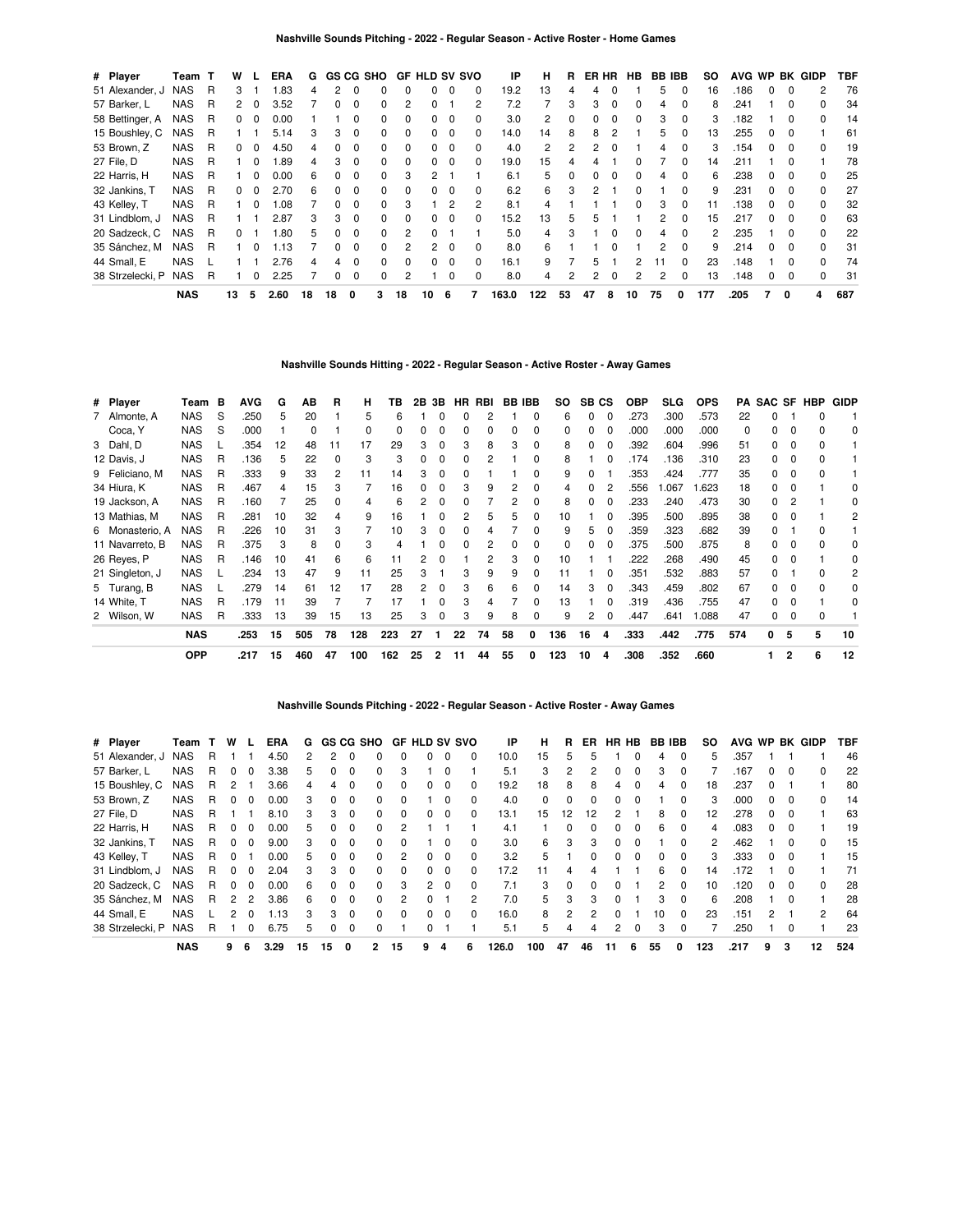| # Player         | Team       | т | w            |              | ERA  | G  | <b>GS CG SHO</b> |          |              |          | <b>GF HLD SV SVO</b> |          |          | IP    | н   | R            | ER HR |          | <b>HB</b>    | <b>BB IBB</b> |              | SO. |      |   |              | AVG WP BK GIDP | TBF |
|------------------|------------|---|--------------|--------------|------|----|------------------|----------|--------------|----------|----------------------|----------|----------|-------|-----|--------------|-------|----------|--------------|---------------|--------------|-----|------|---|--------------|----------------|-----|
| 51 Alexander, J  | <b>NAS</b> | R | 3            |              | .83  | 4  | 2                | $\Omega$ |              |          | 0                    | $\Omega$ | 0        | 19.2  | 13  |              | 4     |          |              | 5             | $\Omega$     | 16  | .186 | 0 | 0            | 2              | 76  |
| 57 Barker, L     | <b>NAS</b> | R | 2            | 0            | 3.52 |    |                  |          |              |          |                      |          | 2        | 7.2   |     | 3            | 3     | 0        | O            | 4             |              | 8   | .241 |   | O            | <sup>n</sup>   | 34  |
| 58 Bettinger, A  | NAS        | R | $\mathbf{0}$ | 0            | 0.00 |    |                  |          | 0            | 0        | 0                    | $\Omega$ | 0        | 3.0   | 2   |              | 0     | 0        | 0            | 3             | 0            | 3   | .182 |   | 0            | 0              | 14  |
| 15 Boushley, C   | <b>NAS</b> | R |              |              | 5.14 | З  | 3                | $\Omega$ | <sup>0</sup> | $\Omega$ | 0                    | $\Omega$ | 0        | 14.0  | 14  | 8            | 8     |          |              | 5             | 0            | 13  | 255  | 0 | $\Omega$     |                | 61  |
| 53 Brown, Z      | <b>NAS</b> | R | 0            |              | 4.50 | 4  |                  |          |              | $\Omega$ | 0                    | $\Omega$ | 0        | 4.0   | 2   |              |       |          |              | 4             |              | 3   | 154  |   | <sup>0</sup> | <sup>0</sup>   | 19  |
| 27 File, D       | <b>NAS</b> | R |              | 0            | .89  | 4  | 3                | $\Omega$ | $\Omega$     | $\Omega$ | $\Omega$             | 0        | 0        | 19.0  | 15  |              |       |          |              |               | 0            | 14  | .211 |   | 0            |                | 78  |
| 22 Harris, H     | NAS        | R |              | <sup>0</sup> | 0.00 | 6  | <sup>0</sup>     | $\Omega$ | $\Omega$     | 3        | 2                    |          |          | 6.1   | 5   | <sup>0</sup> | 0     | $\Omega$ | 0            | 4             | $\Omega$     | 6   | .238 | 0 | <sup>0</sup> | $\Omega$       | 25  |
| 32 Jankins, T    | NAS        | R | 0            | <sup>0</sup> | 2.70 | 6  |                  | $\Omega$ | <sup>0</sup> | 0        | <sup>o</sup>         | $\Omega$ | 0        | 6.2   | 6   | з            | 2     |          |              |               | 0            | 9   | .231 | 0 | $\Omega$     |                | 27  |
| 43 Kelley, T     | NAS        | R |              |              | .08  |    |                  |          |              | З        |                      | 2        | 2        | 8.1   | 4   |              |       |          | o            | 3             |              | 11  | .138 |   |              |                | 32  |
| 31 Lindblom, J   | NAS        | R |              |              | 2.87 | З  | 3                | $\Omega$ | $\Omega$     | $\Omega$ | 0                    | $\Omega$ | 0        | 15.2  | 13  | 5            | 5     |          |              | 2             | 0            | 15  | .217 | 0 | $\Omega$     | 0              | 63  |
| 20 Sadzeck, C    | <b>NAS</b> | R | 0            |              | .80  | 5  | <sup>n</sup>     | $\Omega$ | <sup>0</sup> | 2        | 0                    |          |          | 5.0   | 4   | 3            |       |          | <sup>0</sup> | 4             | $\Omega$     | 2   | .235 |   | <sup>0</sup> | <sup>0</sup>   | 22  |
| 35 Sánchez, M    | <b>NAS</b> | R |              |              | 1.13 |    |                  | $\Omega$ | <sup>0</sup> |          | 2                    | $\Omega$ | $\Omega$ | 8.0   | 6   |              |       |          |              | 2             | <sup>0</sup> | 9   | .214 |   | O            |                | 31  |
| 44 Small, E      | <b>NAS</b> |   |              |              | 2.76 | 4  |                  | $\Omega$ | 0            | $\Omega$ | 0                    | $\Omega$ | 0        | 16.1  | 9   |              | 5.    |          | 2            |               | $\Omega$     | 23  | .148 |   | 0            | <sup>0</sup>   | 74  |
| 38 Strzelecki, P | <b>NAS</b> | R |              | o            | 2.25 |    |                  | $\Omega$ | $\Omega$     | 2        |                      | 0        | 0        | 8.0   | 4   |              | 2     | 0        | 2            | 2             | 0            | 13  | .148 | 0 | 0            | $\Omega$       | 31  |
|                  | <b>NAS</b> |   | 13           | 5            | 2.60 | 18 | 18               | 0        | 3            | 18       | 10                   | -6       | 7        | 163.0 | 122 | 53           | 47    | 8        | 10           | 75            | 0            | 177 | .205 |   | 0            | 4              | 687 |

#### **Nashville Sounds Hitting - 2022 - Regular Season - Active Roster - Away Games**

| # Player        | Team       | в | AVG  | G  | AВ  | R  | н   | ΤВ  |    | 2B 3B | HR | RBI | <b>BB IBB</b> |              | SO.      | SB CS |          | <b>OBP</b> | <b>SLG</b> | <b>OPS</b> |          | <b>PA SAC SF</b> |              | HBP | <b>GIDP</b> |
|-----------------|------------|---|------|----|-----|----|-----|-----|----|-------|----|-----|---------------|--------------|----------|-------|----------|------------|------------|------------|----------|------------------|--------------|-----|-------------|
| 7 Almonte, A    | <b>NAS</b> | S | .250 | 5  | 20  |    | 5   | 6   |    |       |    |     |               | 0            | 6        |       |          | .273       | .300       | .573       | 22       |                  |              |     |             |
| Coca, Y         | <b>NAS</b> | S | .000 |    | 0   |    |     |     |    |       |    |     |               | 0            | $\Omega$ |       |          | .000       | .000       | .000       | $\Omega$ |                  |              |     | 0           |
| 3 Dahl, D       | <b>NAS</b> |   | 354  | 12 | 48  | 11 | 17  | 29  |    | 0     |    | 8   | 3             | $\Omega$     | 8        |       |          | .392       | .604       | .996       | 51       |                  | 0            |     |             |
| 12 Davis, J     | <b>NAS</b> | R | .136 | 5  | 22  |    |     |     |    | 0     |    |     |               | $\Omega$     | 8        |       |          | .174       | .136       | .310       | 23       |                  | 0            |     |             |
| 9 Feliciano, M  | <b>NAS</b> | R | .333 | 9  | 33  | 2  | 11  | 14  |    | 0     |    |     |               | <sup>0</sup> | 9        |       |          | .353       | .424       | .777       | 35       |                  |              |     |             |
| 34 Hiura, K     | <b>NAS</b> | R | .467 | 4  | 15  |    |     | 16  |    | 0     |    | 9   | 2             | $\Omega$     | 4        |       | 2        | .556       | .067       | 1.623      | 18       |                  |              |     | 0           |
| 19 Jackson, A   | <b>NAS</b> | R | .160 |    | 25  |    |     | 6   |    | ŋ     |    |     |               | <sup>0</sup> | 8        |       |          | .233       | .240       | .473       | 30       |                  |              |     | 0           |
| 13 Mathias, M   | <b>NAS</b> | R | .281 | 10 | 32  | 4  |     | 16  |    |       |    | 5   | 5             | 0            | 10       |       |          | .395       | .500       | .895       | 38       |                  |              |     | 2           |
| 6 Monasterio, A | <b>NAS</b> | R | .226 | 10 | 31  |    |     | 10  |    | o     |    |     |               | <sup>0</sup> | 9        |       |          | .359       | .323       | .682       | 39       |                  |              |     |             |
| 11 Navarreto, B | <b>NAS</b> | R | 375  | 3  | 8   |    |     |     |    |       |    |     |               | <sup>0</sup> | 0        |       |          | .375       | .500       | .875       | 8        |                  |              |     | 0           |
| 26 Reyes, P     | <b>NAS</b> | R | .146 | 10 | 41  | 6  | 6   | 11  |    |       |    |     | 3             | $\Omega$     | 10       |       |          | .222       | .268       | .490       | 45       |                  |              |     | 0           |
| 21 Singleton, J | <b>NAS</b> |   | 234  | 13 | 47  | 9  | 11  | 25  |    |       |    | 9   | 9             | 0            | 11       |       |          | .351       | .532       | .883       | 57       |                  |              |     | 2           |
| 5 Turang, B     | <b>NAS</b> |   | .279 | 14 | 61  | 12 | 17  | 28  | 2  | 0     | З  | 6   | 6             | $\Omega$     | 14       |       |          | .343       | .459       | .802       | 67       |                  | <sup>0</sup> |     | 0           |
| 14 White, T     | <b>NAS</b> | R | .179 | 11 | 39  |    |     | 17  |    | 0     |    |     |               | $\Omega$     | 13       |       |          | .319       | .436       | .755       | 47       |                  |              |     | 0           |
| 2 Wilson, W     | <b>NAS</b> | R | .333 | 13 | 39  | 15 | 13  | 25  | 3  | 0     | з  | 9   | 8             | $\Omega$     | 9        |       | $\Omega$ | .447       | .641       | 1.088      | 47       |                  | 0            | o   |             |
|                 | <b>NAS</b> |   | .253 | 15 | 505 | 78 | 128 | 223 | 27 |       | 22 | 74  | 58            | 0            | 136      | 16    | 4        | .333       | .442       | .775       | 574      | 0                | 5            | 5   | 10          |
|                 | <b>OPP</b> |   | .217 | 15 | 460 | 47 | 100 | 162 | 25 | 2     | 11 | 44  | 55            | 0            | 123      | 10    | 4        | .308       | .352       | .660       |          |                  | $\mathbf{2}$ | 6   | 12          |

## **Nashville Sounds Pitching - 2022 - Regular Season - Active Roster - Away Games**

| # Player         | Team T     |   | W             |                | <b>ERA</b> | G  |    |              | GS CG SHO    |          | <b>GF HLD SV SVO</b> |          |              | IP    | н   | R  | ER.          | HR HB        |          | <b>BB IBB</b> |          | so  | AVG WP |               |   | BK GIDP       | TBF |
|------------------|------------|---|---------------|----------------|------------|----|----|--------------|--------------|----------|----------------------|----------|--------------|-------|-----|----|--------------|--------------|----------|---------------|----------|-----|--------|---------------|---|---------------|-----|
| 51 Alexander, J  | <b>NAS</b> | R |               |                | 4.50       | 2  | 2  |              |              |          |                      | 0        | 0            | 10.0  | 15  | 5  |              |              |          | 4             | $\Omega$ | 5   | .357   |               |   |               | 46  |
| 57 Barker, L     | <b>NAS</b> | R | 0             | 0              | 3.38       | 5  | 0  |              | 0            | 3        |                      | $\Omega$ |              | 5.1   | 3   | 2  |              | 0            | O        | 3             | $\Omega$ |     | .167   | 0             | 0 | $\Omega$      | 22  |
| 15 Boushley, C   | <b>NAS</b> | R | 2             |                | 3.66       | 4  | 4  |              |              |          |                      |          | <sup>0</sup> | 19.2  | 18  | 8  | 8            | 4            |          | 4             |          | 18  | .237   |               |   |               | 80  |
| 53 Brown, Z      | <b>NAS</b> | R | $\Omega$      | 0              | 0.00       | 3  | 0  | $\Omega$     | 0            | 0        |                      | $\Omega$ | 0            | 4.0   | 0   | 0  | <sup>0</sup> | 0            |          |               | $\Omega$ | 3   | .000   | 0             | 0 | 0             | 14  |
| 27 File, D       | <b>NAS</b> | R |               |                | 8.10       | 3  | 3  | $\Omega$     | 0            | $\Omega$ | 0                    | $\Omega$ | 0            | 13.1  | 15  | 12 | 12           | 2            |          | 8             | $\Omega$ | 12  | .278   | <sup>0</sup>  | O |               | 63  |
| 22 Harris, H     | <b>NAS</b> | R | $\Omega$      | 0              | 0.00       | 5  | 0  | <sup>0</sup> | 0            |          |                      |          |              | 4.1   |     | 0  |              | 0            | n        | 6             | $\Omega$ | 4   | .083   | 0             | 0 |               | 19  |
| 32 Jankins, T    | <b>NAS</b> | R | $\Omega$      | 0              | 9.00       | 3  | 0  | $\Omega$     | 0            | 0        |                      | $\Omega$ | 0            | 3.0   | 6   | 3  | 3            | 0            | n        |               | $\Omega$ | 2   | .462   |               | 0 | $\Omega$      | 15  |
| 43 Kelley, T     | <b>NAS</b> | R |               |                | 0.00       | 5  | 0  |              | 0            |          |                      | $\Omega$ |              | 3.2   | 5   |    |              | 0            |          | 0             |          | 3   | .333   | 0             | 0 |               | 15  |
| 31 Lindblom, J   | <b>NAS</b> | R | $\Omega$      | <sup>0</sup>   | 2.04       | 3  | 3  | $\Omega$     | <sup>0</sup> | $\Omega$ | 0                    | $\Omega$ | 0            | 17.2  | 11  | 4  |              |              |          | 6             | $\Omega$ | 14  | .172   |               | O |               | 71  |
| 20 Sadzeck, C    | <b>NAS</b> | R | $\Omega$      | 0              | 0.00       | 6  | 0  | $\Omega$     | 0            | 3        | 2                    | $\Omega$ | 0            | 7.1   | 3   | O  |              | <sup>0</sup> |          | 2             | $\Omega$ | 10  | .120   | 0             | O |               | 28  |
| 35 Sánchez, M    | <b>NAS</b> | R | 2             | $\overline{2}$ | 3.86       | 6  | 0  | $\Omega$     | 0            |          |                      |          | 2            | 7.0   | 5   | 3  | 3            | $\Omega$     |          | 3             | $\Omega$ | 6   | .208   |               | 0 |               | 28  |
| 44 Small, E      | <b>NAS</b> |   | $\mathcal{P}$ |                | 1.13       | 3  | 3  | $\Omega$     | $\Omega$     | $\Omega$ |                      | $\Omega$ | O            | 16.0  | 8   | 2  |              | 0            |          | 10            | $\Omega$ | 23  | .151   | $\mathcal{P}$ |   | $\mathcal{P}$ | 64  |
| 38 Strzelecki, P | <b>NAS</b> | R |               | 0              | 6.75       | 5  | 0  | $\Omega$     | 0            |          |                      |          |              | 5.1   | 5   | 4  |              | 2            | $\Omega$ | 3             | $\Omega$ |     | .250   |               | 0 |               | 23  |
|                  | <b>NAS</b> |   | 9             | 6              | 3.29       | 15 | 15 | 0            | 2            | 15       | 9                    | 4        | 6            | 126.0 | 100 | 47 | 46           | 11           | 6        | 55            | 0        | 123 | .217   | 9             | 3 | 12            | 524 |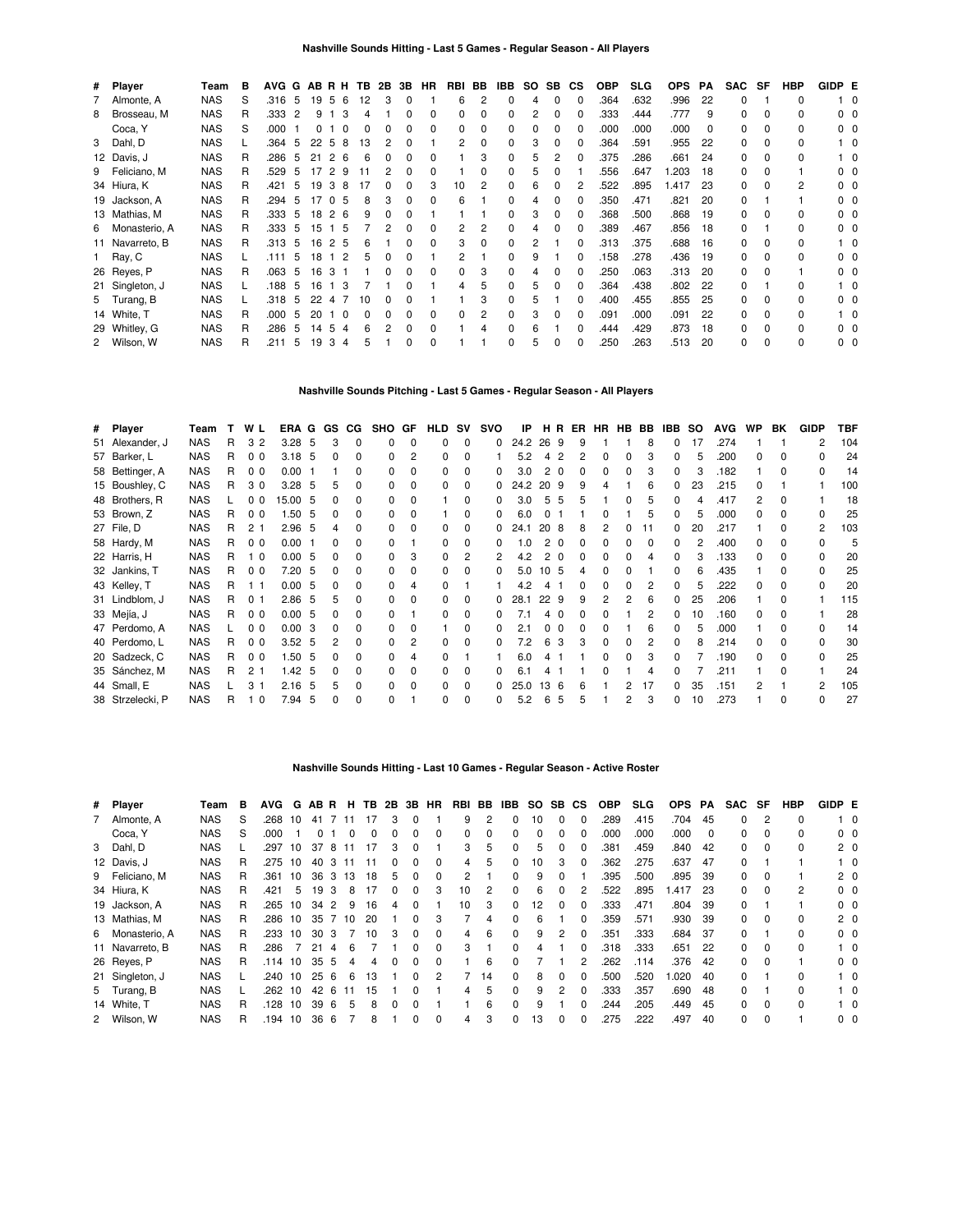| # Player        | Team       | в  | AVG G |    | ABRH |                |          | TB. | 2B | 3B | <b>HR</b>    | RBI | BB | IBB | SO. | SB.          | СS | <b>OBP</b> | <b>SLG</b> | <b>OPS</b> | РA | <b>SAC</b> | SF           | <b>HBP</b> | GIDP E |                |
|-----------------|------------|----|-------|----|------|----------------|----------|-----|----|----|--------------|-----|----|-----|-----|--------------|----|------------|------------|------------|----|------------|--------------|------------|--------|----------------|
| 7 Almonte, A    | NAS        | S  | .316  | 5  | 19   | 5              | -6       | 12  | З  | 0  |              | 6   | 2  |     | 4   | 0            | 0  | .364       | .632       | .996       | 22 | 0          |              | 0          |        | - 0            |
| 8 Brosseau, M   | <b>NAS</b> | R  | .333  | 2  | 9    |                | 3        |     |    |    | 0            | 0   | 0  |     | 2   | <sup>0</sup> |    | .333       | .444       | .777       | 9  | 0          | $\Omega$     | 0          |        | $0\quad 0$     |
| Coca, Y         | <b>NAS</b> | S  | .000  |    | 0    |                | $\Omega$ |     |    | 0  | 0            | 0   | 0  |     | 0   | <sup>0</sup> | 0  | .000       | .000       | .000       | 0  | 0          | <sup>0</sup> | 0          |        | 00             |
| 3 Dahl, D       | <b>NAS</b> |    | .364  | 5  | 22   | -5             | 8        | 13  |    |    |              | 2   | 0  |     | 3   | <sup>0</sup> | O  | .364       | .591       | .955       | 22 | $\Omega$   | 0            | 0          |        | 10             |
| 12 Davis, J     | NAS        | R  | .286  | 5  | 21   | 2 6            |          | 6   |    | n  | <sup>0</sup> |     | 3  |     | 5   |              |    | .375       | .286       | .661       | 24 | 0          | $\Omega$     | 0          |        | 10             |
| 9 Feliciano, M  | <b>NAS</b> | R. | .529  | 5  | 17   | 2              | -9       |     |    | 0  | <sup>0</sup> |     | 0  |     | 5   |              |    | .556       | .647       | 1.203      | 18 | 0          | $\Omega$     |            |        | 00             |
| 34 Hiura, K     | <b>NAS</b> | R  | .421  | 5  | 19   | 38             |          | 17  |    | 0  | 3            | 10  | 2  |     | 6   |              |    | .522       | .895       | 1.417      | 23 | 0          | <sup>0</sup> | 2          |        | n n            |
| 19 Jackson, A   | <b>NAS</b> | R  | .294  | 5  | 17   | 0 <sub>5</sub> |          |     |    |    |              | 6   |    |     |     |              |    | .350       | .471       | .821       | 20 | $\Omega$   |              |            |        | ი ი            |
| 13 Mathias, M   | <b>NAS</b> | R  | .333  | 5  | 18   | 26             |          |     |    |    |              |     |    |     | 3   | 0            | O  | .368       | .500       | .868       | 19 | $\Omega$   | n            | 0          |        | ი ი            |
| 6 Monasterio, A | <b>NAS</b> | R  | .333  | 5  | 15   | 15             |          |     |    |    |              | 2   | 2  |     |     |              | 0  | .389       | .467       | .856       | 18 | 0          |              | 0          |        | $0\quad 0$     |
| 11 Navarreto, B | <b>NAS</b> | R  | .313  | -5 | 16   | 2 5            |          | 6   |    | 0  | $\Omega$     | 3   | 0  |     | 2   |              | O  | .313       | .375       | .688       | 16 | 0          | 0            | 0          |        | 10             |
| 1 Ray, C        | <b>NAS</b> |    | .111  | 5  | 18   | $1\quad2$      |          | 5   |    |    |              | 2   |    |     | 9   |              | O  | .158       | .278       | .436       | 19 | 0          | $\Omega$     | 0          |        | 0 <sub>0</sub> |
| 26 Reyes, P     | <b>NAS</b> | R  | .063  | 5  | 16   | 3              |          |     |    | 0  | $\Omega$     | 0   | 3  |     |     |              | O  | .250       | .063       | .313       | 20 | 0          | $\Omega$     |            |        | n n            |
| 21 Singleton, J | <b>NAS</b> |    | .188  | 5  | 16   | 13             |          |     |    |    |              | 4   | 5  |     | 5   |              |    | .364       | .438       | .802       | 22 | 0          |              | 0          |        | 10             |
| 5 Turang, B     | <b>NAS</b> |    | .318  | 5  | 22   | 4              |          | 10  |    |    |              |     | З  |     | 5   |              | O  | .400       | .455       | .855       | 25 | O.         | <sup>0</sup> | n.         |        | n n            |
| 14 White, T     | <b>NAS</b> | R  | .000  | 5  | 20   |                | 0        |     |    |    | <sup>0</sup> | 0   | 2  |     | 3   |              |    | .091       | .000       | .091       | 22 | 0          | 0            | 0          |        | 10             |
| 29 Whitley, G   | <b>NAS</b> | R  | .286  | 5  | 14   | 5              | 4        |     |    | 0  | <sup>0</sup> |     |    |     | 6   |              |    | .444       | .429       | .873       | 18 | O.         | <sup>0</sup> | n.         |        | 00             |
| 2 Wilson, W     | <b>NAS</b> | R  | .211  | 5  | 19   | 3              | 4        | 'n. |    | 0  | 0            |     |    |     | 5   | 0            | 0  | .250       | .263       | .513       | 20 | 0          | <sup>0</sup> | 0          |        | 0 <sub>0</sub> |

#### **Nashville Sounds Pitching - Last 5 Games - Regular Season - All Players**

| # Player         | Team       |   | W L            | ERA G |    | GS.          | CG.          | SHO GF       |              | <b>HLD</b> | <b>SV</b>    | <b>SVO</b>   | IP   | HR.  |          | ER | HR | <b>HB</b> | BB | IBB. | <b>SO</b> | <b>AVG</b> | <b>WP</b> | BK           | <b>GIDP</b> | TBF |
|------------------|------------|---|----------------|-------|----|--------------|--------------|--------------|--------------|------------|--------------|--------------|------|------|----------|----|----|-----------|----|------|-----------|------------|-----------|--------------|-------------|-----|
| 51 Alexander, J  | <b>NAS</b> | R | 32             | 3.28  | 5  |              | $\Omega$     | <sup>0</sup> | $\Omega$     |            | 0            | 0            | 24.2 | 26 9 |          | 9  |    |           | 8  | n.   | 17        | .274       |           |              |             | 104 |
| 57 Barker, L     | <b>NAS</b> | R | 0 <sub>0</sub> | 3.18  | -5 | <sup>0</sup> | 0            |              | 2            |            | ŋ            |              | 5.2  |      |          |    |    |           |    | n.   | 5         | .200       | U         |              |             | 24  |
| 58 Bettinger, A  | <b>NAS</b> | R | 0 <sub>0</sub> | 0.00  |    |              |              |              |              |            | ŋ            |              | 3.0  |      | $\Omega$ |    |    |           |    |      | 3         | .182       |           |              |             | 14  |
| 15 Boushley, C   | <b>NAS</b> | R | 30             | 3.28  | 5  |              |              |              |              |            | 0            | 0            | 24.2 | 20.9 |          |    |    |           | Բ  | 0    | 23        | .215       |           |              |             | 100 |
| 48 Brothers, R   | <b>NAS</b> |   | 00             | 15.00 | -5 |              | 0            |              | $\Omega$     |            | 0            | 0            | 3.0  | 5.   | 5        |    |    | 0         |    | 0    |           | .417       |           | <sup>0</sup> |             | 18  |
| 53 Brown, Z      | <b>NAS</b> | R | 0 <sub>0</sub> | 1.50  | -5 | 0            | 0            |              | $\Omega$     |            | 0            | 0            | 6.0  |      |          |    |    |           | 5  | 0    | 5         | .000       |           |              |             | 25  |
| 27 File, D       | <b>NAS</b> | R | 2 <sub>1</sub> | 2.96  | -5 |              |              |              |              |            | 0            | 0            | 24.1 | 208  |          |    |    |           |    |      | 20        | .217       |           |              | 2           | 103 |
| 58 Hardy, M      | <b>NAS</b> | R | 0 <sub>0</sub> | 0.00  |    |              |              |              |              |            | ŋ            |              | 1.0  |      | - 0      |    |    |           |    |      | 2         | .400       |           |              |             | 5   |
| 22 Harris, H     | <b>NAS</b> | R | $\Omega$       | 0.00  | -5 |              | <sup>n</sup> |              | 3            | U          |              |              | 4.2  |      |          |    | O. |           |    | n.   | 3         | .133       | n.        |              |             | 20  |
| 32 Jankins, T    | <b>NAS</b> | R | 0 <sub>0</sub> | 7.20  | -5 |              |              |              | <sup>0</sup> |            | ŋ            |              | 5.0  | 10   | -5       |    |    |           |    |      | 6         | .435       |           |              |             | 25  |
| 43 Kelley, T     | <b>NAS</b> | R |                | 0.00  | -5 | <sup>0</sup> |              |              |              |            |              |              | 42   |      |          |    |    |           |    |      | 5         | .222       |           |              |             | 20  |
| 31 Lindblom, J   | <b>NAS</b> | R | 0 <sub>1</sub> | 2.86  | .5 | 5            |              |              | <sup>0</sup> |            | <sup>0</sup> | <sup>0</sup> | 28.1 | 22   | -9       | q  | 2  | 2         | 6  |      | 25        | .206       |           |              |             | 115 |
| 33 Mejía, J      | <b>NAS</b> | R | 0 <sub>0</sub> | 0.00  | -5 | 0            | 0            |              |              | 0          | <sup>0</sup> |              | 7.1  |      |          |    |    |           |    | 0    | 10        | .160       | n.        | <sup>0</sup> |             | 28  |
| 47 Perdomo, A    | <b>NAS</b> |   | 0 <sub>0</sub> | 0.00  | -3 |              |              |              |              |            | 0            | <sup>0</sup> | 2.1  | 0    | - 0      |    |    |           |    |      | 5         | .000       |           |              |             | 14  |
| 40 Perdomo, L    | <b>NAS</b> | R | 0 <sub>0</sub> | 3.52  | -5 |              |              | n            | 2            |            | ŋ            |              | 7.2  | 6    | 3        |    |    |           |    | n.   | 8         | .214       |           |              |             | 30  |
| 20 Sadzeck, C    | <b>NAS</b> | R | 0 <sub>0</sub> | 1.50  | -5 |              | n.           |              | 4            |            |              |              | 6.0  |      |          |    |    |           |    |      |           | .190       | n.        |              |             | 25  |
| 35 Sánchez, M    | <b>NAS</b> | R | 2 <sub>1</sub> | 1.42  | -5 |              |              |              | $\Omega$     |            | o            |              | 6.1  |      |          |    |    |           |    |      |           | .211       |           |              |             | 24  |
| 44 Small, E      | <b>NAS</b> |   | 3              | 2.16  | 5  |              | $\Omega$     |              | <sup>0</sup> |            | <sup>0</sup> |              | 25.0 | 13   | -6       |    |    |           | 17 | n.   | 35        | .151       |           |              | 2           | 105 |
| 38 Strzelecki, P | <b>NAS</b> | R | $\mathbf 0$    | 7.94  | 5  | $\Omega$     | $\Omega$     |              |              | 0          | $\Omega$     | 0            | 5.2  | 6    | 5        | 5  |    | 2         | з  | 0    | 10        | .273       |           |              |             | 27  |

#### **Nashville Sounds Hitting - Last 10 Games - Regular Season - Active Roster**

| # Player        | Team       | в | AVG     | G  |          |                |     |    |              |              | ABR H TB 2B 3B HR | RBI | BB             | IBB          | SO SB        |              | CS.          | <b>OBP</b> | <b>SLG</b> | <b>OPS</b> | PA       | <b>SAC</b> | SF             | HBP      | GIDP E |                |
|-----------------|------------|---|---------|----|----------|----------------|-----|----|--------------|--------------|-------------------|-----|----------------|--------------|--------------|--------------|--------------|------------|------------|------------|----------|------------|----------------|----------|--------|----------------|
| 7 Almonte, A    | <b>NAS</b> | S | .268    | 10 | 41       |                | 11  |    | 3            | 0            |                   | 9   | $\overline{2}$ | 0            | 10           | $\Omega$     |              | .289       | .415       | .704       | 45       | $\Omega$   | $\overline{2}$ | 0        |        | $1\quad$ 0     |
| Coca, Y         | <b>NAS</b> | S | .000    |    | $\Omega$ |                |     | ŋ  | O            | <sup>0</sup> | $\Omega$          | 0   | $\Omega$       | 0            | <sup>0</sup> | 0            |              | .000       | .000       | .000       | $\Omega$ | 0          | $\Omega$       | 0        |        | $0\quad 0$     |
| 3 Dahl, D       | <b>NAS</b> |   | .297    | 10 | 37       | -8             |     |    | 3            | $\Omega$     |                   | 3   | 5              | $\Omega$     | 5            | 0            |              | 381        | .459       | .840       | 42       | 0          | $\Omega$       | 0        |        | $2\quad0$      |
| 12 Davis, J     | <b>NAS</b> | R | .275 10 |    | 40       | 3              | -11 | 11 | 0            | 0            | <sup>0</sup>      | 4   | 5              | $\Omega$     | 10           | 3            | <sup>0</sup> | .362       | .275       | .637       | 47       | 0          |                |          |        | $1\quad 0$     |
| 9 Feliciano, M  | <b>NAS</b> | R | .361    | 10 | 36       | 3              | 13  | 18 | 5            | $\Omega$     | $\Omega$          | 2   |                | $\Omega$     | 9            | <sup>0</sup> |              | .395       | .500       | .895       | 39       | $\Omega$   | $\Omega$       |          |        | $2\quad0$      |
| 34 Hiura, K     | <b>NAS</b> | R | .421    | 5  | 19       | 3              |     |    | <sup>0</sup> | <sup>0</sup> | 3                 | 10  | 2              | $\Omega$     | 6            | <sup>0</sup> |              | 522        | .895       | l.417      | 23       | 0          | $\Omega$       | 2        |        | $0\quad 0$     |
| 19 Jackson, A   | <b>NAS</b> | R | .265    | 10 | 34       | $\overline{2}$ | 9   | 16 | Δ            | $\Omega$     |                   | 10  | 3              | $\Omega$     | 12           | $\Omega$     |              | .333       | .471       | .804       | 39       | 0          |                |          |        | $0\quad 0$     |
| 13 Mathias, M   | <b>NAS</b> | R | .286    | 10 | 35 7     |                | 10  | 20 |              | <sup>0</sup> | 3                 |     | 4              | $\Omega$     | 6            |              | <sup>0</sup> | .359       | .571       | .930       | 39       | 0          | $\Omega$       | $\Omega$ |        | $2\quad0$      |
| 6 Monasterio, A | <b>NAS</b> | R | .233    | 10 | 30       | 3              |     | 10 | 3            | $\Omega$     | $\Omega$          | 4   | 6              | $\Omega$     | 9            | 2            |              | .351       | .333       | .684       | -37      | 0          |                | O        |        | $0\quad 0$     |
| 11 Navarreto, B | <b>NAS</b> | R | .286    |    | 21       | 4              | 6   |    |              | <sup>0</sup> | $\Omega$          | 3   |                | $\Omega$     |              |              |              | .318       | .333       | .651       | 22       | 0          | $\Omega$       | $\Omega$ |        | $1\quad 0$     |
| 26 Reyes, P     | <b>NAS</b> | R | .114 10 |    | 355      |                | 4   | 4  | $\Omega$     | $\Omega$     |                   |     | 6              | <sup>0</sup> |              |              |              | 262        | .114       | .376       | 42       | $\Omega$   | $\Omega$       |          |        | $0\quad 0$     |
| 21 Singleton, J | <b>NAS</b> |   | .240    | 10 | 25       | 6              | 6   | 13 |              | O            | 2                 |     | 14             | $\Omega$     | 8            | <sup>0</sup> |              | .500       | .520       | 1.020      | 40       | 0          |                | $\Omega$ |        | $1\quad$ 0     |
| 5 Turang, B     | <b>NAS</b> |   | .262    | 10 | 42       | 6              |     | 15 |              | O            |                   | 4   | 5              | $\Omega$     | 9            | 2            |              | 333        | .357       | .690       | 48       | 0          |                | O        |        | $1\quad$ 0     |
| 14 White, T     | <b>NAS</b> | R | .128    | 10 | 39       | -6             | 5   | 8  | $\Omega$     | $\Omega$     |                   |     | 6              | $\Omega$     | 9            |              |              | 244        | .205       | .449       | 45       | 0          | $\Omega$       | 0        |        | $1\quad$ 0     |
| 2 Wilson, W     | <b>NAS</b> | R | .194    | 10 | 36       | -6             |     | 8  |              | ŋ            | $\Omega$          | 4   | 3              | $\Omega$     | 13           | <sup>0</sup> |              | 275        | .222       | .497       | 40       | $\Omega$   | $\Omega$       |          |        | 0 <sub>0</sub> |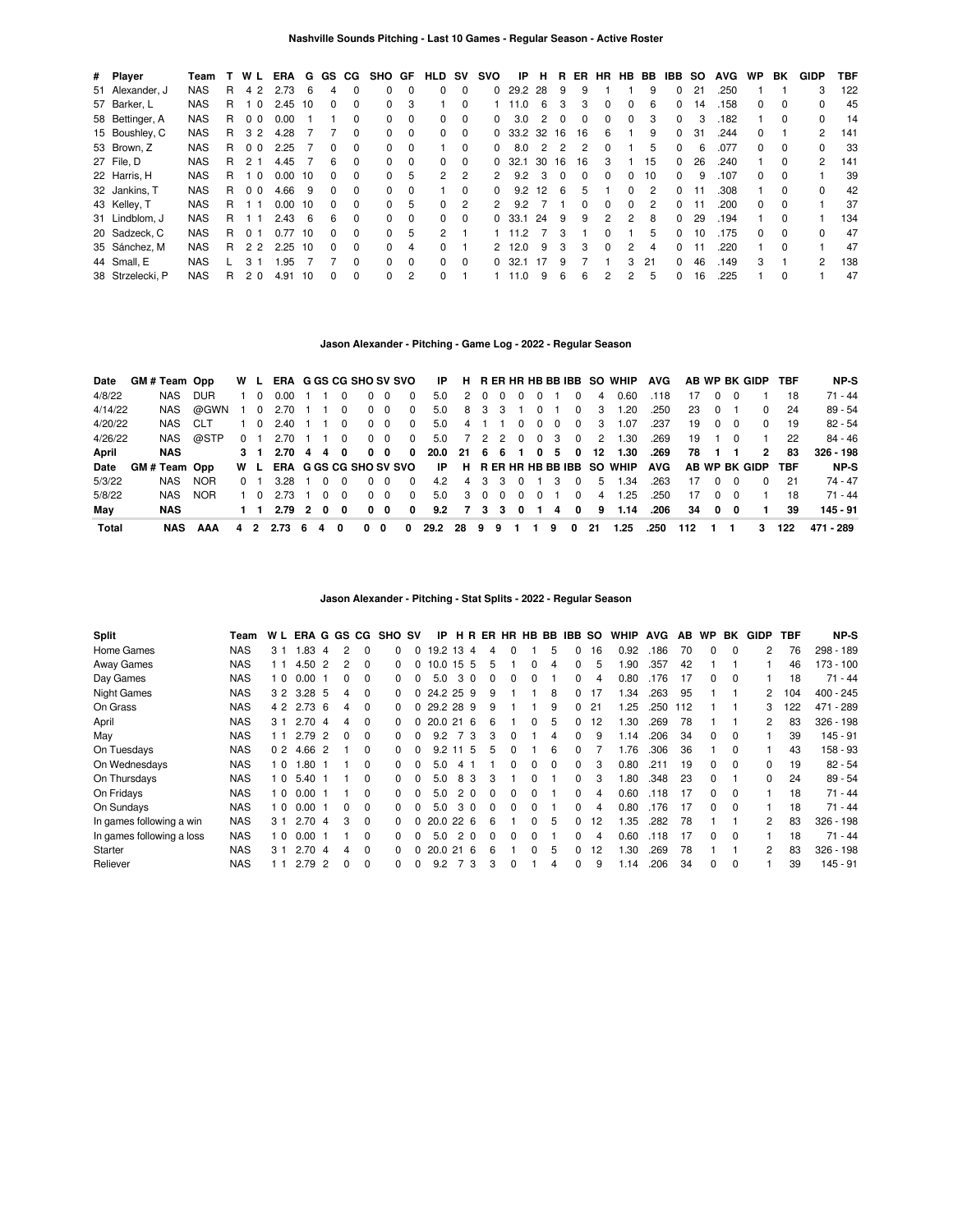| # Player         | Team       |   | W L              | ERA       | G  |              |              | GS CG SHO GF |          | HLD                  | <b>SV</b> | svo           | ΙP             | н   | R        | ER. | HR.      | HB.      | BB | IBB          | <b>SO</b> | <b>AVG</b> | WP.          | BK       | GIDP | TBF |
|------------------|------------|---|------------------|-----------|----|--------------|--------------|--------------|----------|----------------------|-----------|---------------|----------------|-----|----------|-----|----------|----------|----|--------------|-----------|------------|--------------|----------|------|-----|
| 51 Alexander, J  | <b>NAS</b> | R | 4 2              | 2.73      | 6  | 4            | $\Omega$     | 0            | $\Omega$ | $\Omega$             | $\Omega$  | 0             | 29.2           | 28  | 9        | 9   |          |          | 9  | 0            | 21        | .250       |              |          | 3    | 122 |
| 57 Barker, L     | <b>NAS</b> | R | 10               | 2.45      | 10 | <sup>0</sup> | $\Omega$     | $\Omega$     | 3        |                      | 0         |               | 11.0           | 6   | з        | 3   | $\Omega$ | 0        | 6  | $\Omega$     | 14        | .158       | <sup>0</sup> | 0        |      | 45  |
| 58 Bettinger, A  | <b>NAS</b> | R | 0 <sub>0</sub>   | 0.00      |    |              | $\Omega$     | 0            | 0        | $\Omega$             | $\Omega$  | 0             | 3.0            | 2   | $\Omega$ | 0   | 0        | $\Omega$ | 3  | 0            | 3         | .182       |              | 0        |      | 14  |
| 15 Boushley, C   | <b>NAS</b> | R | 3 2              | 4.28      |    |              | $\Omega$     | $\Omega$     | $\Omega$ | $\Omega$             | $\Omega$  |               | $0$ 33.2 32 16 |     |          | 16  | 6        |          | 9  | $\Omega$     | 31        | .244       | <sup>0</sup> |          | 2    | 141 |
| 53 Brown, Z      | <b>NAS</b> | R | 0 <sub>0</sub>   | 2.25      |    | $\Omega$     | $\Omega$     | 0            | $\Omega$ |                      | $\Omega$  | <sup>0</sup>  | 8.0            | 2   | 2        | 2   | $\Omega$ |          | 5  | 0            | 6         | .077       | 0            | 0        | 0    | -33 |
| 27 File, D       | <b>NAS</b> | R | 2 <sub>1</sub>   | 4.45      |    | 6            | $\Omega$     | $\Omega$     | $\Omega$ | $\Omega$             | $\Omega$  | 0             | 32.1           | 30  | 16       | 16  | 3        |          | 15 | $\Omega$     | 26        | .240       |              | $\Omega$ | 2    | 141 |
| 22 Harris, H     | <b>NAS</b> | R | - 0              | 0.00      | 10 | $\Omega$     | <sup>0</sup> | 0            | 5        | $\mathbf{2}^{\circ}$ | 2         | $\mathcal{P}$ | 9.2            | 3   |          | 0   | $\Omega$ | 0        | 10 | 0            | 9         | .107       | <sup>o</sup> |          |      | 39  |
| 32 Jankins, T    | <b>NAS</b> | R | 0 <sub>0</sub>   | 4.66      | 9  | $\Omega$     | $\Omega$     | $\Omega$     | $\Omega$ |                      | $\Omega$  | $\Omega$      | 9.2            | 12  | 6        | 5   |          | $\Omega$ | 2  | $\Omega$     |           | .308       |              | $\Omega$ | 0    | 42  |
| 43 Kelley, T     | <b>NAS</b> | R |                  | 0.00      | 10 | 0            | $\Omega$     | $\Omega$     | 5        | $\Omega$             | 2         | $\mathcal{P}$ | 9.2            |     |          | n   | $\Omega$ | $\Omega$ | 2  | <sup>0</sup> |           | .200       | n.           | 0        |      | 37  |
| 31 Lindblom, J   | <b>NAS</b> | R |                  | 2.43      | 6  | 6            | $\Omega$     | 0            | $\Omega$ | $\Omega$             | $\Omega$  | <sup>0</sup>  | -33.1          | 24  | 9        | 9   | 2        | 2        | 8  | $\Omega$     | 29        | .194       |              | $\Omega$ |      | 134 |
| 20 Sadzeck, C    | <b>NAS</b> | R | 01               | 0.77      | 10 | 0            | $\Omega$     | $\Omega$     | 5        | $\overline{2}$       |           |               | 11.2           |     |          |     | $\Omega$ |          | 5  | $\Omega$     | 10        | .175       |              | $\Omega$ |      | 47  |
| 35 Sánchez, M    | <b>NAS</b> | R | 2 2              | $2.25$ 10 |    | $\Omega$     | $\Omega$     | 0            | 4        | 0                    |           | $\mathcal{P}$ | 12.0           | 9   | 3        | 3   | $\Omega$ | 2        | 4  | $\Omega$     |           | .220       |              | $\Omega$ |      | 47  |
| 44 Small, E      | <b>NAS</b> |   | $\overline{3}$ 1 | 1.95      |    |              | $\Omega$     | $\Omega$     | $\Omega$ | $\Omega$             | $\Omega$  | <sup>0</sup>  | 32.1           | -17 | 9        |     |          | 3        | 21 | 0            | 46        | .149       | 3            |          | 2    | 138 |
| 38 Strzelecki, P | <b>NAS</b> | R | 2 <sub>0</sub>   | 4.91      | 10 | <sup>0</sup> | $\Omega$     | 0            | 2        | $\Omega$             |           |               | 11.0           | 9   | 6        | 6   | 2        | 2        | 5  | 0            | 16        | .225       |              | 0        |      | 47  |

## **Jason Alexander - Pitching - Game Log - 2022 - Regular Season**

| Date    | GM#Team Opp |            | W L            |             | ERA G GS CG SHO SV SVO         |     |   |                |          |            |          | IP                     |     |     |         |                |          |          |               |                | H RERHRHBBBIBB SO WHIP AVG |      |     |                      |           | AB WP BK GIDP TBF |     | NP-S        |
|---------|-------------|------------|----------------|-------------|--------------------------------|-----|---|----------------|----------|------------|----------|------------------------|-----|-----|---------|----------------|----------|----------|---------------|----------------|----------------------------|------|-----|----------------------|-----------|-------------------|-----|-------------|
| 4/8/22  | NAS         | DUR.       |                | 1 0         | 0.00                           |     |   | 0              | $\Omega$ | $\Omega$   | $\Omega$ | 5.0                    |     |     | 2 0 0   | $\overline{0}$ | $\Omega$ |          | $\Omega$      | 4              | 0.60                       | .118 | 17  | $\Omega$             |           |                   | 18  | 71 - 44     |
| 4/14/22 | NAS         | @GWN       | $1\quad$ 0     |             | 2.70                           |     |   | $\Omega$       |          | $0\quad 0$ | $\Omega$ | 5.0                    |     |     | 8 3 3   |                | $\Omega$ |          | $\Omega$      | 3              | 1.20                       | .250 | 23  | - 0                  |           | <sup>0</sup>      | 24  | 89 - 54     |
| 4/20/22 | NAS CLT     |            |                | 1 0         | 2.40                           |     |   | $\overline{0}$ |          | $0\quad 0$ | $\Omega$ | 5.0                    | 4 1 |     |         | $\overline{0}$ | $\Omega$ | $\Omega$ | $\Omega$      | 3              | 1.07                       | .237 | 19  | - 0                  | - 0       | 0                 | 19  | 82 - 54     |
| 4/26/22 | NAS         | @STP       | 0 <sub>1</sub> |             | 2.70                           |     |   | $\Omega$       |          | $0\quad 0$ | $\Omega$ | 5.0                    |     |     |         |                |          |          | 7 2 2 0 0 3 0 | 2              | 1.30                       | .269 |     | $19 \quad 1 \quad 0$ |           |                   | 22  | $84 - 46$   |
| April   | <b>NAS</b>  |            |                | $3 \quad 1$ | $2.70 \quad 4 \quad 4 \quad 0$ |     |   |                |          | $0\quad 0$ | $\Omega$ | 20.0 21 6 6 1 0 5 0 12 |     |     |         |                |          |          |               |                | 1.30                       | .269 | 78  | $\blacksquare$       |           | 2                 | 83  | $326 - 198$ |
| Date    | GM#Team Opp |            | W L            |             | ERA G GS CG SHO SV SVO         |     |   |                |          |            |          |                        |     |     |         |                |          |          |               |                | IP H RERHRHBBBIBB SO WHIP  | AVG  |     |                      |           | AB WP BK GIDP TBF |     | NP-S        |
| 5/3/22  | NAS         | <b>NOR</b> | 0 1            |             | 3.28 1 0 0                     |     |   |                |          | $0\quad 0$ | $\Omega$ | 4.2                    |     |     |         |                |          |          | 4 3 3 0 1 3 0 | -5             | 1.34                       | .263 | 17  |                      | 0 0       | $\Omega$          | 21  | 74 - 47     |
| 5/8/22  | NAS         | <b>NOR</b> |                | 1 O         | 2.73                           | 1 0 |   | $\Omega$       |          | $0\quad 0$ | $\Omega$ | 5.0                    |     | 300 |         | $\Omega$       | $\Omega$ |          | $\Omega$      | $\overline{4}$ | 1.25                       | .250 | 17  | $\Omega$             | <u>ິດ</u> |                   | 18  | $71 - 44$   |
| May     | NAS         |            |                |             | $2.79$ 2 0                     |     |   | 0              |          | $0\quad 0$ | 0        | 9.2                    |     |     | 7 3 3 0 |                | - 1      | 4        | 0             | 9              | 1.14                       | .206 | 34  | $\mathbf{0}$         | - 0       |                   | 39  | 145 - 91    |
| Total   | NAS         | AAA        | 42             |             | 2.73                           | -6  | 4 | 0              | 0        | 0          | 0        | 29.2 28 9              |     |     | 9       |                |          | 9        | 0             | -21            | 1.25                       | .250 | 112 |                      |           | з.                | 122 | 471 - 289   |

## **Jason Alexander - Pitching - Stat Splits - 2022 - Regular Season**

| <b>Split</b>              | Team       | W L            | ERA        |                |              | G GS CG  | <b>SHO</b>   | S٧       | IP.            |                      | HR.      | ER       |              |   |   | HR HB BB IBB SO |    | <b>WHIP</b> | <b>AVG</b> | AB  | WP           | BK       | GIDP           | TBF | NP-S        |
|---------------------------|------------|----------------|------------|----------------|--------------|----------|--------------|----------|----------------|----------------------|----------|----------|--------------|---|---|-----------------|----|-------------|------------|-----|--------------|----------|----------------|-----|-------------|
| Home Games                | <b>NAS</b> | 3 <sub>1</sub> | .83        | 4              |              | $\Omega$ |              |          | 19.2           | 13                   | -4       | 4        | 0            |   | 5 |                 | 16 | 0.92        | .186       | 70  |              | $\Omega$ | 2              | 76  | 298 - 189   |
| Away Games                | <b>NAS</b> | 11             | 4.50       | 2              |              | $\Omega$ | <sup>o</sup> |          | 10.0           | 15 <sub>5</sub>      |          | 5        |              | 0 | 4 | 0               | 5  | .90         | .357       | 42  |              |          |                | 46  | $173 - 100$ |
| Day Games                 | <b>NAS</b> | 10             | 0.00       |                |              | $\Omega$ | <sup>o</sup> |          | 5.0            | 3                    | $\Omega$ | 0        | 0            | 0 |   | 0               | 4  | 0.80        | .176       | 17  | 0            | $\Omega$ |                | 18  | $71 - 44$   |
| <b>Night Games</b>        | <b>NAS</b> |                | 3 2 3.28 5 |                |              | $\Omega$ | 0            |          | 0, 24.2, 25, 9 |                      |          | 9        |              |   | 8 | $\Omega$        | 17 | .34         | .263       | 95  |              |          | $\overline{2}$ | 104 | $400 - 245$ |
| On Grass                  | <b>NAS</b> | 4 2            | $2.73$ 6   |                | 4            | $\Omega$ | 0            | 0        | 29.2 28        |                      | 9        | 9        |              |   | 9 | $\Omega$        | 21 | .25         | .250       | 112 |              |          | 3              | 122 | 471 - 289   |
| April                     | <b>NAS</b> | 3 <sub>1</sub> | 2.70       | $\overline{4}$ | 4            | $\Omega$ | 0            | 0        | 20.0 21        |                      | 6        | 6        |              | 0 | 5 | $\Omega$        | 12 | .30         | .269       | 78  |              |          | $\overline{2}$ | 83  | $326 - 198$ |
| May                       | <b>NAS</b> | 11             | 2.79       | $\mathcal{P}$  |              | $\Omega$ | <sup>o</sup> |          | 9.2            |                      | 3        | 3        | 0            |   | 4 | 0               | 9  | .14         | .206       | 34  | 0            | $\Omega$ |                | 39  | $145 - 91$  |
| On Tuesdays               | <b>NAS</b> | 0 <sub>2</sub> | 4.66 2     |                |              | $\Omega$ | <sup>0</sup> |          | 9.2            | 11                   | -5       | 5        | 0            |   | 6 | <sup>0</sup>    |    | .76         | .306       | 36  |              | $\Omega$ |                | 43  | $158 - 93$  |
| On Wednesdays             | <b>NAS</b> | 10             | .80        |                |              | $\Omega$ | <sup>o</sup> |          | 5.0            | 4                    |          |          | 0            | 0 | 0 | $\Omega$        | 3  | 0.80        | .211       | 19  | 0            | $\Omega$ | 0              | 19  | $82 - 54$   |
| On Thursdays              | <b>NAS</b> | 10             | 5.40       |                |              | $\Omega$ | 0            | $\Omega$ | 5.0            | 8                    | 3        | 3        |              | 0 |   | $\Omega$        | 3  | .80         | .348       | 23  | 0            |          | 0              | 24  | $89 - 54$   |
| On Fridays                | <b>NAS</b> | 10             | 0.00       |                |              | $\Omega$ | $\Omega$     | $\Omega$ | 5.0            | $\mathcal{P} \equiv$ | $\Omega$ | $\Omega$ | 0            | 0 |   | $\Omega$        | 4  | 0.60        | .118       | 17  | 0            | $\Omega$ |                | 18  | $71 - 44$   |
| On Sundays                | <b>NAS</b> | 10             | 0.00       |                | <sup>0</sup> | $\Omega$ | 0            |          | 5.0            | 3                    | $\Omega$ | 0        | <sup>0</sup> | 0 |   | 0               | 4  | 0.80        | .176       | 17  | <sup>0</sup> | $\Omega$ |                | 18  | $71 - 44$   |
| In games following a win  | <b>NAS</b> | 3 <sub>1</sub> | 2.70       | $\overline{a}$ |              | $\Omega$ | <sup>o</sup> |          | 20.0 22        |                      | 6        | 6        |              | 0 | 5 | $\Omega$        | 12 | .35         | .282       | 78  |              |          | $\overline{2}$ | 83  | $326 - 198$ |
| In games following a loss | <b>NAS</b> | 10             | 0.00       |                |              | $\Omega$ | <sup>0</sup> |          | 5.0            | 2                    | $\Omega$ | 0        | 0            | 0 |   | 0               | 4  | 0.60        | .118       | 17  | 0            | $\Omega$ |                | 18  | $71 - 44$   |
| Starter                   | <b>NAS</b> | 3 <sub>1</sub> | 2.70       | $\overline{4}$ | 4            | $\Omega$ | <sup>o</sup> | 0        | 20.0 21        |                      | 6        | 6        |              | 0 | 5 | $\Omega$        | 12 | .30         | .269       | 78  |              |          | 2              | 83  | $326 - 198$ |
| Reliever                  | <b>NAS</b> |                | 2.79       | 2              | $\Omega$     | $\Omega$ | <sup>o</sup> |          | 9.2            |                      | 3        | 3        | 0            |   | 4 | $\Omega$        | 9  | .14         | .206       | 34  | 0            | $\Omega$ |                | 39  | $145 - 91$  |